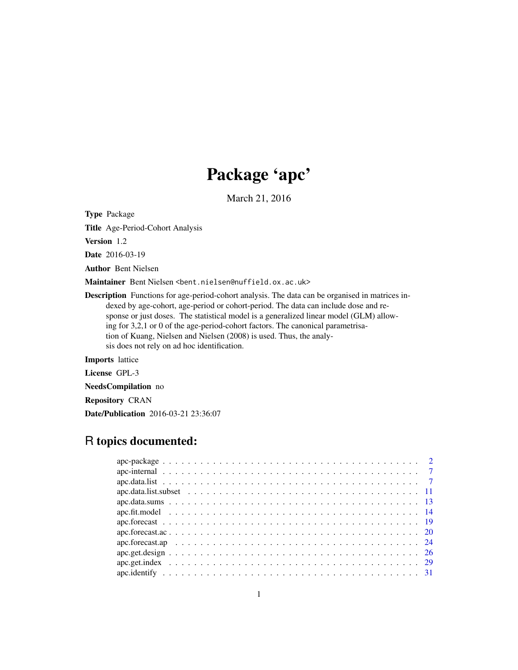## Package 'apc'

March 21, 2016

<span id="page-0-0"></span>Type Package

Title Age-Period-Cohort Analysis

Version 1.2

Date 2016-03-19

Author Bent Nielsen

Maintainer Bent Nielsen <br/>bent.nielsen@nuffield.ox.ac.uk>

Description Functions for age-period-cohort analysis. The data can be organised in matrices indexed by age-cohort, age-period or cohort-period. The data can include dose and response or just doses. The statistical model is a generalized linear model (GLM) allowing for 3,2,1 or 0 of the age-period-cohort factors. The canonical parametrisation of Kuang, Nielsen and Nielsen (2008) is used. Thus, the analysis does not rely on ad hoc identification.

Imports lattice

License GPL-3

NeedsCompilation no

Repository CRAN

Date/Publication 2016-03-21 23:36:07

## R topics documented: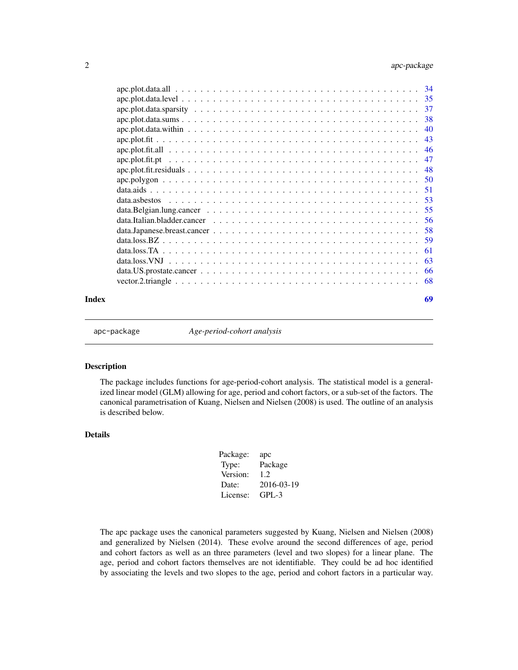<span id="page-1-0"></span>

| Index | 69 |
|-------|----|

apc-package *Age-period-cohort analysis*

#### Description

The package includes functions for age-period-cohort analysis. The statistical model is a generalized linear model (GLM) allowing for age, period and cohort factors, or a sub-set of the factors. The canonical parametrisation of Kuang, Nielsen and Nielsen (2008) is used. The outline of an analysis is described below.

## Details

| Package: | apc        |
|----------|------------|
| Type:    | Package    |
| Version: | 1.2.       |
| Date:    | 2016-03-19 |
| License: | $GPL-3$    |

The apc package uses the canonical parameters suggested by Kuang, Nielsen and Nielsen (2008) and generalized by Nielsen (2014). These evolve around the second differences of age, period and cohort factors as well as an three parameters (level and two slopes) for a linear plane. The age, period and cohort factors themselves are not identifiable. They could be ad hoc identified by associating the levels and two slopes to the age, period and cohort factors in a particular way.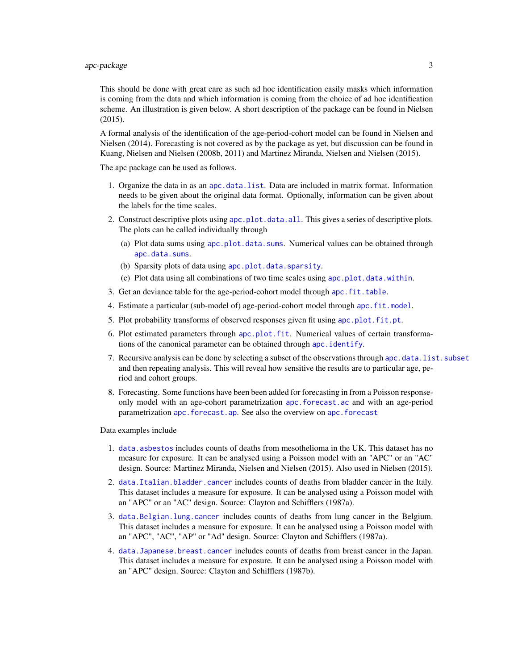## <span id="page-2-0"></span> $apc-package$  3

This should be done with great care as such ad hoc identification easily masks which information is coming from the data and which information is coming from the choice of ad hoc identification scheme. An illustration is given below. A short description of the package can be found in Nielsen (2015).

A formal analysis of the identification of the age-period-cohort model can be found in Nielsen and Nielsen (2014). Forecasting is not covered as by the package as yet, but discussion can be found in Kuang, Nielsen and Nielsen (2008b, 2011) and Martinez Miranda, Nielsen and Nielsen (2015).

The apc package can be used as follows.

- 1. Organize the data in as an [apc.data.list](#page-6-1). Data are included in matrix format. Information needs to be given about the original data format. Optionally, information can be given about the labels for the time scales.
- 2. Construct descriptive plots using [apc.plot.data.all](#page-33-1). This gives a series of descriptive plots. The plots can be called individually through
	- (a) Plot data sums using [apc.plot.data.sums](#page-37-1). Numerical values can be obtained through [apc.data.sums](#page-12-1).
	- (b) Sparsity plots of data using [apc.plot.data.sparsity](#page-36-1).
	- (c) Plot data using all combinations of two time scales using [apc.plot.data.within](#page-39-1).
- 3. Get an deviance table for the age-period-cohort model through [apc.fit.table](#page-13-1).
- 4. Estimate a particular (sub-model of) age-period-cohort model through [apc.fit.model](#page-13-2).
- 5. Plot probability transforms of observed responses given fit using [apc.plot.fit.pt](#page-46-1).
- 6. Plot estimated parameters through [apc.plot.fit](#page-42-1). Numerical values of certain transformations of the canonical parameter can be obtained through [apc.identify](#page-30-1).
- 7. Recursive analysis can be done by selecting a subset of the observations through [apc.data.list.subset](#page-10-1) and then repeating analysis. This will reveal how sensitive the results are to particular age, period and cohort groups.
- 8. Forecasting. Some functions have been been added for forecasting in from a Poisson responseonly model with an age-cohort parametrization [apc.forecast.ac](#page-19-1) and with an age-period parametrization [apc.forecast.ap](#page-23-1). See also the overview on [apc.forecast](#page-18-1)

Data examples include

- 1. [data.asbestos](#page-52-1) includes counts of deaths from mesothelioma in the UK. This dataset has no measure for exposure. It can be analysed using a Poisson model with an "APC" or an "AC" design. Source: Martinez Miranda, Nielsen and Nielsen (2015). Also used in Nielsen (2015).
- 2. [data.Italian.bladder.cancer](#page-55-1) includes counts of deaths from bladder cancer in the Italy. This dataset includes a measure for exposure. It can be analysed using a Poisson model with an "APC" or an "AC" design. Source: Clayton and Schifflers (1987a).
- 3. [data.Belgian.lung.cancer](#page-54-1) includes counts of deaths from lung cancer in the Belgium. This dataset includes a measure for exposure. It can be analysed using a Poisson model with an "APC", "AC", "AP" or "Ad" design. Source: Clayton and Schifflers (1987a).
- 4. [data.Japanese.breast.cancer](#page-57-1) includes counts of deaths from breast cancer in the Japan. This dataset includes a measure for exposure. It can be analysed using a Poisson model with an "APC" design. Source: Clayton and Schifflers (1987b).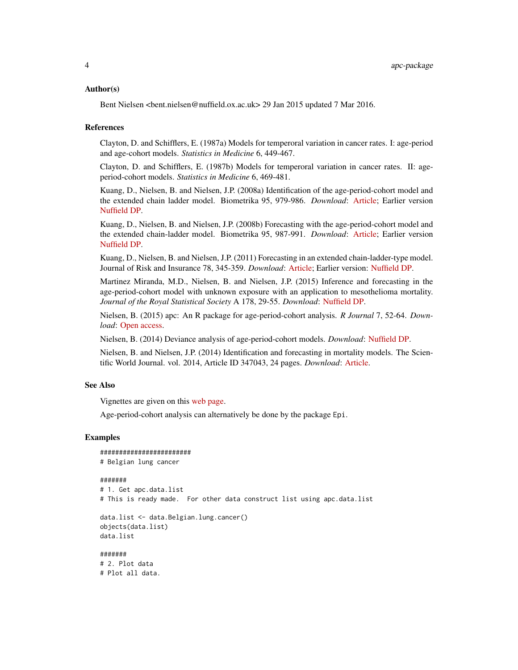#### Author(s)

Bent Nielsen <bent.nielsen@nuffield.ox.ac.uk> 29 Jan 2015 updated 7 Mar 2016.

#### References

Clayton, D. and Schifflers, E. (1987a) Models for temperoral variation in cancer rates. I: age-period and age-cohort models. *Statistics in Medicine* 6, 449-467.

Clayton, D. and Schifflers, E. (1987b) Models for temperoral variation in cancer rates. II: ageperiod-cohort models. *Statistics in Medicine* 6, 469-481.

Kuang, D., Nielsen, B. and Nielsen, J.P. (2008a) Identification of the age-period-cohort model and the extended chain ladder model. Biometrika 95, 979-986. *Download*: [Article;](http://biomet.oxfordjournals.org/cgi/reprint/95/4/979) Earlier version [Nuffield DP.](http://www.nuffield.ox.ac.uk/economics/papers/2007/w5/KuangNielsenNielsen07.pdf)

Kuang, D., Nielsen, B. and Nielsen, J.P. (2008b) Forecasting with the age-period-cohort model and the extended chain-ladder model. Biometrika 95, 987-991. *Download*: [Article;](http://biomet.oxfordjournals.org/cgi/reprint/95/4/979) Earlier version [Nuffield DP.](http://www.nuffield.ox.ac.uk/economics/papers/2008/w9/KuangNielsenNielsen_Forecast.pdf)

Kuang, D., Nielsen, B. and Nielsen, J.P. (2011) Forecasting in an extended chain-ladder-type model. Journal of Risk and Insurance 78, 345-359. *Download*: [Article;](http://dx.doi.org/10.1111/j.1539-6975.2010.01395.x) Earlier version: [Nuffield DP.](http://www.nuffield.ox.ac.uk/economics/papers/2010/w5/Forecast24jun10.pdf)

Martinez Miranda, M.D., Nielsen, B. and Nielsen, J.P. (2015) Inference and forecasting in the age-period-cohort model with unknown exposure with an application to mesothelioma mortality. *Journal of the Royal Statistical Society* A 178, 29-55. *Download*: [Nuffield DP.](http://www.nuffield.ox.ac.uk/economics/papers/2013/Asbestos8mar13.pdf)

Nielsen, B. (2015) apc: An R package for age-period-cohort analysis. *R Journal* 7, 52-64. *Download*: [Open access.](https://journal.r-project.org/archive/2015-2/nielsen.pdf)

Nielsen, B. (2014) Deviance analysis of age-period-cohort models. *Download*: [Nuffield DP.](http://www.nuffield.ox.ac.uk/economics/papers/2014/apc_deviance.pdf)

Nielsen, B. and Nielsen, J.P. (2014) Identification and forecasting in mortality models. The Scientific World Journal. vol. 2014, Article ID 347043, 24 pages. *Download*: [Article.](http://www.hindawi.com/journals/tswj/2014/347043)

## See Also

Vignettes are given on this [web page.](http://users.ox.ac.uk/~nuff0078/apc/index.htm)

Age-period-cohort analysis can alternatively be done by the package Epi.

#### Examples

```
########################
# Belgian lung cancer
#######
# 1. Get apc.data.list
# This is ready made. For other data construct list using apc.data.list
data.list <- data.Belgian.lung.cancer()
objects(data.list)
data.list
#######
```
# 2. Plot data # Plot all data.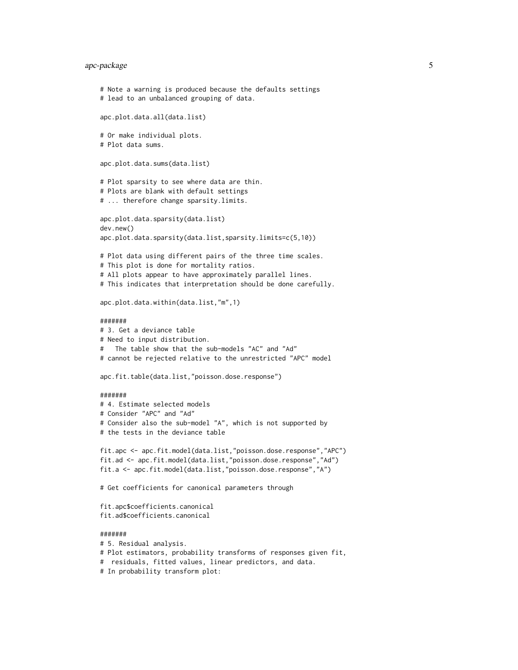## apc-package 5

```
# Note a warning is produced because the defaults settings
# lead to an unbalanced grouping of data.
apc.plot.data.all(data.list)
# Or make individual plots.
# Plot data sums.
apc.plot.data.sums(data.list)
# Plot sparsity to see where data are thin.
# Plots are blank with default settings
# ... therefore change sparsity.limits.
apc.plot.data.sparsity(data.list)
dev.new()
apc.plot.data.sparsity(data.list,sparsity.limits=c(5,10))
# Plot data using different pairs of the three time scales.
# This plot is done for mortality ratios.
# All plots appear to have approximately parallel lines.
# This indicates that interpretation should be done carefully.
apc.plot.data.within(data.list,"m",1)
#######
# 3. Get a deviance table
# Need to input distribution.
# The table show that the sub-models "AC" and "Ad"
# cannot be rejected relative to the unrestricted "APC" model
apc.fit.table(data.list,"poisson.dose.response")
#######
# 4. Estimate selected models
# Consider "APC" and "Ad"
# Consider also the sub-model "A", which is not supported by
# the tests in the deviance table
fit.apc <- apc.fit.model(data.list,"poisson.dose.response","APC")
fit.ad <- apc.fit.model(data.list,"poisson.dose.response","Ad")
fit.a <- apc.fit.model(data.list,"poisson.dose.response","A")
# Get coefficients for canonical parameters through
fit.apc$coefficients.canonical
fit.ad$coefficients.canonical
#######
# 5. Residual analysis.
```

```
# Plot estimators, probability transforms of responses given fit,
```
# residuals, fitted values, linear predictors, and data.

```
# In probability transform plot:
```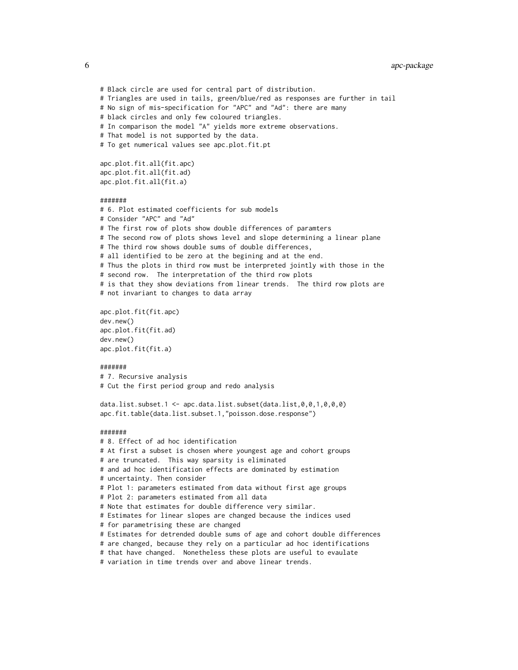6 apc-package

# Black circle are used for central part of distribution. # Triangles are used in tails, green/blue/red as responses are further in tail # No sign of mis-specification for "APC" and "Ad": there are many # black circles and only few coloured triangles. # In comparison the model "A" yields more extreme observations. # That model is not supported by the data. # To get numerical values see apc.plot.fit.pt apc.plot.fit.all(fit.apc) apc.plot.fit.all(fit.ad) apc.plot.fit.all(fit.a) ####### # 6. Plot estimated coefficients for sub models # Consider "APC" and "Ad" # The first row of plots show double differences of paramters # The second row of plots shows level and slope determining a linear plane # The third row shows double sums of double differences, # all identified to be zero at the begining and at the end. # Thus the plots in third row must be interpreted jointly with those in the # second row. The interpretation of the third row plots # is that they show deviations from linear trends. The third row plots are # not invariant to changes to data array apc.plot.fit(fit.apc) dev.new() apc.plot.fit(fit.ad) dev.new() apc.plot.fit(fit.a) ####### # 7. Recursive analysis # Cut the first period group and redo analysis data.list.subset.1 <- apc.data.list.subset(data.list,0,0,1,0,0,0) apc.fit.table(data.list.subset.1,"poisson.dose.response") ####### # 8. Effect of ad hoc identification # At first a subset is chosen where youngest age and cohort groups # are truncated. This way sparsity is eliminated # and ad hoc identification effects are dominated by estimation # uncertainty. Then consider # Plot 1: parameters estimated from data without first age groups # Plot 2: parameters estimated from all data # Note that estimates for double difference very similar. # Estimates for linear slopes are changed because the indices used # for parametrising these are changed # Estimates for detrended double sums of age and cohort double differences # are changed, because they rely on a particular ad hoc identifications # that have changed. Nonetheless these plots are useful to evaulate # variation in time trends over and above linear trends.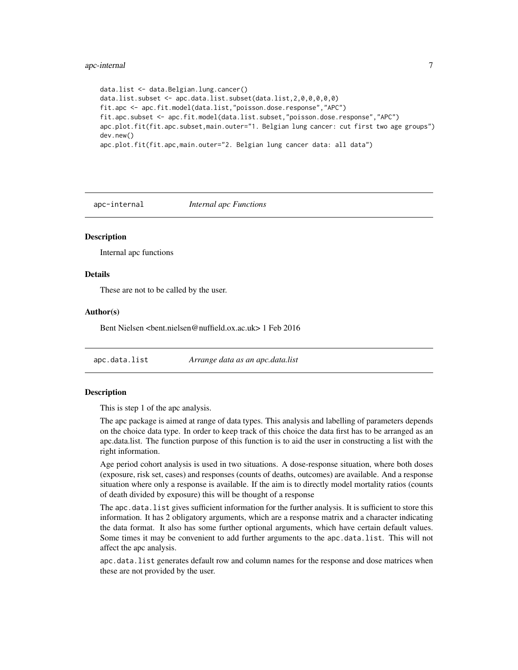## <span id="page-6-0"></span>apc-internal 7

```
data.list <- data.Belgian.lung.cancer()
data.list.subset <- apc.data.list.subset(data.list,2,0,0,0,0,0)
fit.apc <- apc.fit.model(data.list,"poisson.dose.response","APC")
fit.apc.subset <- apc.fit.model(data.list.subset,"poisson.dose.response","APC")
apc.plot.fit(fit.apc.subset,main.outer="1. Belgian lung cancer: cut first two age groups")
dev.new()
apc.plot.fit(fit.apc,main.outer="2. Belgian lung cancer data: all data")
```
apc-internal *Internal apc Functions*

#### **Description**

Internal apc functions

#### Details

These are not to be called by the user.

#### Author(s)

Bent Nielsen <bent.nielsen@nuffield.ox.ac.uk> 1 Feb 2016

<span id="page-6-1"></span>apc.data.list *Arrange data as an apc.data.list*

#### Description

This is step 1 of the apc analysis.

The apc package is aimed at range of data types. This analysis and labelling of parameters depends on the choice data type. In order to keep track of this choice the data first has to be arranged as an apc.data.list. The function purpose of this function is to aid the user in constructing a list with the right information.

Age period cohort analysis is used in two situations. A dose-response situation, where both doses (exposure, risk set, cases) and responses (counts of deaths, outcomes) are available. And a response situation where only a response is available. If the aim is to directly model mortality ratios (counts of death divided by exposure) this will be thought of a response

The apc.data.list gives sufficient information for the further analysis. It is sufficient to store this information. It has 2 obligatory arguments, which are a response matrix and a character indicating the data format. It also has some further optional arguments, which have certain default values. Some times it may be convenient to add further arguments to the apc.data.list. This will not affect the apc analysis.

apc.data.list generates default row and column names for the response and dose matrices when these are not provided by the user.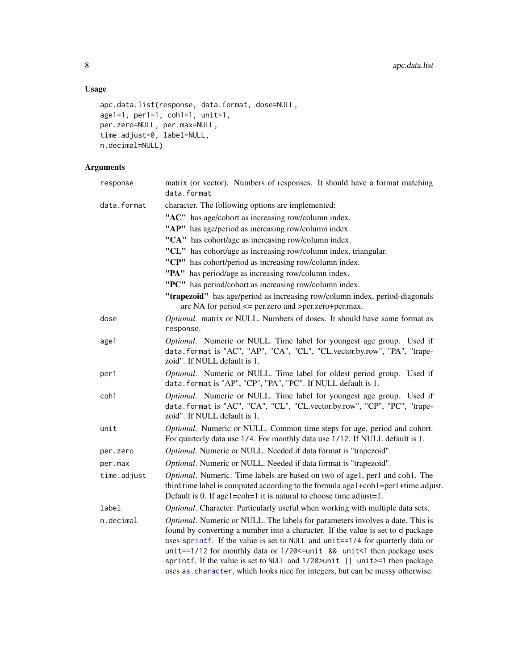## Usage

```
apc.data.list(response, data.format, dose=NULL,
age1=1, per1=1, coh1=1, unit=1,
per.zero=NULL, per.max=NULL,
time.adjust=0, label=NULL,
n.decimal=NULL)
```
## Arguments

| response    | matrix (or vector). Numbers of responses. It should have a format matching<br>data.format                                                                                                                                                                                                                                                                                                                                                                                                     |
|-------------|-----------------------------------------------------------------------------------------------------------------------------------------------------------------------------------------------------------------------------------------------------------------------------------------------------------------------------------------------------------------------------------------------------------------------------------------------------------------------------------------------|
| data.format | character. The following options are implemented:                                                                                                                                                                                                                                                                                                                                                                                                                                             |
|             | "AC" has age/cohort as increasing row/column index.                                                                                                                                                                                                                                                                                                                                                                                                                                           |
|             | "AP" has age/period as increasing row/column index.                                                                                                                                                                                                                                                                                                                                                                                                                                           |
|             | "CA" has cohort/age as increasing row/column index.                                                                                                                                                                                                                                                                                                                                                                                                                                           |
|             | "CL" has cohort/age as increasing row/column index, triangular.                                                                                                                                                                                                                                                                                                                                                                                                                               |
|             | "CP" has cohort/period as increasing row/column index.                                                                                                                                                                                                                                                                                                                                                                                                                                        |
|             | "PA" has period/age as increasing row/column index.                                                                                                                                                                                                                                                                                                                                                                                                                                           |
|             | "PC" has period/cohort as increasing row/column index.                                                                                                                                                                                                                                                                                                                                                                                                                                        |
|             | "trapezoid" has age/period as increasing row/column index, period-diagonals<br>are NA for period <= per.zero and >per.zero+per.max.                                                                                                                                                                                                                                                                                                                                                           |
| dose        | Optional. matrix or NULL. Numbers of doses. It should have same format as<br>response.                                                                                                                                                                                                                                                                                                                                                                                                        |
| age1        | Optional. Numeric or NULL. Time label for youngest age group. Used if<br>data.format is "AC", "AP", "CA", "CL", "CL.vector.by.row", "PA", "trape-<br>zoid". If NULL default is 1.                                                                                                                                                                                                                                                                                                             |
| per1        | Optional. Numeric or NULL. Time label for oldest period group. Used if<br>data.format is "AP", "CP", "PA", "PC". If NULL default is 1.                                                                                                                                                                                                                                                                                                                                                        |
| coh1        | Optional. Numeric or NULL. Time label for youngest age group. Used if<br>data.format is "AC", "CA", "CL", "CL.vector.by.row", "CP", "PC", "trape-<br>zoid". If NULL default is 1.                                                                                                                                                                                                                                                                                                             |
| unit        | Optional. Numeric or NULL. Common time steps for age, period and cohort.<br>For quarterly data use 1/4. For monthly data use 1/12. If NULL default is 1.                                                                                                                                                                                                                                                                                                                                      |
| per.zero    | Optional. Numeric or NULL. Needed if data format is "trapezoid".                                                                                                                                                                                                                                                                                                                                                                                                                              |
| per.max     | Optional. Numeric or NULL. Needed if data format is "trapezoid".                                                                                                                                                                                                                                                                                                                                                                                                                              |
| time.adjust | Optional. Numeric. Time labels are based on two of age1, per1 and coh1. The<br>third time label is computed according to the formula age1+coh1=per1+time.adjust.<br>Default is 0. If age1=coh=1 it is natural to choose time.adjust=1.                                                                                                                                                                                                                                                        |
| label       | Optional. Character. Particularly useful when working with multiple data sets.                                                                                                                                                                                                                                                                                                                                                                                                                |
| n.decimal   | Optional. Numeric or NULL. The labels for parameters involves a date. This is<br>found by converting a number into a character. If the value is set to d package<br>uses sprintf. If the value is set to NULL and unit==1/4 for quarterly data or<br>unit==1/12 for monthly data or 1/20 <= unit && unit<1 then package uses<br>sprintf. If the value is set to NULL and 1/20>unit    unit>=1 then package<br>uses as . character, which looks nice for integers, but can be messy otherwise. |

<span id="page-7-0"></span>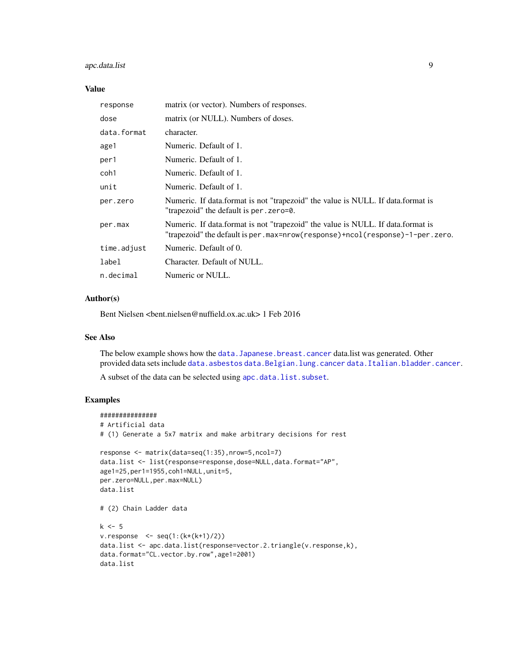## <span id="page-8-0"></span>apc.data.list 9

## Value

| response    | matrix (or vector). Numbers of responses.                                                                                                                         |
|-------------|-------------------------------------------------------------------------------------------------------------------------------------------------------------------|
| dose        | matrix (or NULL). Numbers of doses.                                                                                                                               |
| data.format | character.                                                                                                                                                        |
| age1        | Numeric. Default of 1.                                                                                                                                            |
| per1        | Numeric. Default of 1.                                                                                                                                            |
| coh1        | Numeric. Default of 1.                                                                                                                                            |
| unit        | Numeric. Default of 1.                                                                                                                                            |
| per.zero    | Numeric. If data format is not "trapezoid" the value is NULL. If data format is<br>"trapezoid" the default is per . zero=0.                                       |
| per.max     | Numeric. If data format is not "trapezoid" the value is NULL. If data format is<br>"trapezoid" the default is per .max=nrow(response)+ncol(response)-1-per .zero. |
| time.adjust | Numeric. Default of 0.                                                                                                                                            |
| label       | Character. Default of NULL.                                                                                                                                       |
| n.decimal   | Numeric or NULL.                                                                                                                                                  |

## Author(s)

Bent Nielsen <bent.nielsen@nuffield.ox.ac.uk> 1 Feb 2016

## See Also

The below example shows how the data. Japanese.breast.cancer data.list was generated. Other provided data sets include [data.asbestos](#page-52-1) [data.Belgian.lung.cancer](#page-54-1) [data.Italian.bladder.cancer](#page-55-1).

A subset of the data can be selected using [apc.data.list.subset](#page-10-1).

## Examples

```
###############
# Artificial data
# (1) Generate a 5x7 matrix and make arbitrary decisions for rest
response <- matrix(data=seq(1:35),nrow=5,ncol=7)
data.list <- list(response=response,dose=NULL,data.format="AP",
age1=25,per1=1955,coh1=NULL,unit=5,
per.zero=NULL,per.max=NULL)
data.list
# (2) Chain Ladder data
k \leq -5v. response \leq seq(1:(k*(k+1)/2))
data.list <- apc.data.list(response=vector.2.triangle(v.response,k),
data.format="CL.vector.by.row",age1=2001)
data.list
```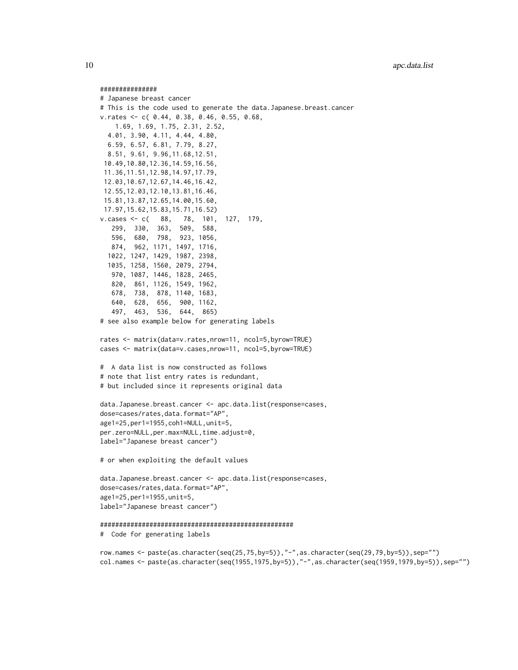#### ###############

```
# Japanese breast cancer
# This is the code used to generate the data.Japanese.breast.cancer
v.rates <- c( 0.44, 0.38, 0.46, 0.55, 0.68,
   1.69, 1.69, 1.75, 2.31, 2.52,
  4.01, 3.90, 4.11, 4.44, 4.80,
  6.59, 6.57, 6.81, 7.79, 8.27,
  8.51, 9.61, 9.96,11.68,12.51,
 10.49,10.80,12.36,14.59,16.56,
 11.36,11.51,12.98,14.97,17.79,
 12.03,10.67,12.67,14.46,16.42,
 12.55,12.03,12.10,13.81,16.46,
 15.81,13.87,12.65,14.00,15.60,
 17.97,15.62,15.83,15.71,16.52)
v.cases <- c( 88, 78, 101, 127, 179,
   299, 330, 363, 509, 588,
   596, 680, 798, 923, 1056,
   874, 962, 1171, 1497, 1716,
  1022, 1247, 1429, 1987, 2398,
  1035, 1258, 1560, 2079, 2794,
   970, 1087, 1446, 1828, 2465,
   820, 861, 1126, 1549, 1962,
   678, 738, 878, 1140, 1683,
   640, 628, 656, 900, 1162,
   497, 463, 536, 644, 865)
# see also example below for generating labels
rates <- matrix(data=v.rates,nrow=11, ncol=5,byrow=TRUE)
cases <- matrix(data=v.cases,nrow=11, ncol=5,byrow=TRUE)
# A data list is now constructed as follows
# note that list entry rates is redundant,
# but included since it represents original data
data.Japanese.breast.cancer <- apc.data.list(response=cases,
dose=cases/rates,data.format="AP",
age1=25,per1=1955,coh1=NULL,unit=5,
per.zero=NULL,per.max=NULL,time.adjust=0,
label="Japanese breast cancer")
# or when exploiting the default values
data.Japanese.breast.cancer <- apc.data.list(response=cases,
dose=cases/rates,data.format="AP",
age1=25,per1=1955,unit=5,
label="Japanese breast cancer")
###################################################
# Code for generating labels
```
row.names <- paste(as.character(seq(25,75,by=5)),"-",as.character(seq(29,79,by=5)),sep="") col.names <- paste(as.character(seq(1955,1975,by=5)),"-",as.character(seq(1959,1979,by=5)),sep="")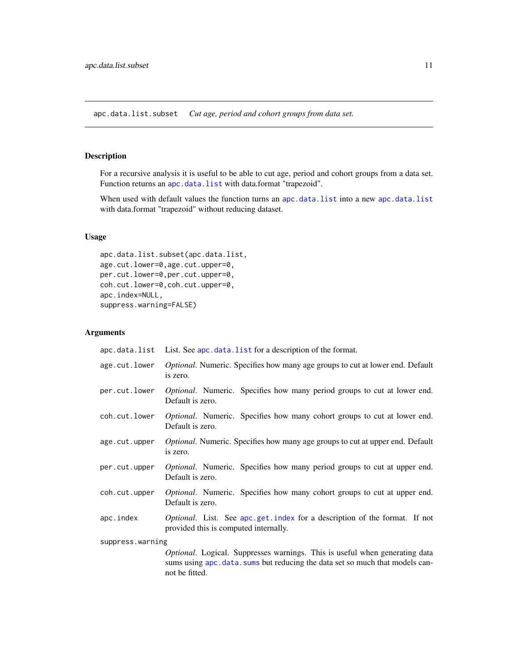<span id="page-10-1"></span><span id="page-10-0"></span>apc.data.list.subset *Cut age, period and cohort groups from data set.*

## Description

For a recursive analysis it is useful to be able to cut age, period and cohort groups from a data set. Function returns an [apc.data.list](#page-6-1) with data.format "trapezoid".

When used with default values the function turns an [apc.data.list](#page-6-1) into a new apc.data.list with data.format "trapezoid" without reducing dataset.

## Usage

```
apc.data.list.subset(apc.data.list,
age.cut.lower=0,age.cut.upper=0,
per.cut.lower=0,per.cut.upper=0,
coh.cut.lower=0,coh.cut.upper=0,
apc.index=NULL,
suppress.warning=FALSE)
```
### Arguments

|                  | apc.data.list List. See apc.data.list for a description of the format.                                                                                                         |  |  |  |  |
|------------------|--------------------------------------------------------------------------------------------------------------------------------------------------------------------------------|--|--|--|--|
| age.cut.lower    | <i>Optional</i> . Numeric. Specifies how many age groups to cut at lower end. Default<br>is zero.                                                                              |  |  |  |  |
| per.cut.lower    | <i>Optional.</i> Numeric. Specifies how many period groups to cut at lower end.<br>Default is zero.                                                                            |  |  |  |  |
| coh.cut.lower    | <i>Optional.</i> Numeric. Specifies how many cohort groups to cut at lower end.<br>Default is zero.                                                                            |  |  |  |  |
| age.cut.upper    | <i>Optional</i> . Numeric. Specifies how many age groups to cut at upper end. Default<br>is zero.                                                                              |  |  |  |  |
| per.cut.upper    | <i>Optional.</i> Numeric. Specifies how many period groups to cut at upper end.<br>Default is zero.                                                                            |  |  |  |  |
| coh.cut.upper    | Optional. Numeric. Specifies how many cohort groups to cut at upper end.<br>Default is zero.                                                                                   |  |  |  |  |
| apc.index        | <i>Optional.</i> List. See apc.get.index for a description of the format. If not<br>provided this is computed internally.                                                      |  |  |  |  |
| suppress.warning |                                                                                                                                                                                |  |  |  |  |
|                  | Optional. Logical. Suppresses warnings. This is useful when generating data<br>sums using apc. data. sums but reducing the data set so much that models can-<br>not be fitted. |  |  |  |  |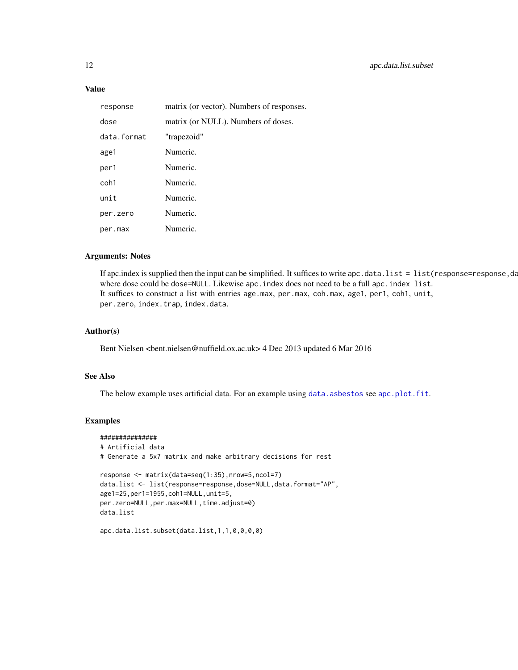## <span id="page-11-0"></span>Value

| response    | matrix (or vector). Numbers of responses. |
|-------------|-------------------------------------------|
| dose        | matrix (or NULL). Numbers of doses.       |
| data.format | "trapezoid"                               |
| age1        | Numeric.                                  |
| per1        | Numeric.                                  |
| coh1        | Numeric.                                  |
| unit        | Numeric.                                  |
| per.zero    | Numeric.                                  |
| per.max     | Numeric.                                  |

## Arguments: Notes

If apc.index is supplied then the input can be simplified. It suffices to write apc.data.list = list(response=response,data. where dose could be dose=NULL. Likewise apc. index does not need to be a full apc. index list. It suffices to construct a list with entries age.max, per.max, coh.max, age1, per1, coh1, unit, per.zero, index.trap, index.data.

## Author(s)

Bent Nielsen <bent.nielsen@nuffield.ox.ac.uk> 4 Dec 2013 updated 6 Mar 2016

## See Also

The below example uses artificial data. For an example using [data.asbestos](#page-52-1) see [apc.plot.fit](#page-42-1).

#### Examples

```
###############
# Artificial data
# Generate a 5x7 matrix and make arbitrary decisions for rest
response <- matrix(data=seq(1:35),nrow=5,ncol=7)
data.list <- list(response=response,dose=NULL,data.format="AP",
age1=25,per1=1955,coh1=NULL,unit=5,
per.zero=NULL,per.max=NULL,time.adjust=0)
data.list
```
apc.data.list.subset(data.list,1,1,0,0,0,0)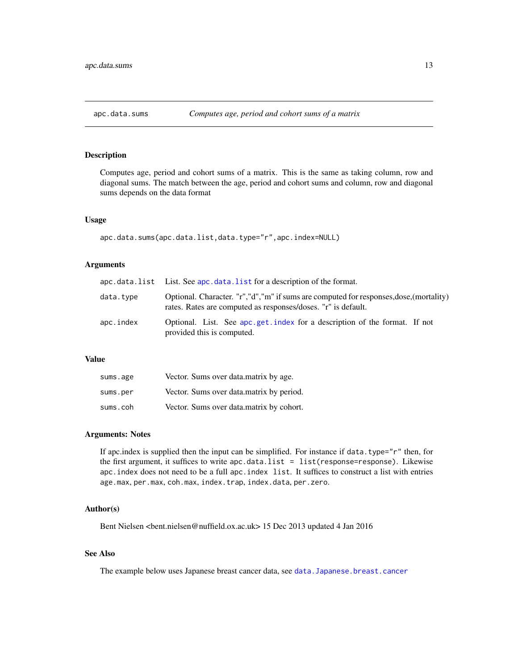<span id="page-12-1"></span><span id="page-12-0"></span>

## Description

Computes age, period and cohort sums of a matrix. This is the same as taking column, row and diagonal sums. The match between the age, period and cohort sums and column, row and diagonal sums depends on the data format

## Usage

apc.data.sums(apc.data.list,data.type="r",apc.index=NULL)

## Arguments

|           | apc.data.list List. See apc.data.list for a description of the format.                                                                                    |
|-----------|-----------------------------------------------------------------------------------------------------------------------------------------------------------|
| data.tvpe | Optional. Character. "r", "d", "m" if sums are computed for responses, dose, (mortality)<br>rates. Rates are computed as responses/doses. "r" is default. |
| apc.index | Optional. List. See apc.get.index for a description of the format. If not<br>provided this is computed.                                                   |

#### Value

| sums.age | Vector. Sums over data matrix by age.    |
|----------|------------------------------------------|
| sums.per | Vector. Sums over data matrix by period. |
| sums.coh | Vector. Sums over data matrix by cohort. |

#### Arguments: Notes

If apc.index is supplied then the input can be simplified. For instance if data.type=" $r$ " then, for the first argument, it suffices to write apc.data.list = list(response=response). Likewise apc.index does not need to be a full apc.index list. It suffices to construct a list with entries age.max, per.max, coh.max, index.trap, index.data, per.zero.

#### Author(s)

Bent Nielsen <br/> <br/>chent.nielsen@nuffield.ox.ac.uk> 15 Dec 2013 updated 4 Jan 2016

## See Also

The example below uses Japanese breast cancer data, see [data.Japanese.breast.cancer](#page-57-1)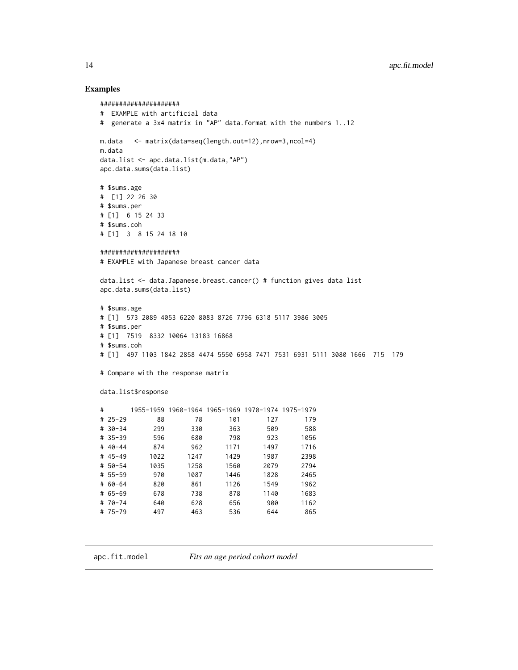#### Examples

```
#####################
# EXAMPLE with artificial data
# generate a 3x4 matrix in "AP" data.format with the numbers 1..12
m.data <- matrix(data=seq(length.out=12),nrow=3,ncol=4)
m.data
data.list <- apc.data.list(m.data,"AP")
apc.data.sums(data.list)
# $sums.age
# [1] 22 26 30
# $sums.per
# [1] 6 15 24 33
# $sums.coh
# [1] 3 8 15 24 18 10
#####################
# EXAMPLE with Japanese breast cancer data
data.list <- data.Japanese.breast.cancer() # function gives data list
apc.data.sums(data.list)
# $sums.age
# [1] 573 2089 4053 6220 8083 8726 7796 6318 5117 3986 3005
# $sums.per
# [1] 7519 8332 10064 13183 16868
# $sums.coh
# [1] 497 1103 1842 2858 4474 5550 6958 7471 7531 6931 5111 3080 1666 715 179
# Compare with the response matrix
data.list$response
# 1955-1959 1960-1964 1965-1969 1970-1974 1975-1979
# 25-29 88 78 101 127 179
# 30-34 299 330 363 509 588
# 35-39 596 680 798 923 1056
# 40-44 874 962 1171 1497 1716
# 45-49 1022 1247 1429 1987 2398
# 50-54 1035 1258 1560 2079 2794
# 55-59 970 1087 1446 1828 2465
# 60-64 820 861 1126 1549 1962
# 65-69 678 738 878 1140 1683
# 70-74 640 628 656 900 1162
# 75-79 497 463 536 644 865
```
<span id="page-13-2"></span>apc.fit.model *Fits an age period cohort model*

<span id="page-13-0"></span>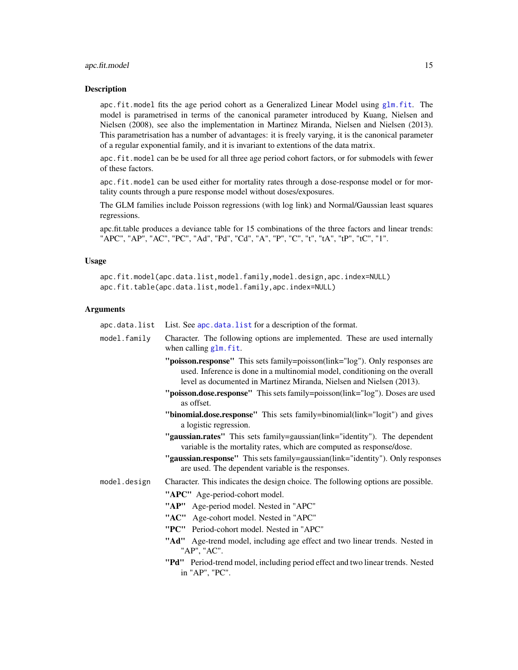## <span id="page-14-0"></span>apc.fit.model 15

#### **Description**

apc. fit. model fits the age period cohort as a Generalized Linear Model using  $g \text{Im.}$  fit. The model is parametrised in terms of the canonical parameter introduced by Kuang, Nielsen and Nielsen (2008), see also the implementation in Martinez Miranda, Nielsen and Nielsen (2013). This parametrisation has a number of advantages: it is freely varying, it is the canonical parameter of a regular exponential family, and it is invariant to extentions of the data matrix.

apc.fit.model can be be used for all three age period cohort factors, or for submodels with fewer of these factors.

apc.fit.model can be used either for mortality rates through a dose-response model or for mortality counts through a pure response model without doses/exposures.

The GLM families include Poisson regressions (with log link) and Normal/Gaussian least squares regressions.

apc.fit.table produces a deviance table for 15 combinations of the three factors and linear trends: "APC", "AP", "AC", "PC", "Ad", "Pd", "Cd", "A", "P", "C", "t", "tA", "tP", "tC", "1".

## Usage

apc.fit.model(apc.data.list,model.family,model.design,apc.index=NULL) apc.fit.table(apc.data.list,model.family,apc.index=NULL)

#### Arguments

| apc.data.list | List. See apc. data. list for a description of the format.                                                                                                                                                                         |  |  |  |  |  |  |  |
|---------------|------------------------------------------------------------------------------------------------------------------------------------------------------------------------------------------------------------------------------------|--|--|--|--|--|--|--|
| model.family  | Character. The following options are implemented. These are used internally<br>when calling glm. fit.                                                                                                                              |  |  |  |  |  |  |  |
|               | "poisson.response" This sets family=poisson(link="log"). Only responses are<br>used. Inference is done in a multinomial model, conditioning on the overall<br>level as documented in Martinez Miranda, Nielsen and Nielsen (2013). |  |  |  |  |  |  |  |
|               | "poisson.dose.response" This sets family=poisson(link="log"). Doses are used<br>as offset.                                                                                                                                         |  |  |  |  |  |  |  |
|               | "binomial.dose.response" This sets family=binomial(link="logit") and gives<br>a logistic regression.                                                                                                                               |  |  |  |  |  |  |  |
|               | "gaussian.rates" This sets family=gaussian(link="identity"). The dependent<br>variable is the mortality rates, which are computed as response/dose.                                                                                |  |  |  |  |  |  |  |
|               | "gaussian.response" This sets family=gaussian(link="identity"). Only responses<br>are used. The dependent variable is the responses.                                                                                               |  |  |  |  |  |  |  |
| model.design  | Character. This indicates the design choice. The following options are possible.                                                                                                                                                   |  |  |  |  |  |  |  |
|               | "APC" Age-period-cohort model.                                                                                                                                                                                                     |  |  |  |  |  |  |  |
|               | "AP" Age-period model. Nested in "APC"                                                                                                                                                                                             |  |  |  |  |  |  |  |
|               | "AC" Age-cohort model. Nested in "APC"                                                                                                                                                                                             |  |  |  |  |  |  |  |
|               | "PC" Period-cohort model. Nested in "APC"                                                                                                                                                                                          |  |  |  |  |  |  |  |
|               | "Ad" Age-trend model, including age effect and two linear trends. Nested in<br>"AP", "AC".                                                                                                                                         |  |  |  |  |  |  |  |
|               | "Pd" Period-trend model, including period effect and two linear trends. Nested<br>in "AP", "PC".                                                                                                                                   |  |  |  |  |  |  |  |
|               |                                                                                                                                                                                                                                    |  |  |  |  |  |  |  |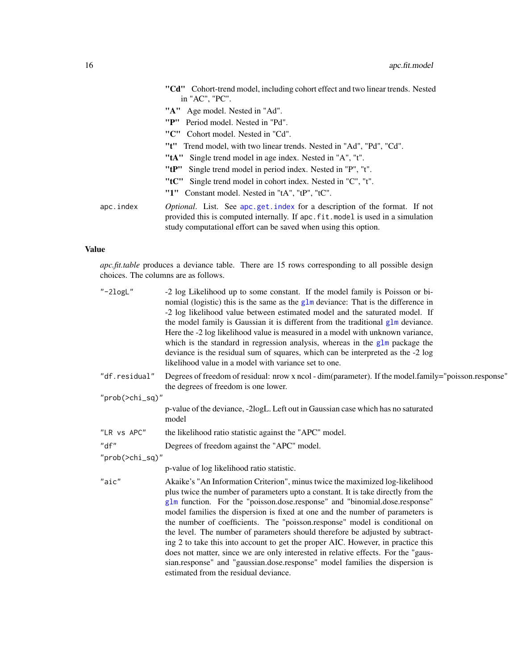<span id="page-15-0"></span>

|           | "Cd" Cohort-trend model, including cohort effect and two linear trends. Nested<br>in "AC", "PC".                                                                                                                                        |
|-----------|-----------------------------------------------------------------------------------------------------------------------------------------------------------------------------------------------------------------------------------------|
|           | "A" Age model. Nested in "Ad".                                                                                                                                                                                                          |
|           | "P"<br>Period model. Nested in "Pd".                                                                                                                                                                                                    |
|           | "C" Cohort model. Nested in "Cd".                                                                                                                                                                                                       |
|           | " <b>t</b> " Trend model, with two linear trends. Nested in "Ad", "Pd", "Cd".                                                                                                                                                           |
|           | " <b>tA</b> " Single trend model in age index. Nested in "A", "t".                                                                                                                                                                      |
|           | "tP"<br>Single trend model in period index. Nested in "P", "t".                                                                                                                                                                         |
|           | "tC" Single trend model in cohort index. Nested in "C", "t".                                                                                                                                                                            |
|           | Constant model. Nested in "tA", "tP", "tC".<br>"1"                                                                                                                                                                                      |
| apc.index | <i>Optional.</i> List. See apc.get.index for a description of the format. If not<br>provided this is computed internally. If apc. fit. model is used in a simulation<br>study computational effort can be saved when using this option. |

## Value

*apc.fit.table* produces a deviance table. There are 15 rows corresponding to all possible design choices. The columns are as follows.

| $"$ -2 $logL"$  | -2 log Likelihood up to some constant. If the model family is Poisson or bi-<br>nomial (logistic) this is the same as the $g1m$ deviance: That is the difference in<br>-2 log likelihood value between estimated model and the saturated model. If<br>the model family is Gaussian it is different from the traditional glm deviance.<br>Here the -2 log likelihood value is measured in a model with unknown variance,<br>which is the standard in regression analysis, whereas in the glm package the<br>deviance is the residual sum of squares, which can be interpreted as the -2 log<br>likelihood value in a model with variance set to one.                                                                                                                                                |
|-----------------|----------------------------------------------------------------------------------------------------------------------------------------------------------------------------------------------------------------------------------------------------------------------------------------------------------------------------------------------------------------------------------------------------------------------------------------------------------------------------------------------------------------------------------------------------------------------------------------------------------------------------------------------------------------------------------------------------------------------------------------------------------------------------------------------------|
| "df.residual"   | Degrees of freedom of residual: nrow x ncol - dim(parameter). If the model.family="poisson.response"<br>the degrees of freedom is one lower.                                                                                                                                                                                                                                                                                                                                                                                                                                                                                                                                                                                                                                                       |
| "prob(>chi_sq)" |                                                                                                                                                                                                                                                                                                                                                                                                                                                                                                                                                                                                                                                                                                                                                                                                    |
|                 | p-value of the deviance, -2logL. Left out in Gaussian case which has no saturated<br>model                                                                                                                                                                                                                                                                                                                                                                                                                                                                                                                                                                                                                                                                                                         |
| "LR vs APC"     | the likelihood ratio statistic against the "APC" model.                                                                                                                                                                                                                                                                                                                                                                                                                                                                                                                                                                                                                                                                                                                                            |
| "df"            | Degrees of freedom against the "APC" model.                                                                                                                                                                                                                                                                                                                                                                                                                                                                                                                                                                                                                                                                                                                                                        |
| "prob(>chi_sq)" |                                                                                                                                                                                                                                                                                                                                                                                                                                                                                                                                                                                                                                                                                                                                                                                                    |
|                 | p-value of log likelihood ratio statistic.                                                                                                                                                                                                                                                                                                                                                                                                                                                                                                                                                                                                                                                                                                                                                         |
| "aic"           | Akaike's "An Information Criterion", minus twice the maximized log-likelihood<br>plus twice the number of parameters upto a constant. It is take directly from the<br>glm function. For the "poisson.dose.response" and "binomial.dose.response"<br>model families the dispersion is fixed at one and the number of parameters is<br>the number of coefficients. The "poisson.response" model is conditional on<br>the level. The number of parameters should therefore be adjusted by subtract-<br>ing 2 to take this into account to get the proper AIC. However, in practice this<br>does not matter, since we are only interested in relative effects. For the "gaus-<br>sian.response" and "gaussian.dose.response" model families the dispersion is<br>estimated from the residual deviance. |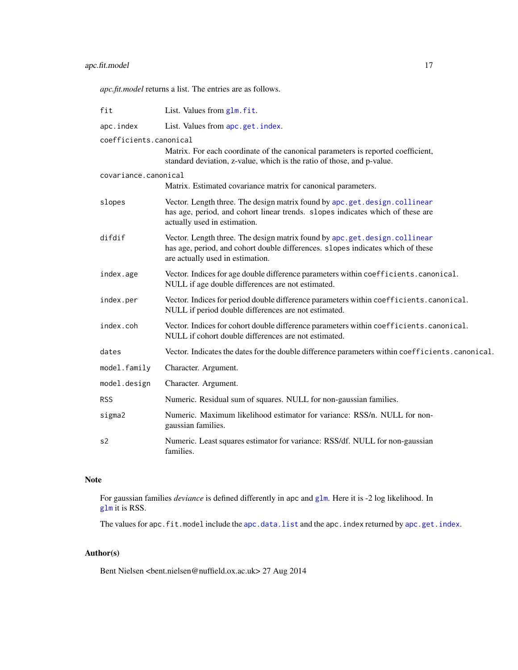## <span id="page-16-0"></span>apc.fit.model 17

*apc.fit.model* returns a list. The entries are as follows.

| fit                    | List. Values from glm. fit.                                                                                                                                                                      |
|------------------------|--------------------------------------------------------------------------------------------------------------------------------------------------------------------------------------------------|
| apc.index              | List. Values from apc.get.index.                                                                                                                                                                 |
| coefficients.canonical | Matrix. For each coordinate of the canonical parameters is reported coefficient,<br>standard deviation, z-value, which is the ratio of those, and p-value.                                       |
| covariance.canonical   |                                                                                                                                                                                                  |
|                        | Matrix. Estimated covariance matrix for canonical parameters.                                                                                                                                    |
| slopes                 | Vector. Length three. The design matrix found by apc.get.design.collinear<br>has age, period, and cohort linear trends. slopes indicates which of these are<br>actually used in estimation.      |
| difdif                 | Vector. Length three. The design matrix found by apc.get.design.collinear<br>has age, period, and cohort double differences. slopes indicates which of these<br>are actually used in estimation. |
| index.age              | Vector. Indices for age double difference parameters within coefficients.canonical.<br>NULL if age double differences are not estimated.                                                         |
| index.per              | Vector. Indices for period double difference parameters within coefficients.canonical.<br>NULL if period double differences are not estimated.                                                   |
| index.coh              | Vector. Indices for cohort double difference parameters within coefficients.canonical.<br>NULL if cohort double differences are not estimated.                                                   |
| dates                  | Vector. Indicates the dates for the double difference parameters within coefficients.canonical.                                                                                                  |
| model.family           | Character. Argument.                                                                                                                                                                             |
| model.design           | Character. Argument.                                                                                                                                                                             |
| <b>RSS</b>             | Numeric. Residual sum of squares. NULL for non-gaussian families.                                                                                                                                |
| sigma2                 | Numeric. Maximum likelihood estimator for variance: RSS/n. NULL for non-<br>gaussian families.                                                                                                   |
| s2                     | Numeric. Least squares estimator for variance: RSS/df. NULL for non-gaussian<br>families.                                                                                                        |

## Note

For gaussian families *deviance* is defined differently in apc and [glm](#page-0-0). Here it is -2 log likelihood. In [glm](#page-0-0) it is RSS.

The values for apc.fit.model include the [apc.data.list](#page-6-1) and the apc.index returned by [apc.get.index](#page-28-1).

## Author(s)

Bent Nielsen <bent.nielsen@nuffield.ox.ac.uk> 27 Aug 2014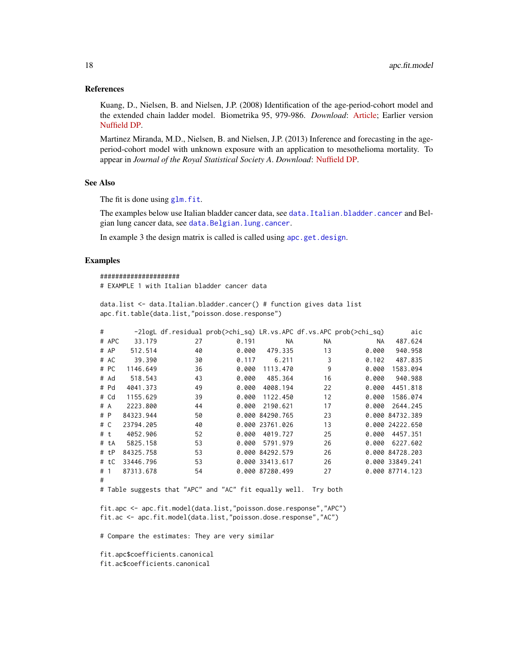#### <span id="page-17-0"></span>References

Kuang, D., Nielsen, B. and Nielsen, J.P. (2008) Identification of the age-period-cohort model and the extended chain ladder model. Biometrika 95, 979-986. *Download*: [Article;](http://biomet.oxfordjournals.org/cgi/reprint/95/4/979) Earlier version [Nuffield DP.](http://www.nuffield.ox.ac.uk/economics/papers/2007/w5/KuangNielsenNielsen07.pdf)

Martinez Miranda, M.D., Nielsen, B. and Nielsen, J.P. (2013) Inference and forecasting in the ageperiod-cohort model with unknown exposure with an application to mesothelioma mortality. To appear in *Journal of the Royal Statistical Society A*. *Download*: [Nuffield DP.](http://www.nuffield.ox.ac.uk/economics/papers/2013/Asbestos8mar13.pdf)

#### See Also

The fit is done using [glm.fit](#page-0-0).

The examples below use Italian bladder cancer data, see [data.Italian.bladder.cancer](#page-55-1) and Belgian lung cancer data, see [data.Belgian.lung.cancer](#page-54-1).

In example 3 the design matrix is called is called using [apc.get.design](#page-25-2).

#### Examples

```
#####################
# EXAMPLE 1 with Italian bladder cancer data
```
data.list <- data.Italian.bladder.cancer() # function gives data list apc.fit.table(data.list,"poisson.dose.response")

| #   |        |           |    | -2logL df.residual prob(>chi_sq) LR.vs.APC df.vs.APC prob(>chi_sq) |                 |    |       | aic             |
|-----|--------|-----------|----|--------------------------------------------------------------------|-----------------|----|-------|-----------------|
|     | # APC  | 33.179    | 27 | 0.191                                                              | NA.             | NA | NA.   | 487.624         |
|     | # AP   | 512.514   | 40 | 0.000                                                              | 479.335         | 13 | 0.000 | 940.958         |
|     | # AC   | 39.390    | 30 | 0.117                                                              | 6.211           | 3  | 0.102 | 487.835         |
|     | # PC   | 1146.649  | 36 | 0.000                                                              | 1113.470        | 9  | 0.000 | 1583.094        |
|     | # Ad   | 518.543   | 43 | 0.000                                                              | 485.364         | 16 | 0.000 | 940.988         |
|     | # Pd   | 4041.373  | 49 | 0.000                                                              | 4008.194        | 22 | 0.000 | 4451.818        |
|     | # Cd   | 1155.629  | 39 | 0.000                                                              | 1122.450        | 12 | 0.000 | 1586.074        |
|     | # A    | 2223.800  | 44 | 0.000                                                              | 2190.621        | 17 | 0.000 | 2644.245        |
| # P |        | 84323.944 | 50 |                                                                    | 0.000 84290.765 | 23 |       | 0.000 84732.389 |
| # C |        | 23794.205 | 40 |                                                                    | 0.000 23761.026 | 13 |       | 0.000 24222.650 |
| #t  |        | 4052.906  | 52 | 0.000                                                              | 4019.727        | 25 | 0.000 | 4457.351        |
|     | # tA   | 5825.158  | 53 | 0.000                                                              | 5791.979        | 26 | 0.000 | 6227.602        |
|     | # tP   | 84325.758 | 53 |                                                                    | 0.000 84292.579 | 26 |       | 0.000 84728.203 |
|     | $#$ tC | 33446.796 | 53 |                                                                    | 0.000 33413.617 | 26 |       | 0.000 33849.241 |
| #1  |        | 87313.678 | 54 |                                                                    | 0.000 87280.499 | 27 |       | 0.000 87714.123 |
| #   |        |           |    |                                                                    |                 |    |       |                 |

# Table suggests that "APC" and "AC" fit equally well. Try both

fit.apc <- apc.fit.model(data.list,"poisson.dose.response","APC") fit.ac <- apc.fit.model(data.list,"poisson.dose.response","AC")

# Compare the estimates: They are very similar

fit.apc\$coefficients.canonical fit.ac\$coefficients.canonical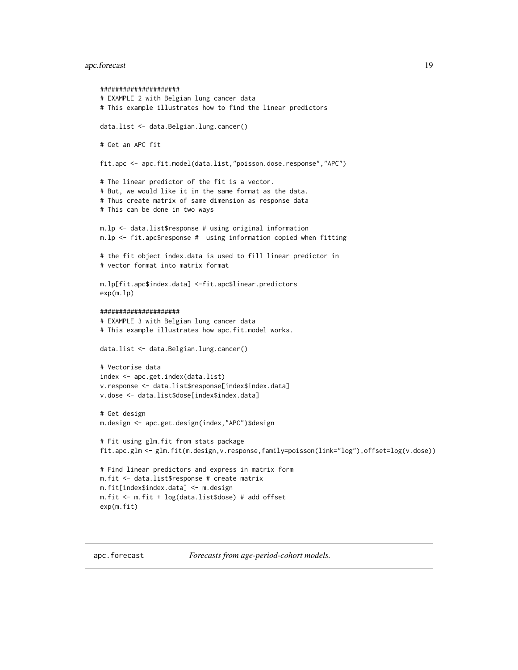## <span id="page-18-0"></span>apc.forecast 19

```
#####################
# EXAMPLE 2 with Belgian lung cancer data
# This example illustrates how to find the linear predictors
data.list <- data.Belgian.lung.cancer()
# Get an APC fit
fit.apc <- apc.fit.model(data.list,"poisson.dose.response","APC")
# The linear predictor of the fit is a vector.
# But, we would like it in the same format as the data.
# Thus create matrix of same dimension as response data
# This can be done in two ways
m.lp <- data.list$response # using original information
m.lp <- fit.apc$response # using information copied when fitting
# the fit object index.data is used to fill linear predictor in
# vector format into matrix format
m.lp[fit.apc$index.data] <-fit.apc$linear.predictors
exp(m.lp)
#####################
# EXAMPLE 3 with Belgian lung cancer data
# This example illustrates how apc.fit.model works.
data.list <- data.Belgian.lung.cancer()
# Vectorise data
index <- apc.get.index(data.list)
v.response <- data.list$response[index$index.data]
v.dose <- data.list$dose[index$index.data]
# Get design
m.design <- apc.get.design(index,"APC")$design
# Fit using glm.fit from stats package
fit.apc.glm <- glm.fit(m.design,v.response,family=poisson(link="log"),offset=log(v.dose))
# Find linear predictors and express in matrix form
m.fit <- data.list$response # create matrix
m.fit[index$index.data] <- m.design
m.fit <- m.fit + log(data.list$dose) # add offset
exp(m.fit)
```
<span id="page-18-1"></span>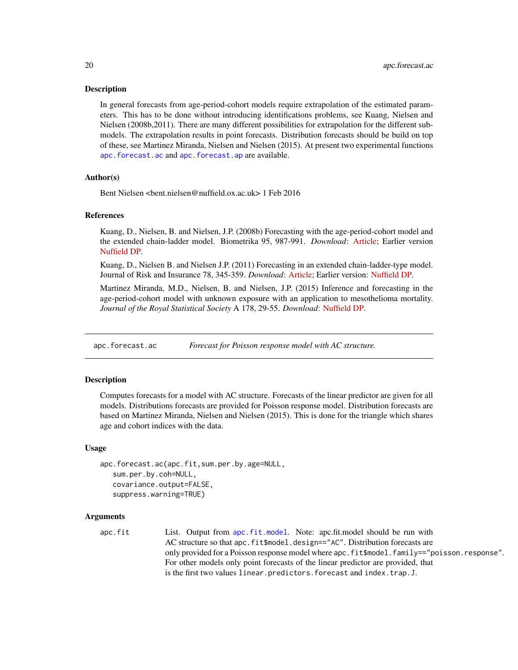#### <span id="page-19-0"></span>**Description**

In general forecasts from age-period-cohort models require extrapolation of the estimated parameters. This has to be done without introducing identifications problems, see Kuang, Nielsen and Nielsen (2008b,2011). There are many different possibilities for extrapolation for the different submodels. The extrapolation results in point forecasts. Distribution forecasts should be build on top of these, see Martinez Miranda, Nielsen and Nielsen (2015). At present two experimental functions [apc.forecast.ac](#page-19-1) and [apc.forecast.ap](#page-23-1) are available.

## Author(s)

Bent Nielsen <bent.nielsen@nuffield.ox.ac.uk> 1 Feb 2016

#### References

Kuang, D., Nielsen, B. and Nielsen, J.P. (2008b) Forecasting with the age-period-cohort model and the extended chain-ladder model. Biometrika 95, 987-991. *Download*: [Article;](http://biomet.oxfordjournals.org/cgi/reprint/95/4/987) Earlier version [Nuffield DP.](http://www.nuffield.ox.ac.uk/economics/papers/2008/w9/KuangNielsenNielsen_Forecast.pdf)

Kuang, D., Nielsen B. and Nielsen J.P. (2011) Forecasting in an extended chain-ladder-type model. Journal of Risk and Insurance 78, 345-359. *Download*: [Article;](http://dx.doi.org/10.1111/j.1539-6975.2010.01395.x) Earlier version: [Nuffield DP.](http://www.nuffield.ox.ac.uk/economics/papers/2010/w5/Forecast24jun10.pdf)

Martinez Miranda, M.D., Nielsen, B. and Nielsen, J.P. (2015) Inference and forecasting in the age-period-cohort model with unknown exposure with an application to mesothelioma mortality. *Journal of the Royal Statistical Society* A 178, 29-55. *Download*: [Nuffield DP.](http://www.nuffield.ox.ac.uk/economics/papers/2013/Asbestos8mar13.pdf)

<span id="page-19-1"></span>apc.forecast.ac *Forecast for Poisson response model with AC structure.*

#### **Description**

Computes forecasts for a model with AC structure. Forecasts of the linear predictor are given for all models. Distributions forecasts are provided for Poisson response model. Distribution forecasts are based on Martinez Miranda, Nielsen and Nielsen (2015). This is done for the triangle which shares age and cohort indices with the data.

#### Usage

```
apc.forecast.ac(apc.fit,sum.per.by.age=NULL,
  sum.per.by.coh=NULL,
  covariance.output=FALSE,
  suppress.warning=TRUE)
```
## Arguments

apc.fit List. Output from [apc.fit.model](#page-13-2). Note: apc.fit.model should be run with AC structure so that apc.fit\$model.design=="AC". Distribution forecasts are only provided for a Poisson response model where apc.fit\$model.family=="poisson.response". For other models only point forecasts of the linear predictor are provided, that is the first two values linear.predictors.forecast and index.trap.J.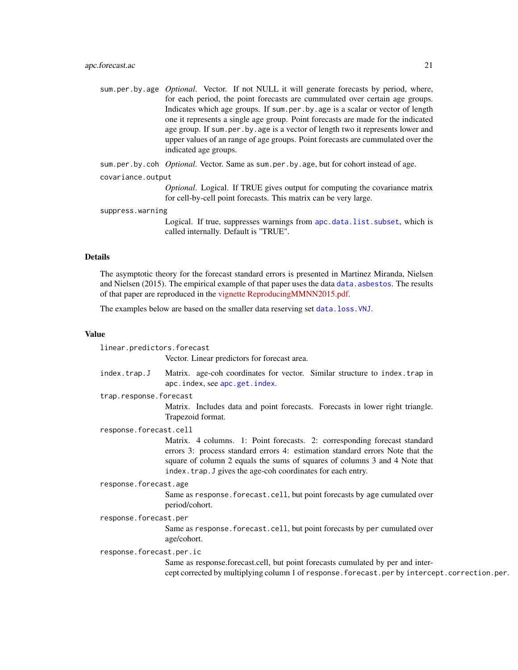<span id="page-20-0"></span>sum.per.by.age *Optional*. Vector. If not NULL it will generate forecasts by period, where, for each period, the point forecasts are cummulated over certain age groups. Indicates which age groups. If sum.per.by.age is a scalar or vector of length one it represents a single age group. Point forecasts are made for the indicated age group. If sum.per.by.age is a vector of length two it represents lower and upper values of an range of age groups. Point forecasts are cummulated over the indicated age groups.

sum.per.by.coh *Optional*. Vector. Same as sum.per.by.age, but for cohort instead of age.

#### covariance.output

*Optional*. Logical. If TRUE gives output for computing the covariance matrix for cell-by-cell point forecasts. This matrix can be very large.

suppress.warning

Logical. If true, suppresses warnings from [apc.data.list.subset](#page-10-1), which is called internally. Default is "TRUE".

## Details

The asymptotic theory for the forecast standard errors is presented in Martinez Miranda, Nielsen and Nielsen (2015). The empirical example of that paper uses the data data. asbestos. The results of that paper are reproduced in the [vignette](http://users.ox.ac.uk/~nuff0078/apc/index.htm) [ReproducingMMNN2015.pdf.](http://users.ox.ac.uk/~nuff0078/apc/vignettes/ReproducingMMNN2015.pdf)

The examples below are based on the smaller data reserving set [data.loss.VNJ](#page-62-1).

## Value

linear.predictors.forecast

Vector. Linear predictors for forecast area.

index.trap.J Matrix. age-coh coordinates for vector. Similar structure to index.trap in apc.index, see [apc.get.index](#page-28-1).

trap.response.forecast

Matrix. Includes data and point forecasts. Forecasts in lower right triangle. Trapezoid format.

response.forecast.cell

Matrix. 4 columns. 1: Point forecasts. 2: corresponding forecast standard errors 3: process standard errors 4: estimation standard errors Note that the square of column 2 equals the sums of squares of columns 3 and 4 Note that index.trap.J gives the age-coh coordinates for each entry.

#### response.forecast.age

Same as response.forecast.cell, but point forecasts by age cumulated over period/cohort.

#### response.forecast.per

Same as response.forecast.cell, but point forecasts by per cumulated over age/cohort.

#### response.forecast.per.ic

Same as response.forecast.cell, but point forecasts cumulated by per and intercept corrected by multiplying column 1 of response.forecast.per by intercept.correction.per.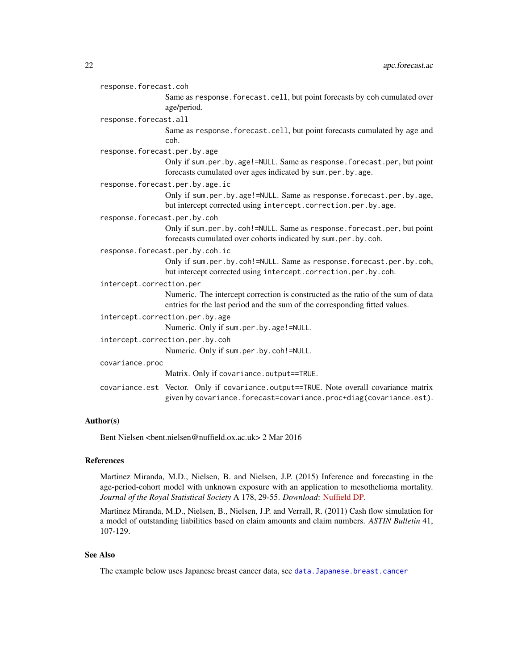<span id="page-21-0"></span>response.forecast.coh

Same as response.forecast.cell, but point forecasts by coh cumulated over age/period.

response.forecast.all

Same as response.forecast.cell, but point forecasts cumulated by age and coh.

response.forecast.per.by.age

Only if sum.per.by.age!=NULL. Same as response.forecast.per, but point forecasts cumulated over ages indicated by sum.per.by.age.

```
response.forecast.per.by.age.ic
```
Only if sum.per.by.age!=NULL. Same as response.forecast.per.by.age, but intercept corrected using intercept.correction.per.by.age.

response.forecast.per.by.coh

Only if sum.per.by.coh!=NULL. Same as response.forecast.per, but point forecasts cumulated over cohorts indicated by sum.per.by.coh.

response.forecast.per.by.coh.ic

Only if sum.per.by.coh!=NULL. Same as response.forecast.per.by.coh, but intercept corrected using intercept.correction.per.by.coh.

intercept.correction.per

Numeric. The intercept correction is constructed as the ratio of the sum of data entries for the last period and the sum of the corresponding fitted values.

intercept.correction.per.by.age

Numeric. Only if sum.per.by.age!=NULL.

intercept.correction.per.by.coh

Numeric. Only if sum.per.by.coh!=NULL.

covariance.proc

Matrix. Only if covariance.output==TRUE.

covariance.est Vector. Only if covariance.output==TRUE. Note overall covariance matrix given by covariance.forecast=covariance.proc+diag(covariance.est).

## Author(s)

Bent Nielsen <bent.nielsen@nuffield.ox.ac.uk> 2 Mar 2016

## References

Martinez Miranda, M.D., Nielsen, B. and Nielsen, J.P. (2015) Inference and forecasting in the age-period-cohort model with unknown exposure with an application to mesothelioma mortality. *Journal of the Royal Statistical Society* A 178, 29-55. *Download*: [Nuffield DP.](http://www.nuffield.ox.ac.uk/economics/papers/2013/Asbestos8mar13.pdf)

Martinez Miranda, M.D., Nielsen, B., Nielsen, J.P. and Verrall, R. (2011) Cash flow simulation for a model of outstanding liabilities based on claim amounts and claim numbers. *ASTIN Bulletin* 41, 107-129.

## See Also

The example below uses Japanese breast cancer data, see [data.Japanese.breast.cancer](#page-57-1)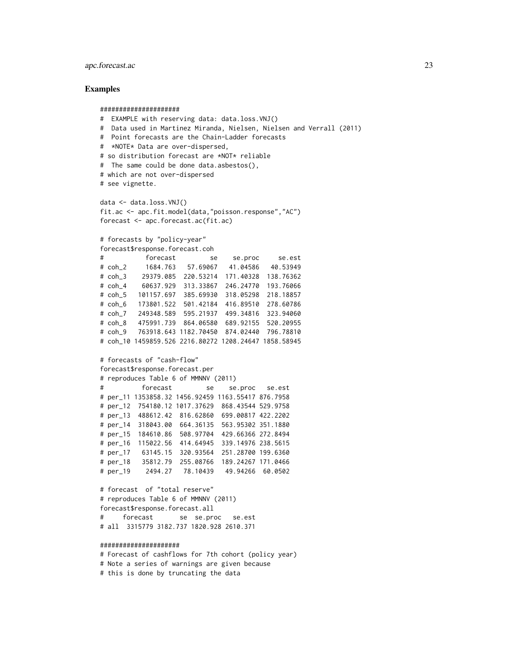## apc.forecast.ac 23

#### Examples

```
#####################
# EXAMPLE with reserving data: data.loss.VNJ()
# Data used in Martinez Miranda, Nielsen, Nielsen and Verrall (2011)
# Point forecasts are the Chain-Ladder forecasts
# *NOTE* Data are over-dispersed,
# so distribution forecast are *NOT* reliable
# The same could be done data.asbestos(),
# which are not over-dispersed
# see vignette.
data <- data.loss.VNJ()
fit.ac <- apc.fit.model(data,"poisson.response","AC")
forecast <- apc.forecast.ac(fit.ac)
# forecasts by "policy-year"
forecast$response.forecast.coh
# forecast se se.proc se.est
# coh_2 1684.763 57.69067 41.04586 40.53949
# coh_3 29379.085 220.53214 171.40328 138.76362
# coh_4 60637.929 313.33867 246.24770 193.76066
# coh_5 101157.697 385.69930 318.05298 218.18857
# coh_6 173801.522 501.42184 416.89510 278.60786
# coh_7 249348.589 595.21937 499.34816 323.94060
# coh_8 475991.739 864.06580 689.92155 520.20955
# coh_9 763918.643 1182.70450 874.02440 796.78810
# coh_10 1459859.526 2216.80272 1208.24647 1858.58945
# forecasts of "cash-flow"
forecast$response.forecast.per
# reproduces Table 6 of MMNNV (2011)
# forecast se se.proc se.est
# per_11 1353858.32 1456.92459 1163.55417 876.7958
# per_12 754180.12 1017.37629 868.43544 529.9758
# per_13 488612.42 816.62860 699.00817 422.2202
# per_14 318043.00 664.36135 563.95302 351.1880
# per_15 184610.86 508.97704 429.66366 272.8494
# per_16 115022.56 414.64945 339.14976 238.5615
# per_17 63145.15 320.93564 251.28700 199.6360
# per_18 35812.79 255.08766 189.24267 171.0466
# per_19 2494.27 78.10439 49.94266 60.0502
# forecast of "total reserve"
# reproduces Table 6 of MMNNV (2011)
forecast$response.forecast.all
# forecast se se.proc se.est
# all 3315779 3182.737 1820.928 2610.371
#####################
# Forecast of cashflows for 7th cohort (policy year)
# Note a series of warnings are given because
```
# this is done by truncating the data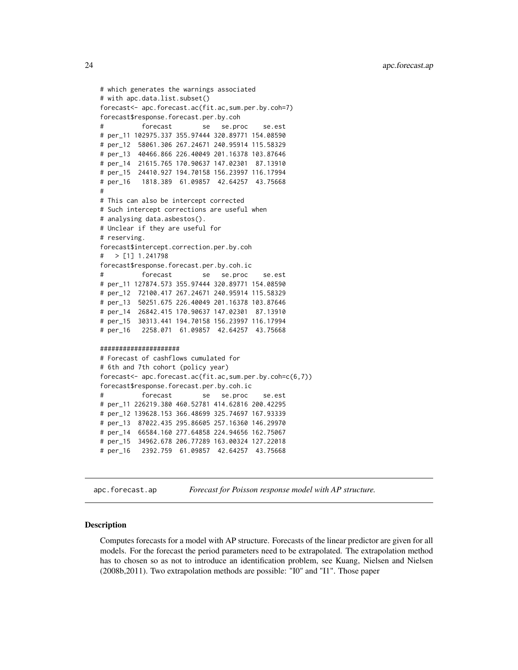<span id="page-23-0"></span>24 apc.forecast.ap

```
# which generates the warnings associated
# with apc.data.list.subset()
forecast<- apc.forecast.ac(fit.ac,sum.per.by.coh=7)
forecast$response.forecast.per.by.coh
# forecast se se.proc se.est
# per_11 102975.337 355.97444 320.89771 154.08590
# per_12 58061.306 267.24671 240.95914 115.58329
# per_13 40466.866 226.40049 201.16378 103.87646
# per_14 21615.765 170.90637 147.02301 87.13910
# per_15 24410.927 194.70158 156.23997 116.17994
# per_16 1818.389 61.09857 42.64257 43.75668
#
# This can also be intercept corrected
# Such intercept corrections are useful when
# analysing data.asbestos().
# Unclear if they are useful for
# reserving.
forecast$intercept.correction.per.by.coh
# > [1] 1.241798
forecast$response.forecast.per.by.coh.ic
# forecast se se.proc se.est
# per_11 127874.573 355.97444 320.89771 154.08590
# per_12 72100.417 267.24671 240.95914 115.58329
# per_13 50251.675 226.40049 201.16378 103.87646
# per_14 26842.415 170.90637 147.02301 87.13910
# per_15 30313.441 194.70158 156.23997 116.17994
# per_16 2258.071 61.09857 42.64257 43.75668
#####################
# Forecast of cashflows cumulated for
# 6th and 7th cohort (policy year)
forecast<- apc.forecast.ac(fit.ac,sum.per.by.coh=c(6,7))
forecast$response.forecast.per.by.coh.ic
# forecast se se.proc se.est
# per_11 226219.380 460.52781 414.62816 200.42295
# per_12 139628.153 366.48699 325.74697 167.93339
# per_13 87022.435 295.86605 257.16360 146.29970
# per_14 66584.160 277.64858 224.94656 162.75067
# per_15 34962.678 206.77289 163.00324 127.22018
# per_16 2392.759 61.09857 42.64257 43.75668
```
<span id="page-23-1"></span>apc.forecast.ap *Forecast for Poisson response model with AP structure.*

#### **Description**

Computes forecasts for a model with AP structure. Forecasts of the linear predictor are given for all models. For the forecast the period parameters need to be extrapolated. The extrapolation method has to chosen so as not to introduce an identification problem, see Kuang, Nielsen and Nielsen (2008b,2011). Two extrapolation methods are possible: "I0" and "I1". Those paper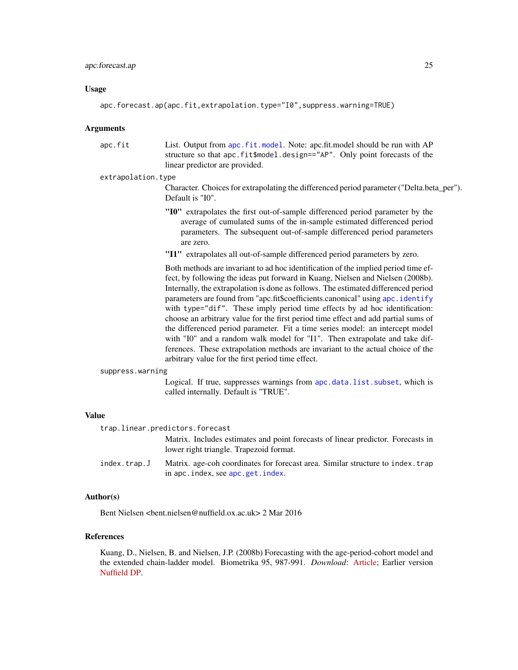#### <span id="page-24-0"></span>Usage

apc.forecast.ap(apc.fit,extrapolation.type="I0",suppress.warning=TRUE)

#### Arguments

apc.fit List. Output from [apc.fit.model](#page-13-2). Note: apc.fit.model should be run with AP structure so that apc.fit\$model.design=="AP". Only point forecasts of the linear predictor are provided.

#### extrapolation.type

Character. Choices for extrapolating the differenced period parameter ("Delta.beta\_per"). Default is "I0".

- "I0" extrapolates the first out-of-sample differenced period parameter by the average of cumulated sums of the in-sample estimated differenced period parameters. The subsequent out-of-sample differenced period parameters are zero.
- "I1" extrapolates all out-of-sample differenced period parameters by zero.

Both methods are invariant to ad hoc identification of the implied period time effect, by following the ideas put forward in Kuang, Nielsen and Nielsen (2008b). Internally, the extrapolation is done as follows. The estimated differenced period parameters are found from "apc.fit\$coefficients.canonical" using [apc.identify](#page-30-1) with type="dif". These imply period time effects by ad hoc identification: choose an arbitrary value for the first period time effect and add partial sums of the differenced period parameter. Fit a time series model: an intercept model with "I0" and a random walk model for "I1". Then extrapolate and take differences. These extrapolation methods are invariant to the actual choice of the arbitrary value for the first period time effect.

#### suppress.warning

Logical. If true, suppresses warnings from [apc.data.list.subset](#page-10-1), which is called internally. Default is "TRUE".

#### Value

| trap.linear.predictors.forecast |                                               |  |  |
|---------------------------------|-----------------------------------------------|--|--|
|                                 | Matrix. Includes estimates and point forecast |  |  |

ts of linear predictor. Forecasts in lower right triangle. Trapezoid format.

index.trap.J Matrix. age-coh coordinates for forecast area. Similar structure to index.trap in apc.index, see [apc.get.index](#page-28-1).

## Author(s)

Bent Nielsen <bent.nielsen@nuffield.ox.ac.uk> 2 Mar 2016

## References

Kuang, D., Nielsen, B. and Nielsen, J.P. (2008b) Forecasting with the age-period-cohort model and the extended chain-ladder model. Biometrika 95, 987-991. *Download*: [Article;](http://biomet.oxfordjournals.org/cgi/reprint/95/4/987) Earlier version [Nuffield DP.](http://www.nuffield.ox.ac.uk/economics/papers/2008/w9/KuangNielsenNielsen_Forecast.pdf)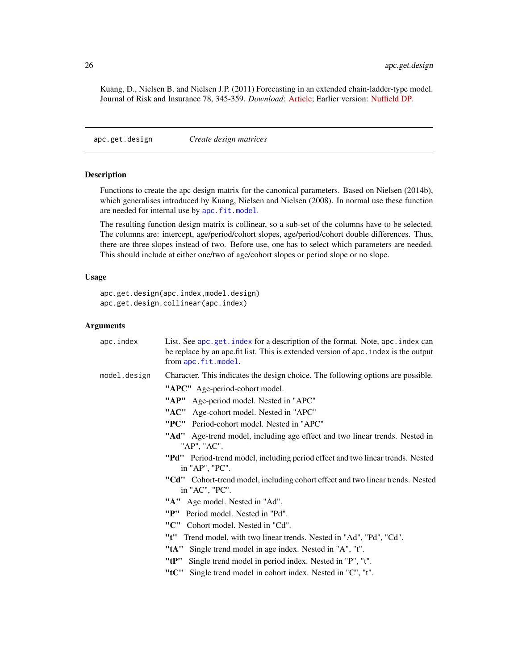<span id="page-25-0"></span>Kuang, D., Nielsen B. and Nielsen J.P. (2011) Forecasting in an extended chain-ladder-type model. Journal of Risk and Insurance 78, 345-359. *Download*: [Article;](http://dx.doi.org/10.1111/j.1539-6975.2010.01395.x) Earlier version: [Nuffield DP.](http://www.nuffield.ox.ac.uk/economics/papers/2010/w5/Forecast24jun10.pdf)

<span id="page-25-2"></span>apc.get.design *Create design matrices*

#### <span id="page-25-1"></span>Description

Functions to create the apc design matrix for the canonical parameters. Based on Nielsen (2014b), which generalises introduced by Kuang, Nielsen and Nielsen (2008). In normal use these function are needed for internal use by [apc.fit.model](#page-13-2).

The resulting function design matrix is collinear, so a sub-set of the columns have to be selected. The columns are: intercept, age/period/cohort slopes, age/period/cohort double differences. Thus, there are three slopes instead of two. Before use, one has to select which parameters are needed. This should include at either one/two of age/cohort slopes or period slope or no slope.

## Usage

```
apc.get.design(apc.index,model.design)
apc.get.design.collinear(apc.index)
```
## Arguments

| apc.index    | List. See apc.get.index for a description of the format. Note, apc.index can<br>be replace by an apc. fit list. This is extended version of apc. index is the output<br>from apc.fit.model. |
|--------------|---------------------------------------------------------------------------------------------------------------------------------------------------------------------------------------------|
| model.design | Character. This indicates the design choice. The following options are possible.                                                                                                            |
|              | "APC" Age-period-cohort model.                                                                                                                                                              |
|              | "AP" Age-period model. Nested in "APC"                                                                                                                                                      |
|              | "AC" Age-cohort model. Nested in "APC"                                                                                                                                                      |
|              | "PC" Period-cohort model. Nested in "APC"                                                                                                                                                   |
|              | "Ad" Age-trend model, including age effect and two linear trends. Nested in<br>"AP", "AC".                                                                                                  |
|              | "Pd" Period-trend model, including period effect and two linear trends. Nested<br>in "AP", "PC".                                                                                            |
|              | "Cd" Cohort-trend model, including cohort effect and two linear trends. Nested<br>in "AC", "PC".                                                                                            |
|              | "A" Age model. Nested in "Ad".                                                                                                                                                              |
|              | "P" Period model. Nested in "Pd".                                                                                                                                                           |
|              | "C" Cohort model. Nested in "Cd".                                                                                                                                                           |
|              | "t"<br>Trend model, with two linear trends. Nested in "Ad", "Pd", "Cd".                                                                                                                     |
|              | "tA" Single trend model in age index. Nested in "A", "t".                                                                                                                                   |
|              | "tP" Single trend model in period index. Nested in "P", "t".                                                                                                                                |
|              | "tC"<br>Single trend model in cohort index. Nested in "C", "t".                                                                                                                             |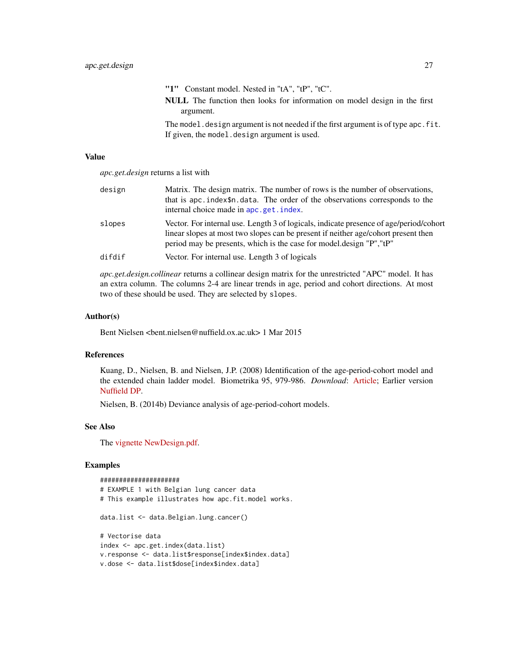<span id="page-26-0"></span>"1" Constant model. Nested in "tA", "tP", "tC". NULL The function then looks for information on model design in the first argument.

The model.design argument is not needed if the first argument is of type apc.fit. If given, the model.design argument is used.

#### Value

*apc.get.design* returns a list with

| design | Matrix. The design matrix. The number of rows is the number of observations,<br>that is apc. index\$n. data. The order of the observations corresponds to the<br>internal choice made in apc.get.index.                                              |
|--------|------------------------------------------------------------------------------------------------------------------------------------------------------------------------------------------------------------------------------------------------------|
| slopes | Vector. For internal use. Length 3 of logicals, indicate presence of age/period/cohort<br>linear slopes at most two slopes can be present if neither age/cohort present then<br>period may be presents, which is the case for model design "P", "tP" |
| difdif | Vector. For internal use. Length 3 of logicals                                                                                                                                                                                                       |

*apc.get.design.collinear* returns a collinear design matrix for the unrestricted "APC" model. It has an extra column. The columns 2-4 are linear trends in age, period and cohort directions. At most two of these should be used. They are selected by slopes.

#### Author(s)

Bent Nielsen <bent.nielsen@nuffield.ox.ac.uk> 1 Mar 2015

## References

Kuang, D., Nielsen, B. and Nielsen, J.P. (2008) Identification of the age-period-cohort model and the extended chain ladder model. Biometrika 95, 979-986. *Download*: [Article;](http://biomet.oxfordjournals.org/cgi/reprint/95/4/979) Earlier version [Nuffield DP.](http://www.nuffield.ox.ac.uk/economics/papers/2007/w5/KuangNielsenNielsen07.pdf)

Nielsen, B. (2014b) Deviance analysis of age-period-cohort models.

## See Also

The [vignette](http://users.ox.ac.uk/~nuff0078/apc/index.htm) [NewDesign.pdf.](http://users.ox.ac.uk/~nuff0078/apc/vignettes/NewDesign.pdf)

## Examples

#### #####################

```
# EXAMPLE 1 with Belgian lung cancer data
# This example illustrates how apc.fit.model works.
data.list <- data.Belgian.lung.cancer()
# Vectorise data
index <- apc.get.index(data.list)
v.response <- data.list$response[index$index.data]
v.dose <- data.list$dose[index$index.data]
```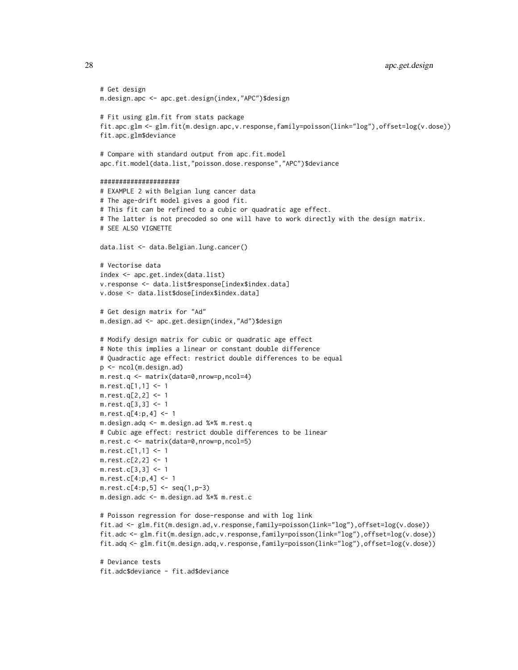28 apc.get.design

```
# Get design
m.design.apc <- apc.get.design(index,"APC")$design
# Fit using glm.fit from stats package
fit.apc.glm <- glm.fit(m.design.apc,v.response,family=poisson(link="log"),offset=log(v.dose))
fit.apc.glm$deviance
# Compare with standard output from apc.fit.model
apc.fit.model(data.list,"poisson.dose.response","APC")$deviance
#####################
# EXAMPLE 2 with Belgian lung cancer data
# The age-drift model gives a good fit.
# This fit can be refined to a cubic or quadratic age effect.
# The latter is not precoded so one will have to work directly with the design matrix.
# SEE ALSO VIGNETTE
data.list <- data.Belgian.lung.cancer()
# Vectorise data
index <- apc.get.index(data.list)
v.response <- data.list$response[index$index.data]
v.dose <- data.list$dose[index$index.data]
# Get design matrix for "Ad"
m.design.ad <- apc.get.design(index,"Ad")$design
# Modify design matrix for cubic or quadratic age effect
# Note this implies a linear or constant double difference
# Quadractic age effect: restrict double differences to be equal
p <- ncol(m.design.ad)
m.rest.q <- matrix(data=0,nrow=p,ncol=4)
m.rest.q[1,1] <- 1
m.rest.q[2,2] < -1m.rest.q[3,3] <- 1
m.rest.q[4:p,4] <- 1
m.design.adq <- m.design.ad %*% m.rest.q
# Cubic age effect: restrict double differences to be linear
m.rest.c <- matrix(data=0,nrow=p,ncol=5)
m.rest.c[1,1] <- 1
m.rest.c[2,2] <- 1
m.rest.c[3,3] <- 1
m.rest.c[4:p,4] <- 1
m.rest.c[4:p,5] < -seq(1,p-3)m.design.adc <- m.design.ad %*% m.rest.c
# Poisson regression for dose-response and with log link
fit.ad <- glm.fit(m.design.ad,v.response,family=poisson(link="log"),offset=log(v.dose))
fit.adc <- glm.fit(m.design.adc,v.response,family=poisson(link="log"),offset=log(v.dose))
fit.adq <- glm.fit(m.design.adq,v.response,family=poisson(link="log"),offset=log(v.dose))
```
# Deviance tests fit.adc\$deviance - fit.ad\$deviance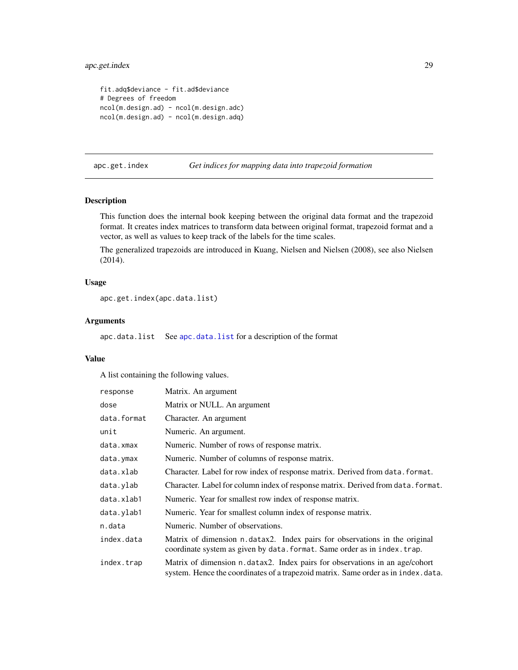## <span id="page-28-0"></span>apc.get.index 29

```
fit.adq$deviance - fit.ad$deviance
# Degrees of freedom
ncol(m.design.ad) - ncol(m.design.adc)
ncol(m.design.ad) - ncol(m.design.adq)
```
<span id="page-28-1"></span>apc.get.index *Get indices for mapping data into trapezoid formation*

## Description

This function does the internal book keeping between the original data format and the trapezoid format. It creates index matrices to transform data between original format, trapezoid format and a vector, as well as values to keep track of the labels for the time scales.

The generalized trapezoids are introduced in Kuang, Nielsen and Nielsen (2008), see also Nielsen (2014).

#### Usage

```
apc.get.index(apc.data.list)
```
## Arguments

[apc.data.list](#page-6-1) See apc.data.list for a description of the format

## Value

A list containing the following values.

| response    | Matrix. An argument                                                                                                                                              |
|-------------|------------------------------------------------------------------------------------------------------------------------------------------------------------------|
| dose        | Matrix or NULL. An argument                                                                                                                                      |
| data.format | Character. An argument                                                                                                                                           |
| unit        | Numeric. An argument.                                                                                                                                            |
| data.xmax   | Numeric. Number of rows of response matrix.                                                                                                                      |
| data.ymax   | Numeric. Number of columns of response matrix.                                                                                                                   |
| data.xlab   | Character. Label for row index of response matrix. Derived from data. format.                                                                                    |
| data.ylab   | Character. Label for column index of response matrix. Derived from data. format.                                                                                 |
| data.xlab1  | Numeric. Year for smallest row index of response matrix.                                                                                                         |
| data.ylab1  | Numeric. Year for smallest column index of response matrix.                                                                                                      |
| n.data      | Numeric. Number of observations.                                                                                                                                 |
| index.data  | Matrix of dimension n.datax2. Index pairs for observations in the original<br>coordinate system as given by data. format. Same order as in index. trap.          |
| index.trap  | Matrix of dimension n.datax2. Index pairs for observations in an age/cohort<br>system. Hence the coordinates of a trapezoid matrix. Same order as in index.data. |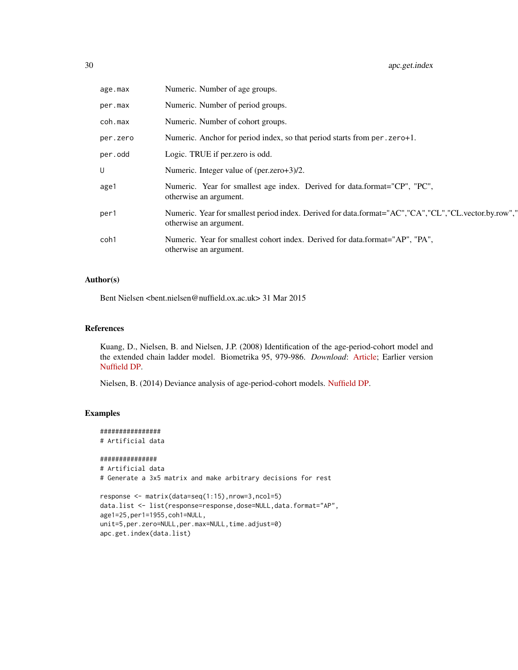| age.max  | Numeric. Number of age groups.                                                                                                 |
|----------|--------------------------------------------------------------------------------------------------------------------------------|
| per.max  | Numeric. Number of period groups.                                                                                              |
| coh.max  | Numeric. Number of cohort groups.                                                                                              |
| per.zero | Numeric. Anchor for period index, so that period starts from per . zero+1.                                                     |
| per.odd  | Logic. TRUE if per zero is odd.                                                                                                |
| U        | Numeric. Integer value of (per.zero+3)/2.                                                                                      |
| age1     | Numeric. Year for smallest age index. Derived for data.format="CP", "PC",<br>otherwise an argument.                            |
| per1     | Numeric. Year for smallest period index. Derived for data.format="AC","CA","CL","CL.vector.by.row","<br>otherwise an argument. |
| coh1     | Numeric. Year for smallest cohort index. Derived for data.format="AP", "PA",<br>otherwise an argument.                         |

## Author(s)

Bent Nielsen <bent.nielsen@nuffield.ox.ac.uk> 31 Mar 2015

## References

Kuang, D., Nielsen, B. and Nielsen, J.P. (2008) Identification of the age-period-cohort model and the extended chain ladder model. Biometrika 95, 979-986. *Download*: [Article;](http://biomet.oxfordjournals.org/cgi/reprint/95/4/979) Earlier version [Nuffield DP.](http://www.nuffield.ox.ac.uk/economics/papers/2007/w5/KuangNielsenNielsen07.pdf)

Nielsen, B. (2014) Deviance analysis of age-period-cohort models. [Nuffield DP.](http://www.nuffield.ox.ac.uk/economics/papers/2014/apc_deviance.pdf)

## Examples

```
################
# Artificial data
###############
# Artificial data
# Generate a 3x5 matrix and make arbitrary decisions for rest
```

```
response <- matrix(data=seq(1:15),nrow=3,ncol=5)
data.list <- list(response=response,dose=NULL,data.format="AP",
age1=25,per1=1955,coh1=NULL,
unit=5,per.zero=NULL,per.max=NULL,time.adjust=0)
apc.get.index(data.list)
```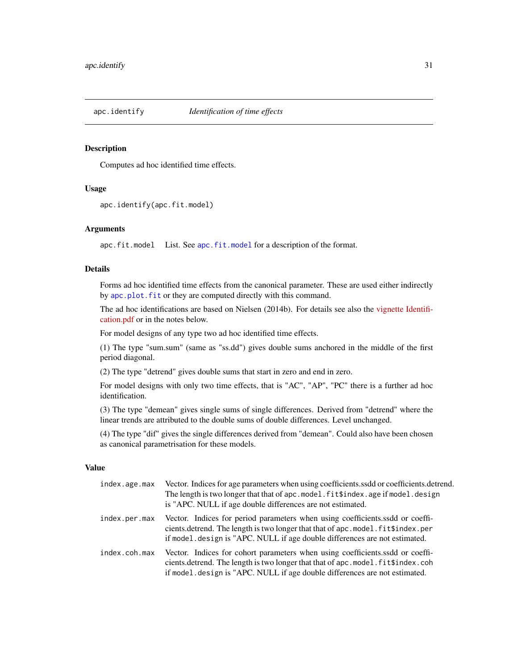<span id="page-30-1"></span><span id="page-30-0"></span>

## Description

Computes ad hoc identified time effects.

#### Usage

apc.identify(apc.fit.model)

#### Arguments

[apc.fit.model](#page-13-2) List. See apc.fit.model for a description of the format.

#### Details

Forms ad hoc identified time effects from the canonical parameter. These are used either indirectly by [apc.plot.fit](#page-42-1) or they are computed directly with this command.

The ad hoc identifications are based on Nielsen (2014b). For details see also the [vignette](http://users.ox.ac.uk/~nuff0078/apc/index.htm) [Identifi](http://users.ox.ac.uk/~nuff0078/apc/vignettes/Identification.pdf)[cation.pdf](http://users.ox.ac.uk/~nuff0078/apc/vignettes/Identification.pdf) or in the notes below.

For model designs of any type two ad hoc identified time effects.

(1) The type "sum.sum" (same as "ss.dd") gives double sums anchored in the middle of the first period diagonal.

(2) The type "detrend" gives double sums that start in zero and end in zero.

For model designs with only two time effects, that is "AC", "AP", "PC" there is a further ad hoc identification.

(3) The type "demean" gives single sums of single differences. Derived from "detrend" where the linear trends are attributed to the double sums of double differences. Level unchanged.

(4) The type "dif" gives the single differences derived from "demean". Could also have been chosen as canonical parametrisation for these models.

#### Value

| index.age.max | Vector. Indices for age parameters when using coefficients.ssdd or coefficients.detrend.<br>The length is two longer that that of apc. model. fit \$index. age if model. design<br>is "APC. NULL if age double differences are not estimated.   |
|---------------|-------------------------------------------------------------------------------------------------------------------------------------------------------------------------------------------------------------------------------------------------|
| index.per.max | Vector. Indices for period parameters when using coefficients ssdd or coeffi-<br>cients.detrend. The length is two longer that that of apc.model.fit\$index.per<br>if model design is "APC. NULL if age double differences are not estimated.   |
| index.coh.max | Vector. Indices for cohort parameters when using coefficients ssdd or coeffi-<br>cients.detrend. The length is two longer that that of apc.model. fittlindex.coh<br>if model. design is "APC. NULL if age double differences are not estimated. |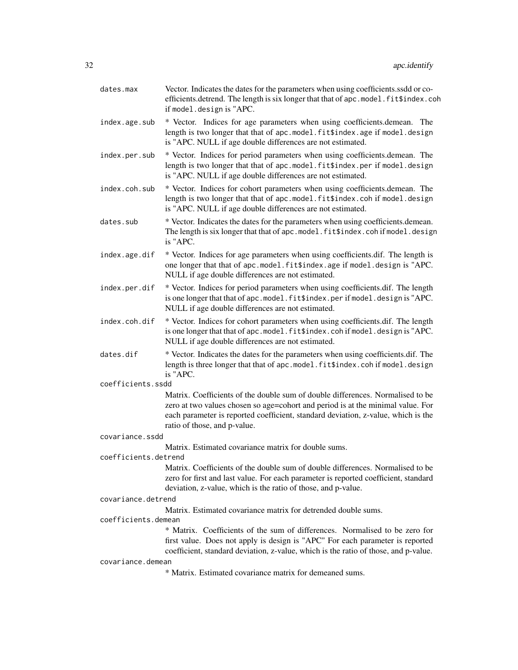| dates.max            | Vector. Indicates the dates for the parameters when using coefficients.ssdd or co-<br>efficients.detrend. The length is six longer that that of apc.model.fit\$index.coh<br>if model.design is "APC.                                                                                   |
|----------------------|----------------------------------------------------------------------------------------------------------------------------------------------------------------------------------------------------------------------------------------------------------------------------------------|
| index.age.sub        | * Vector. Indices for age parameters when using coefficients.demean. The<br>length is two longer that that of apc.model.fit\$index.age if model.design<br>is "APC. NULL if age double differences are not estimated.                                                                   |
| index.per.sub        | * Vector. Indices for period parameters when using coefficients.demean. The<br>length is two longer that that of apc.model.fit\$index.per if model.design<br>is "APC. NULL if age double differences are not estimated.                                                                |
| index.coh.sub        | * Vector. Indices for cohort parameters when using coefficients.demean. The<br>length is two longer that that of apc.model.fit\$index.coh if model.design<br>is "APC. NULL if age double differences are not estimated.                                                                |
| dates.sub            | * Vector. Indicates the dates for the parameters when using coefficients.demean.<br>The length is six longer that that of apc.model.fit\$index.cohif model.design<br>is "APC.                                                                                                          |
| index.age.dif        | * Vector. Indices for age parameters when using coefficients.dif. The length is<br>one longer that that of apc.model.fit\$index.age if model.design is "APC.<br>NULL if age double differences are not estimated.                                                                      |
| index.per.dif        | * Vector. Indices for period parameters when using coefficients.dif. The length<br>is one longer that that of apc.model.fit\$index.per if model.design is "APC.<br>NULL if age double differences are not estimated.                                                                   |
| index.coh.dif        | * Vector. Indices for cohort parameters when using coefficients dif. The length<br>is one longer that that of apc.model.fit\$index.cohif model.design is "APC.<br>NULL if age double differences are not estimated.                                                                    |
| dates.dif            | * Vector. Indicates the dates for the parameters when using coefficients.dif. The<br>length is three longer that that of apc.model.fit\$index.coh if model.design<br>is "APC.                                                                                                          |
| coefficients.ssdd    |                                                                                                                                                                                                                                                                                        |
|                      | Matrix. Coefficients of the double sum of double differences. Normalised to be<br>zero at two values chosen so age=cohort and period is at the minimal value. For<br>each parameter is reported coefficient, standard deviation, z-value, which is the<br>ratio of those, and p-value. |
| covariance.ssdd      |                                                                                                                                                                                                                                                                                        |
|                      | Matrix. Estimated covariance matrix for double sums.                                                                                                                                                                                                                                   |
| coefficients.detrend | Matrix. Coefficients of the double sum of double differences. Normalised to be<br>zero for first and last value. For each parameter is reported coefficient, standard<br>deviation, z-value, which is the ratio of those, and p-value.                                                 |
| covariance.detrend   |                                                                                                                                                                                                                                                                                        |
|                      | Matrix. Estimated covariance matrix for detrended double sums.                                                                                                                                                                                                                         |
| coefficients.demean  |                                                                                                                                                                                                                                                                                        |
|                      | * Matrix. Coefficients of the sum of differences. Normalised to be zero for<br>first value. Does not apply is design is "APC" For each parameter is reported<br>coefficient, standard deviation, z-value, which is the ratio of those, and p-value.                                    |
| covariance.demean    | * Matrix. Estimated covariance matrix for demeaned sums.                                                                                                                                                                                                                               |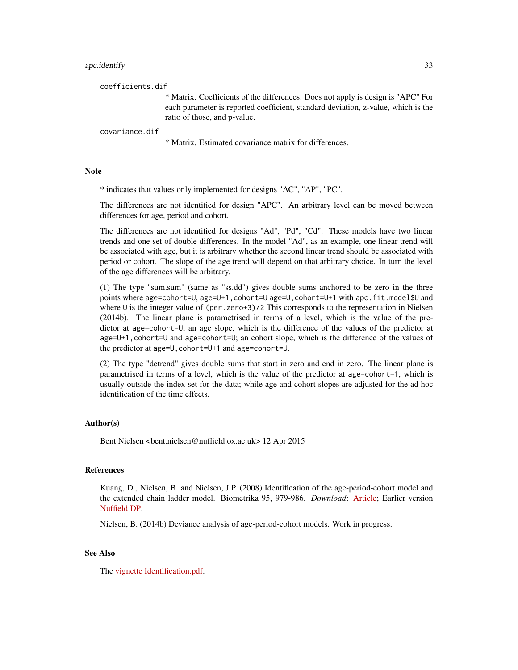#### apc.identify 33

coefficients.dif

\* Matrix. Coefficients of the differences. Does not apply is design is "APC" For each parameter is reported coefficient, standard deviation, z-value, which is the ratio of those, and p-value.

#### covariance.dif

\* Matrix. Estimated covariance matrix for differences.

#### **Note**

\* indicates that values only implemented for designs "AC", "AP", "PC".

The differences are not identified for design "APC". An arbitrary level can be moved between differences for age, period and cohort.

The differences are not identified for designs "Ad", "Pd", "Cd". These models have two linear trends and one set of double differences. In the model "Ad", as an example, one linear trend will be associated with age, but it is arbitrary whether the second linear trend should be associated with period or cohort. The slope of the age trend will depend on that arbitrary choice. In turn the level of the age differences will be arbitrary.

(1) The type "sum.sum" (same as "ss.dd") gives double sums anchored to be zero in the three points where age=cohort=U, age=U+1,cohort=U age=U,cohort=U+1 with apc.fit.model\$U and where U is the integer value of (per.zero+3)/2 This corresponds to the representation in Nielsen (2014b). The linear plane is parametrised in terms of a level, which is the value of the predictor at age=cohort=U; an age slope, which is the difference of the values of the predictor at age=U+1,cohort=U and age=cohort=U; an cohort slope, which is the difference of the values of the predictor at age=U,cohort=U+1 and age=cohort=U.

(2) The type "detrend" gives double sums that start in zero and end in zero. The linear plane is parametrised in terms of a level, which is the value of the predictor at age=cohort=1, which is usually outside the index set for the data; while age and cohort slopes are adjusted for the ad hoc identification of the time effects.

#### Author(s)

Bent Nielsen <bent.nielsen@nuffield.ox.ac.uk> 12 Apr 2015

## References

Kuang, D., Nielsen, B. and Nielsen, J.P. (2008) Identification of the age-period-cohort model and the extended chain ladder model. Biometrika 95, 979-986. *Download*: [Article;](http://biomet.oxfordjournals.org/cgi/reprint/95/4/979) Earlier version [Nuffield DP.](http://www.nuffield.ox.ac.uk/economics/papers/2007/w5/KuangNielsenNielsen07.pdf)

Nielsen, B. (2014b) Deviance analysis of age-period-cohort models. Work in progress.

## See Also

The [vignette](http://users.ox.ac.uk/~nuff0078/apc/index.htm) [Identification.pdf.](http://users.ox.ac.uk/~nuff0078/apc/vignettes/Identification.pdf)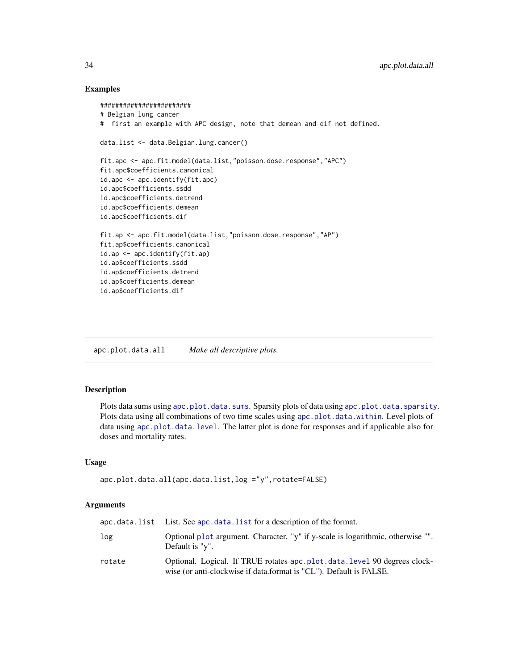## Examples

```
########################
# Belgian lung cancer
# first an example with APC design, note that demean and dif not defined.
data.list <- data.Belgian.lung.cancer()
fit.apc <- apc.fit.model(data.list,"poisson.dose.response","APC")
fit.apc$coefficients.canonical
id.apc <- apc.identify(fit.apc)
id.apc$coefficients.ssdd
id.apc$coefficients.detrend
id.apc$coefficients.demean
id.apc$coefficients.dif
fit.ap <- apc.fit.model(data.list,"poisson.dose.response","AP")
fit.ap$coefficients.canonical
id.ap <- apc.identify(fit.ap)
id.ap$coefficients.ssdd
id.ap$coefficients.detrend
id.ap$coefficients.demean
id.ap$coefficients.dif
```
<span id="page-33-1"></span>apc.plot.data.all *Make all descriptive plots.*

## Description

Plots data sums using [apc.plot.data.sums](#page-37-1). Sparsity plots of data using [apc.plot.data.sparsity](#page-36-1). Plots data using all combinations of two time scales using [apc.plot.data.within](#page-39-1). Level plots of data using [apc.plot.data.level](#page-34-1). The latter plot is done for responses and if applicable also for doses and mortality rates.

#### Usage

```
apc.plot.data.all(apc.data.list,log ="y",rotate=FALSE)
```
#### Arguments

|        | $apc.data.list$ List. See apc. data. list for a description of the format.                                                                        |
|--------|---------------------------------------------------------------------------------------------------------------------------------------------------|
| log    | Optional plot argument. Character. "y" if y-scale is logarithmic, otherwise "".<br>Default is "y".                                                |
| rotate | Optional. Logical. If TRUE rotates apc. plot. data. level 90 degrees clock-<br>wise (or anti-clockwise if data.format is "CL"). Default is FALSE. |

<span id="page-33-0"></span>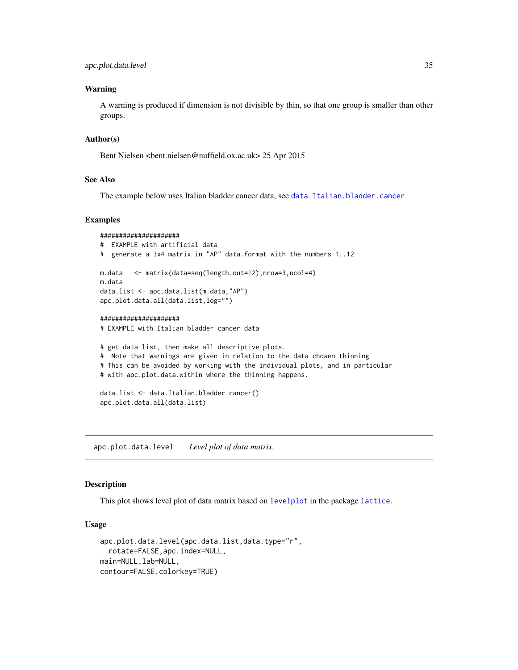#### <span id="page-34-0"></span>Warning

A warning is produced if dimension is not divisible by thin, so that one group is smaller than other groups.

## Author(s)

Bent Nielsen <bent.nielsen@nuffield.ox.ac.uk> 25 Apr 2015

## See Also

The example below uses Italian bladder cancer data, see [data.Italian.bladder.cancer](#page-55-1)

#### Examples

```
#####################
# EXAMPLE with artificial data
# generate a 3x4 matrix in "AP" data.format with the numbers 1..12
m.data <- matrix(data=seq(length.out=12),nrow=3,ncol=4)
m.data
data.list <- apc.data.list(m.data,"AP")
apc.plot.data.all(data.list,log="")
#####################
# EXAMPLE with Italian bladder cancer data
# get data list, then make all descriptive plots.
# Note that warnings are given in relation to the data chosen thinning
# This can be avoided by working with the individual plots, and in particular
# with apc.plot.data.within where the thinning happens.
data.list <- data.Italian.bladder.cancer()
apc.plot.data.all(data.list)
```
<span id="page-34-1"></span>apc.plot.data.level *Level plot of data matrix.*

#### Description

This plot shows level plot of data matrix based on [levelplot](#page-0-0) in the package [lattice](#page-0-0).

#### Usage

```
apc.plot.data.level(apc.data.list,data.type="r",
  rotate=FALSE,apc.index=NULL,
main=NULL,lab=NULL,
contour=FALSE,colorkey=TRUE)
```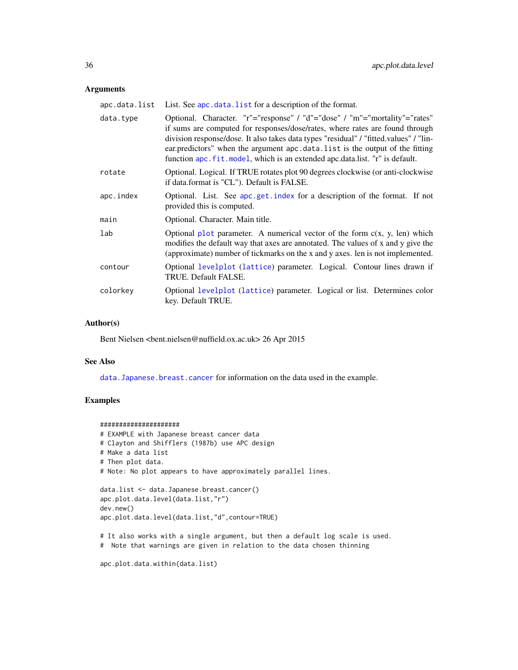#### <span id="page-35-0"></span>Arguments

| apc.data.list | List. See apc. data. list for a description of the format.                                                                                                                                                                                                                                                                                                                                                           |
|---------------|----------------------------------------------------------------------------------------------------------------------------------------------------------------------------------------------------------------------------------------------------------------------------------------------------------------------------------------------------------------------------------------------------------------------|
| data.type     | Optional. Character. "r"="response" / "d"="dose" / "m"="mortality"="rates"<br>if sums are computed for responses/dose/rates, where rates are found through<br>division response/dose. It also takes data types "residual" / "fitted.values" / "lin-<br>ear.predictors" when the argument apc.data.list is the output of the fitting<br>function apc. fit. model, which is an extended apc.data.list. "r" is default. |
| rotate        | Optional. Logical. If TRUE rotates plot 90 degrees clockwise (or anti-clockwise<br>if data.format is "CL"). Default is FALSE.                                                                                                                                                                                                                                                                                        |
| apc.index     | Optional. List. See apc.get.index for a description of the format. If not<br>provided this is computed.                                                                                                                                                                                                                                                                                                              |
| main          | Optional. Character. Main title.                                                                                                                                                                                                                                                                                                                                                                                     |
| lab           | Optional plot parameter. A numerical vector of the form $c(x, y, len)$ which<br>modifies the default way that axes are annotated. The values of x and y give the<br>(approximate) number of tickmarks on the x and y axes. len is not implemented.                                                                                                                                                                   |
| contour       | Optional levelplot (lattice) parameter. Logical. Contour lines drawn if<br>TRUE. Default FALSE.                                                                                                                                                                                                                                                                                                                      |
| colorkey      | Optional levelplot (lattice) parameter. Logical or list. Determines color<br>key. Default TRUE.                                                                                                                                                                                                                                                                                                                      |

#### Author(s)

Bent Nielsen <bent.nielsen@nuffield.ox.ac.uk> 26 Apr 2015

#### See Also

[data.Japanese.breast.cancer](#page-57-1) for information on the data used in the example.

## Examples

```
#####################
# EXAMPLE with Japanese breast cancer data
# Clayton and Shifflers (1987b) use APC design
# Make a data list
# Then plot data.
# Note: No plot appears to have approximately parallel lines.
data.list <- data.Japanese.breast.cancer()
apc.plot.data.level(data.list,"r")
dev.new()
apc.plot.data.level(data.list,"d",contour=TRUE)
# It also works with a single argument, but then a default log scale is used.
# Note that warnings are given in relation to the data chosen thinning
```
apc.plot.data.within(data.list)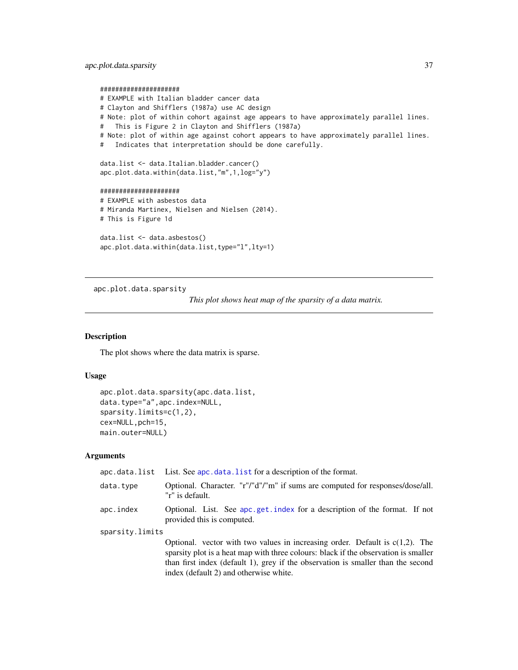<span id="page-36-0"></span>apc.plot.data.sparsity 37

```
#####################
# EXAMPLE with Italian bladder cancer data
# Clayton and Shifflers (1987a) use AC design
# Note: plot of within cohort against age appears to have approximately parallel lines.
# This is Figure 2 in Clayton and Shifflers (1987a)
# Note: plot of within age against cohort appears to have approximately parallel lines.
# Indicates that interpretation should be done carefully.
data.list <- data.Italian.bladder.cancer()
apc.plot.data.within(data.list,"m",1,log="y")
#####################
# EXAMPLE with asbestos data
# Miranda Martinex, Nielsen and Nielsen (2014).
# This is Figure 1d
data.list <- data.asbestos()
```

```
apc.plot.data.within(data.list,type="l",lty=1)
```
<span id="page-36-1"></span>apc.plot.data.sparsity

*This plot shows heat map of the sparsity of a data matrix.*

#### Description

The plot shows where the data matrix is sparse.

## Usage

```
apc.plot.data.sparsity(apc.data.list,
data.type="a",apc.index=NULL,
sparsity.limits=c(1,2),
cex=NULL,pch=15,
main.outer=NULL)
```
## Arguments

|                 | apc.data.list List. See apc.data.list for a description of the format.                                                                                                                                                                                     |
|-----------------|------------------------------------------------------------------------------------------------------------------------------------------------------------------------------------------------------------------------------------------------------------|
| data.type       | Optional. Character. "r"/"d"/"m" if sums are computed for responses/dose/all.<br>"r" is default.                                                                                                                                                           |
| apc.index       | Optional. List. See apc.get.index for a description of the format. If not<br>provided this is computed.                                                                                                                                                    |
| sparsity.limits |                                                                                                                                                                                                                                                            |
|                 | Optional. vector with two values in increasing order. Default is $c(1,2)$ . The<br>sparsity plot is a heat map with three colours: black if the observation is smaller<br>than first index (default 1), grey if the observation is smaller than the second |

index (default 2) and otherwise white.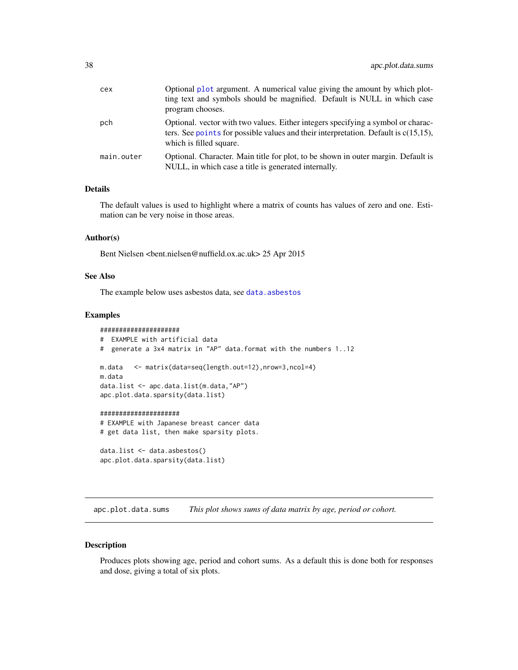<span id="page-37-0"></span>

| cex        | Optional plot argument. A numerical value giving the amount by which plot-<br>ting text and symbols should be magnified. Default is NULL in which case<br>program chooses.                            |
|------------|-------------------------------------------------------------------------------------------------------------------------------------------------------------------------------------------------------|
| pch        | Optional. vector with two values. Either integers specifying a symbol or charac-<br>ters. See points for possible values and their interpretation. Default is $c(15,15)$ ,<br>which is filled square. |
| main.outer | Optional. Character. Main title for plot, to be shown in outer margin. Default is<br>NULL, in which case a title is generated internally.                                                             |

#### Details

The default values is used to highlight where a matrix of counts has values of zero and one. Estimation can be very noise in those areas.

## Author(s)

Bent Nielsen <bent.nielsen@nuffield.ox.ac.uk> 25 Apr 2015

## See Also

The example below uses asbestos data, see [data.asbestos](#page-52-1)

#### Examples

```
#####################
# EXAMPLE with artificial data
# generate a 3x4 matrix in "AP" data.format with the numbers 1..12
m.data <- matrix(data=seq(length.out=12),nrow=3,ncol=4)
m.data
data.list <- apc.data.list(m.data,"AP")
apc.plot.data.sparsity(data.list)
#####################
# EXAMPLE with Japanese breast cancer data
```

```
# get data list, then make sparsity plots.
```

```
data.list <- data.asbestos()
apc.plot.data.sparsity(data.list)
```
<span id="page-37-1"></span>apc.plot.data.sums *This plot shows sums of data matrix by age, period or cohort.*

## Description

Produces plots showing age, period and cohort sums. As a default this is done both for responses and dose, giving a total of six plots.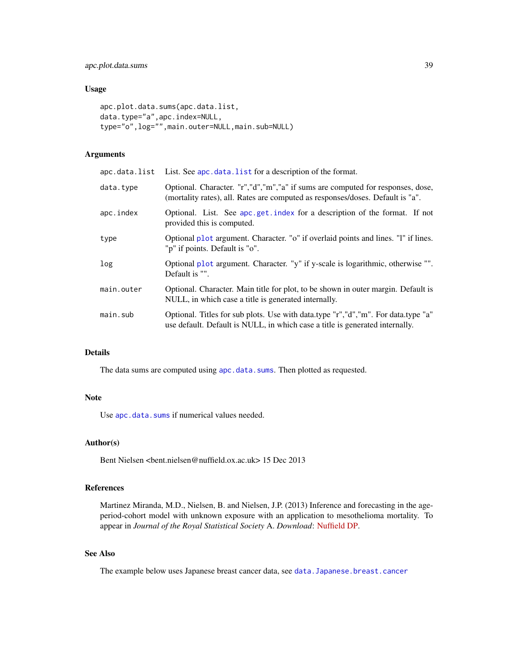## <span id="page-38-0"></span>Usage

```
apc.plot.data.sums(apc.data.list,
data.type="a",apc.index=NULL,
type="o",log="",main.outer=NULL,main.sub=NULL)
```
## Arguments

| apc.data.list | List. See apc. data. list for a description of the format.                                                                                                        |
|---------------|-------------------------------------------------------------------------------------------------------------------------------------------------------------------|
| data.type     | Optional. Character. "r","d","m","a" if sums are computed for responses, dose,<br>(mortality rates), all. Rates are computed as responses/doses. Default is "a".  |
| apc.index     | Optional. List. See apc.get.index for a description of the format. If not<br>provided this is computed.                                                           |
| type          | Optional plot argument. Character. "o" if overlaid points and lines. "I" if lines.<br>"p" if points. Default is "o".                                              |
| log           | Optional plot argument. Character. "y" if y-scale is logarithmic, otherwise "".<br>Default is "".                                                                 |
| main.outer    | Optional. Character. Main title for plot, to be shown in outer margin. Default is<br>NULL, in which case a title is generated internally.                         |
| main.sub      | Optional. Titles for sub plots. Use with data.type "r","d","m". For data.type "a"<br>use default. Default is NULL, in which case a title is generated internally. |

## Details

The data sums are computed using [apc.data.sums](#page-12-1). Then plotted as requested.

#### Note

Use [apc.data.sums](#page-12-1) if numerical values needed.

## Author(s)

Bent Nielsen <bent.nielsen@nuffield.ox.ac.uk> 15 Dec 2013

## References

Martinez Miranda, M.D., Nielsen, B. and Nielsen, J.P. (2013) Inference and forecasting in the ageperiod-cohort model with unknown exposure with an application to mesothelioma mortality. To appear in *Journal of the Royal Statistical Society* A. *Download*: [Nuffield DP.](http://www.nuffield.ox.ac.uk/economics/papers/2013/Asbestos8mar13.pdf)

## See Also

The example below uses Japanese breast cancer data, see [data.Japanese.breast.cancer](#page-57-1)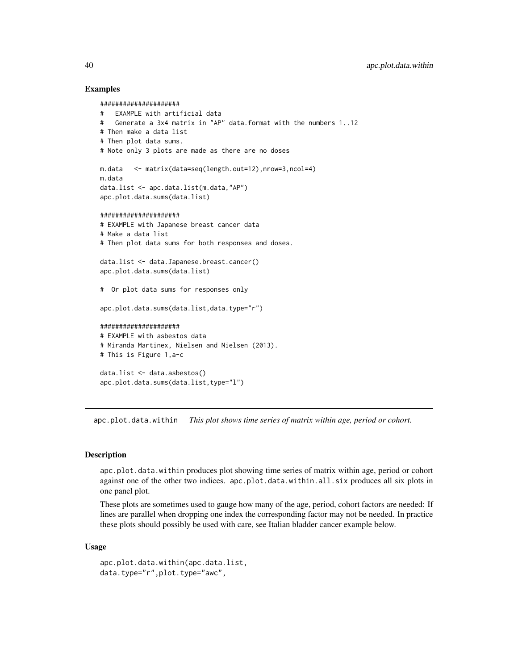#### Examples

```
#####################
# EXAMPLE with artificial data
# Generate a 3x4 matrix in "AP" data.format with the numbers 1..12
# Then make a data list
# Then plot data sums.
# Note only 3 plots are made as there are no doses
m.data <- matrix(data=seq(length.out=12),nrow=3,ncol=4)
m.data
data.list <- apc.data.list(m.data,"AP")
apc.plot.data.sums(data.list)
#####################
# EXAMPLE with Japanese breast cancer data
# Make a data list
# Then plot data sums for both responses and doses.
data.list <- data.Japanese.breast.cancer()
apc.plot.data.sums(data.list)
# Or plot data sums for responses only
apc.plot.data.sums(data.list,data.type="r")
#####################
# EXAMPLE with asbestos data
# Miranda Martinex, Nielsen and Nielsen (2013).
# This is Figure 1,a-c
data.list <- data.asbestos()
apc.plot.data.sums(data.list,type="l")
```
<span id="page-39-1"></span>apc.plot.data.within *This plot shows time series of matrix within age, period or cohort.*

#### Description

apc.plot.data.within produces plot showing time series of matrix within age, period or cohort against one of the other two indices. apc.plot.data.within.all.six produces all six plots in one panel plot.

These plots are sometimes used to gauge how many of the age, period, cohort factors are needed: If lines are parallel when dropping one index the corresponding factor may not be needed. In practice these plots should possibly be used with care, see Italian bladder cancer example below.

#### Usage

```
apc.plot.data.within(apc.data.list,
data.type="r",plot.type="awc",
```
<span id="page-39-0"></span>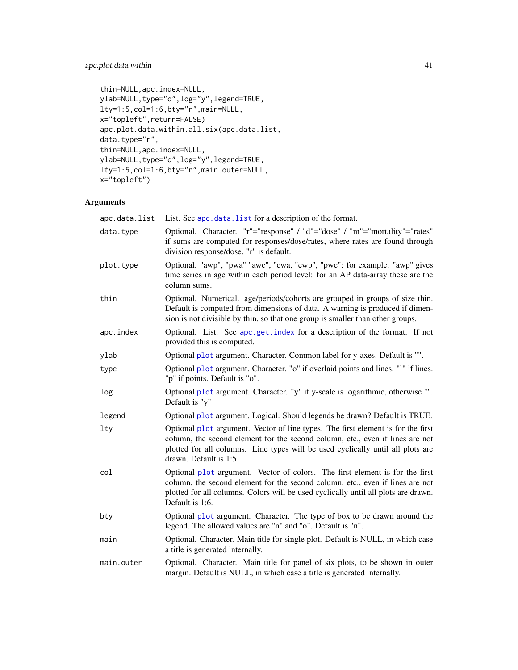## <span id="page-40-0"></span>apc.plot.data.within 41

```
thin=NULL,apc.index=NULL,
ylab=NULL,type="o",log="y",legend=TRUE,
lty=1:5,col=1:6,bty="n",main=NULL,
x="topleft",return=FALSE)
apc.plot.data.within.all.six(apc.data.list,
data.type="r",
thin=NULL,apc.index=NULL,
ylab=NULL,type="o",log="y",legend=TRUE,
lty=1:5,col=1:6,bty="n",main.outer=NULL,
x="topleft")
```
## Arguments

| apc.data.list | List. See apc.data.list for a description of the format.                                                                                                                                                                                                                      |
|---------------|-------------------------------------------------------------------------------------------------------------------------------------------------------------------------------------------------------------------------------------------------------------------------------|
| data.type     | Optional. Character. "r"="response" / "d"="dose" / "m"="mortality"="rates"<br>if sums are computed for responses/dose/rates, where rates are found through<br>division response/dose. "r" is default.                                                                         |
| plot.type     | Optional. "awp", "pwa" "awc", "cwa, "cwp", "pwc": for example: "awp" gives<br>time series in age within each period level: for an AP data-array these are the<br>column sums.                                                                                                 |
| thin          | Optional. Numerical. age/periods/cohorts are grouped in groups of size thin.<br>Default is computed from dimensions of data. A warning is produced if dimen-<br>sion is not divisible by thin, so that one group is smaller than other groups.                                |
| apc.index     | Optional. List. See apc.get.index for a description of the format. If not<br>provided this is computed.                                                                                                                                                                       |
| ylab          | Optional plot argument. Character. Common label for y-axes. Default is "".                                                                                                                                                                                                    |
| type          | Optional plot argument. Character. "o" if overlaid points and lines. "1" if lines.<br>"p" if points. Default is "o".                                                                                                                                                          |
| log           | Optional plot argument. Character. "y" if y-scale is logarithmic, otherwise "".<br>Default is "y"                                                                                                                                                                             |
| legend        | Optional plot argument. Logical. Should legends be drawn? Default is TRUE.                                                                                                                                                                                                    |
| lty           | Optional plot argument. Vector of line types. The first element is for the first<br>column, the second element for the second column, etc., even if lines are not<br>plotted for all columns. Line types will be used cyclically until all plots are<br>drawn. Default is 1:5 |
| col           | Optional plot argument. Vector of colors. The first element is for the first<br>column, the second element for the second column, etc., even if lines are not<br>plotted for all columns. Colors will be used cyclically until all plots are drawn.<br>Default is 1:6.        |
| bty           | Optional plot argument. Character. The type of box to be drawn around the<br>legend. The allowed values are "n" and "o". Default is "n".                                                                                                                                      |
| main          | Optional. Character. Main title for single plot. Default is NULL, in which case<br>a title is generated internally.                                                                                                                                                           |
| main.outer    | Optional. Character. Main title for panel of six plots, to be shown in outer<br>margin. Default is NULL, in which case a title is generated internally.                                                                                                                       |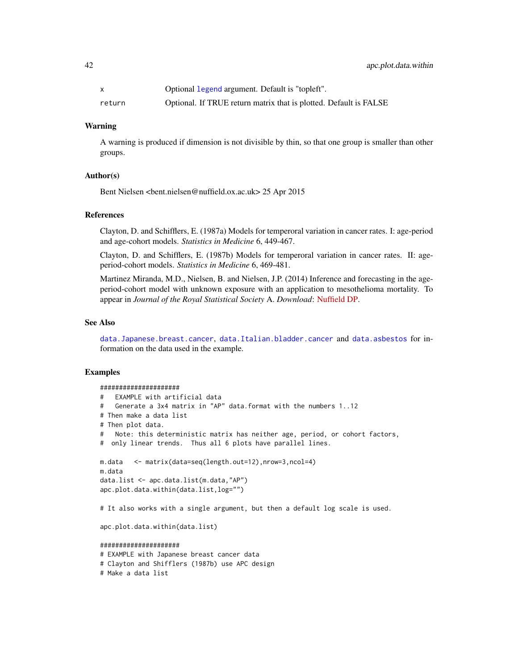<span id="page-41-0"></span>

|        | Optional legend argument. Default is "topleft".                   |
|--------|-------------------------------------------------------------------|
| return | Optional. If TRUE return matrix that is plotted. Default is FALSE |

#### Warning

A warning is produced if dimension is not divisible by thin, so that one group is smaller than other groups.

#### Author(s)

Bent Nielsen <bent.nielsen@nuffield.ox.ac.uk> 25 Apr 2015

## References

Clayton, D. and Schifflers, E. (1987a) Models for temperoral variation in cancer rates. I: age-period and age-cohort models. *Statistics in Medicine* 6, 449-467.

Clayton, D. and Schifflers, E. (1987b) Models for temperoral variation in cancer rates. II: ageperiod-cohort models. *Statistics in Medicine* 6, 469-481.

Martinez Miranda, M.D., Nielsen, B. and Nielsen, J.P. (2014) Inference and forecasting in the ageperiod-cohort model with unknown exposure with an application to mesothelioma mortality. To appear in *Journal of the Royal Statistical Society* A. *Download*: [Nuffield DP.](http://www.nuffield.ox.ac.uk/economics/papers/2013/Asbestos8mar13.pdf)

#### See Also

[data.Japanese.breast.cancer](#page-57-1), [data.Italian.bladder.cancer](#page-55-1) and [data.asbestos](#page-52-1) for information on the data used in the example.

#### Examples

# Make a data list

```
#####################
# EXAMPLE with artificial data
# Generate a 3x4 matrix in "AP" data.format with the numbers 1..12
# Then make a data list
# Then plot data.
# Note: this deterministic matrix has neither age, period, or cohort factors,
# only linear trends. Thus all 6 plots have parallel lines.
m.data <- matrix(data=seq(length.out=12),nrow=3,ncol=4)
m.data
data.list <- apc.data.list(m.data,"AP")
apc.plot.data.within(data.list,log="")
# It also works with a single argument, but then a default log scale is used.
apc.plot.data.within(data.list)
#####################
# EXAMPLE with Japanese breast cancer data
# Clayton and Shifflers (1987b) use APC design
```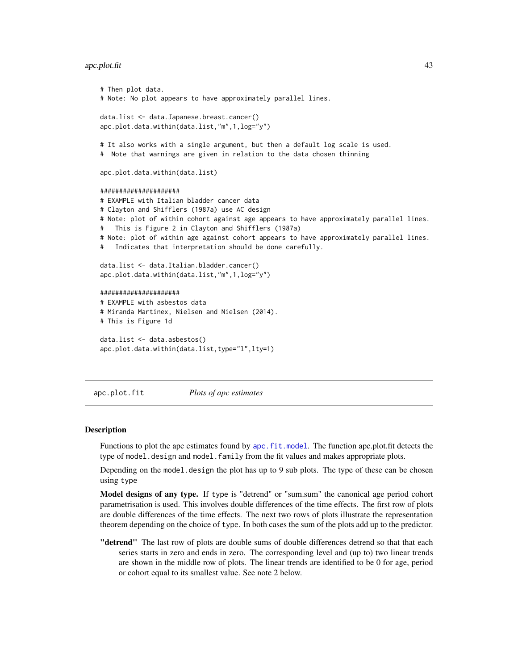#### <span id="page-42-0"></span>apc.plot.fit 43

```
# Then plot data.
# Note: No plot appears to have approximately parallel lines.
data.list <- data.Japanese.breast.cancer()
apc.plot.data.within(data.list,"m",1,log="y")
# It also works with a single argument, but then a default log scale is used.
# Note that warnings are given in relation to the data chosen thinning
apc.plot.data.within(data.list)
#####################
# EXAMPLE with Italian bladder cancer data
# Clayton and Shifflers (1987a) use AC design
# Note: plot of within cohort against age appears to have approximately parallel lines.
# This is Figure 2 in Clayton and Shifflers (1987a)
# Note: plot of within age against cohort appears to have approximately parallel lines.
# Indicates that interpretation should be done carefully.
data.list <- data.Italian.bladder.cancer()
apc.plot.data.within(data.list,"m",1,log="y")
#####################
# EXAMPLE with asbestos data
# Miranda Martinex, Nielsen and Nielsen (2014).
# This is Figure 1d
data.list <- data.asbestos()
apc.plot.data.within(data.list,type="l",lty=1)
```
<span id="page-42-1"></span>apc.plot.fit *Plots of apc estimates*

#### **Description**

Functions to plot the apc estimates found by [apc.fit.model](#page-13-2). The function apc.plot.fit detects the type of model.design and model.family from the fit values and makes appropriate plots.

Depending on the model.design the plot has up to 9 sub plots. The type of these can be chosen using type

Model designs of any type. If type is "detrend" or "sum.sum" the canonical age period cohort parametrisation is used. This involves double differences of the time effects. The first row of plots are double differences of the time effects. The next two rows of plots illustrate the representation theorem depending on the choice of type. In both cases the sum of the plots add up to the predictor.

**"detrend"** The last row of plots are double sums of double differences detrend so that that each series starts in zero and ends in zero. The corresponding level and (up to) two linear trends are shown in the middle row of plots. The linear trends are identified to be 0 for age, period or cohort equal to its smallest value. See note 2 below.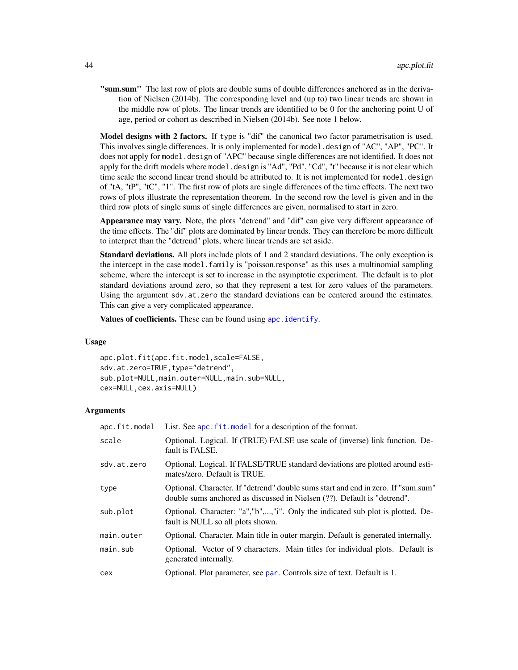<span id="page-43-0"></span>"sum.sum" The last row of plots are double sums of double differences anchored as in the derivation of Nielsen (2014b). The corresponding level and (up to) two linear trends are shown in the middle row of plots. The linear trends are identified to be 0 for the anchoring point U of age, period or cohort as described in Nielsen (2014b). See note 1 below.

Model designs with 2 factors. If type is "dif" the canonical two factor parametrisation is used. This involves single differences. It is only implemented for model.design of "AC", "AP", "PC". It does not apply for model.design of "APC" because single differences are not identified. It does not apply for the drift models where model.design is "Ad", "Pd", "Cd", "t" because it is not clear which time scale the second linear trend should be attributed to. It is not implemented for model.design of "tA, "tP", "tC", "1". The first row of plots are single differences of the time effects. The next two rows of plots illustrate the representation theorem. In the second row the level is given and in the third row plots of single sums of single differences are given, normalised to start in zero.

Appearance may vary. Note, the plots "detrend" and "dif" can give very different appearance of the time effects. The "dif" plots are dominated by linear trends. They can therefore be more difficult to interpret than the "detrend" plots, where linear trends are set aside.

Standard deviations. All plots include plots of 1 and 2 standard deviations. The only exception is the intercept in the case model.family is "poisson.response" as this uses a multinomial sampling scheme, where the intercept is set to increase in the asymptotic experiment. The default is to plot standard deviations around zero, so that they represent a test for zero values of the parameters. Using the argument sdv.at.zero the standard deviations can be centered around the estimates. This can give a very complicated appearance.

Values of coefficients. These can be found using apc. identify.

#### Usage

apc.plot.fit(apc.fit.model,scale=FALSE, sdv.at.zero=TRUE, type="detrend", sub.plot=NULL,main.outer=NULL,main.sub=NULL, cex=NULL,cex.axis=NULL)

#### Arguments

| apc.fit.model | List. See apc. fit. model for a description of the format.                                                                                                    |
|---------------|---------------------------------------------------------------------------------------------------------------------------------------------------------------|
| scale         | Optional. Logical. If (TRUE) FALSE use scale of (inverse) link function. De-<br>fault is FALSE.                                                               |
| sdv.at.zero   | Optional. Logical. If FALSE/TRUE standard deviations are plotted around esti-<br>mates/zero. Default is TRUE.                                                 |
| type          | Optional. Character. If "detrend" double sums start and end in zero. If "sum.sum"<br>double sums anchored as discussed in Nielsen (??). Default is "detrend". |
| sub.plot      | Optional. Character: "a", "b",, "i". Only the indicated sub plot is plotted. De-<br>fault is NULL so all plots shown.                                         |
| main.outer    | Optional. Character. Main title in outer margin. Default is generated internally.                                                                             |
| main.sub      | Optional. Vector of 9 characters. Main titles for individual plots. Default is<br>generated internally.                                                       |
| cex           | Optional. Plot parameter, see par. Controls size of text. Default is 1.                                                                                       |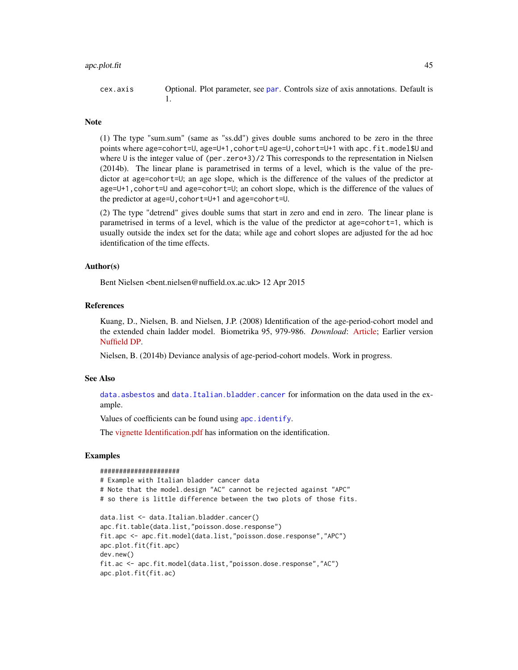#### <span id="page-44-0"></span>apc.plot.fit 45

cex.axis Optional. Plot parameter, see [par](#page-0-0). Controls size of axis annotations. Default is 1.

#### Note

(1) The type "sum.sum" (same as "ss.dd") gives double sums anchored to be zero in the three points where age=cohort=U, age=U+1,cohort=U age=U,cohort=U+1 with apc.fit.model\$U and where U is the integer value of (per.zero+3)/2 This corresponds to the representation in Nielsen (2014b). The linear plane is parametrised in terms of a level, which is the value of the predictor at age=cohort=U; an age slope, which is the difference of the values of the predictor at age=U+1,cohort=U and age=cohort=U; an cohort slope, which is the difference of the values of the predictor at age=U,cohort=U+1 and age=cohort=U.

(2) The type "detrend" gives double sums that start in zero and end in zero. The linear plane is parametrised in terms of a level, which is the value of the predictor at age=cohort=1, which is usually outside the index set for the data; while age and cohort slopes are adjusted for the ad hoc identification of the time effects.

## Author(s)

Bent Nielsen <bent.nielsen@nuffield.ox.ac.uk> 12 Apr 2015

#### References

Kuang, D., Nielsen, B. and Nielsen, J.P. (2008) Identification of the age-period-cohort model and the extended chain ladder model. Biometrika 95, 979-986. *Download*: [Article;](http://biomet.oxfordjournals.org/cgi/reprint/95/4/979) Earlier version [Nuffield DP.](http://www.nuffield.ox.ac.uk/economics/papers/2007/w5/KuangNielsenNielsen07.pdf)

Nielsen, B. (2014b) Deviance analysis of age-period-cohort models. Work in progress.

## See Also

[data.asbestos](#page-52-1) and [data.Italian.bladder.cancer](#page-55-1) for information on the data used in the example.

Values of coefficients can be found using [apc.identify](#page-30-1).

The [vignette](http://users.ox.ac.uk/~nuff0078/apc/index.htm) [Identification.pdf](http://users.ox.ac.uk/~nuff0078/apc/vignettes/Identification.pdf) has information on the identification.

#### Examples

#### #####################

```
# Example with Italian bladder cancer data
# Note that the model.design "AC" cannot be rejected against "APC"
# so there is little difference between the two plots of those fits.
data.list <- data.Italian.bladder.cancer()
apc.fit.table(data.list,"poisson.dose.response")
fit.apc <- apc.fit.model(data.list,"poisson.dose.response","APC")
apc.plot.fit(fit.apc)
dev.new()
fit.ac <- apc.fit.model(data.list,"poisson.dose.response","AC")
apc.plot.fit(fit.ac)
```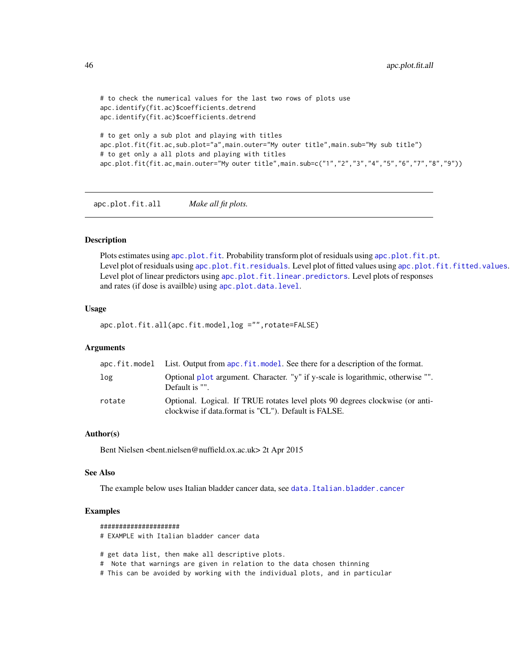```
# to check the numerical values for the last two rows of plots use
apc.identify(fit.ac)$coefficients.detrend
apc.identify(fit.ac)$coefficients.detrend
# to get only a sub plot and playing with titles
apc.plot.fit(fit.ac,sub.plot="a",main.outer="My outer title",main.sub="My sub title")
# to get only a all plots and playing with titles
apc.plot.fit(fit.ac,main.outer="My outer title",main.sub=c("1","2","3","4","5","6","7","8","9"))
```
apc.plot.fit.all *Make all fit plots.*

#### Description

Plots estimates using [apc.plot.fit](#page-42-1). Probability transform plot of residuals using [apc.plot.fit.pt](#page-46-1). Level plot of residuals using [apc.plot.fit.residuals](#page-47-1). Level plot of fitted values using [apc.plot.fit.fitted.values](#page-47-2). Level plot of linear predictors using [apc.plot.fit.linear.predictors](#page-47-2). Level plots of responses and rates (if dose is availble) using [apc.plot.data.level](#page-34-1).

#### Usage

apc.plot.fit.all(apc.fit.model,log ="",rotate=FALSE)

#### **Arguments**

|        | apc.fit.model List. Output from apc.fit.model. See there for a description of the format.                                             |
|--------|---------------------------------------------------------------------------------------------------------------------------------------|
| log    | Optional plot argument. Character. "y" if y-scale is logarithmic, otherwise "".<br>Default is "".                                     |
| rotate | Optional. Logical. If TRUE rotates level plots 90 degrees clockwise (or anti-<br>clockwise if data.format is "CL"). Default is FALSE. |

## Author(s)

Bent Nielsen <bent.nielsen@nuffield.ox.ac.uk> 2t Apr 2015

#### See Also

The example below uses Italian bladder cancer data, see [data.Italian.bladder.cancer](#page-55-1)

#### Examples

```
#####################
# EXAMPLE with Italian bladder cancer data
# get data list, then make all descriptive plots.
# Note that warnings are given in relation to the data chosen thinning
```
# This can be avoided by working with the individual plots, and in particular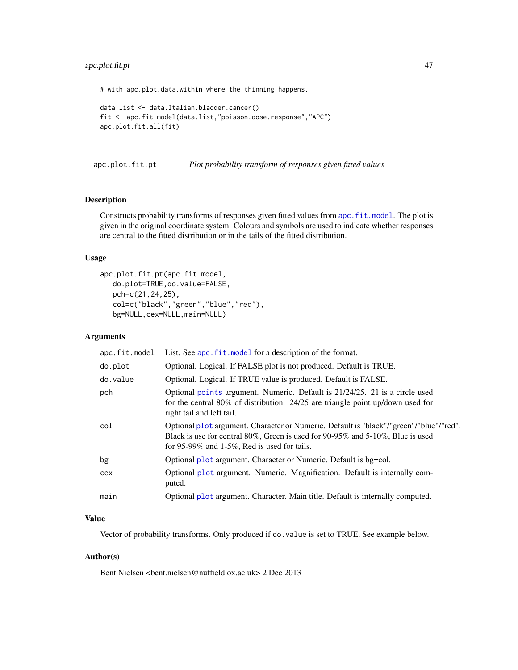## <span id="page-46-0"></span>apc.plot.fit.pt 47

# with apc.plot.data.within where the thinning happens.

```
data.list <- data.Italian.bladder.cancer()
fit <- apc.fit.model(data.list,"poisson.dose.response","APC")
apc.plot.fit.all(fit)
```
<span id="page-46-1"></span>apc.plot.fit.pt *Plot probability transform of responses given fitted values*

## Description

Constructs probability transforms of responses given fitted values from [apc.fit.model](#page-13-2). The plot is given in the original coordinate system. Colours and symbols are used to indicate whether responses are central to the fitted distribution or in the tails of the fitted distribution.

## Usage

```
apc.plot.fit.pt(apc.fit.model,
  do.plot=TRUE,do.value=FALSE,
  pch=c(21,24,25),
  col=c("black","green","blue","red"),
  bg=NULL,cex=NULL,main=NULL)
```
#### Arguments

| apc.fit.model | List. See apc. fit. model for a description of the format.                                                                                                                                                              |
|---------------|-------------------------------------------------------------------------------------------------------------------------------------------------------------------------------------------------------------------------|
| do.plot       | Optional. Logical. If FALSE plot is not produced. Default is TRUE.                                                                                                                                                      |
| do.value      | Optional. Logical. If TRUE value is produced. Default is FALSE.                                                                                                                                                         |
| pch           | Optional points argument. Numeric. Default is 21/24/25. 21 is a circle used<br>for the central 80% of distribution. 24/25 are triangle point up/down used for<br>right tail and left tail.                              |
| col           | Optional plot argument. Character or Numeric. Default is "black"/"green"/"blue"/"red".<br>Black is use for central 80%, Green is used for 90-95% and 5-10%. Blue is used<br>for 95-99% and 1-5%, Red is used for tails. |
| bg            | Optional plot argument. Character or Numeric. Default is bg=col.                                                                                                                                                        |
| cex           | Optional plot argument. Numeric. Magnification. Default is internally com-<br>puted.                                                                                                                                    |
| main          | Optional plot argument. Character. Main title. Default is internally computed.                                                                                                                                          |
|               |                                                                                                                                                                                                                         |

## Value

Vector of probability transforms. Only produced if do.value is set to TRUE. See example below.

#### Author(s)

Bent Nielsen <bent.nielsen@nuffield.ox.ac.uk> 2 Dec 2013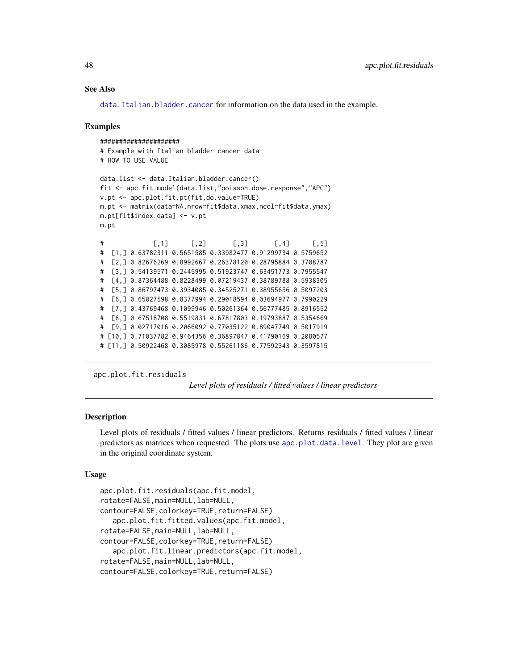## See Also

[data.Italian.bladder.cancer](#page-55-1) for information on the data used in the example.

#### Examples

```
#####################
# Example with Italian bladder cancer data
# HOW TO USE VALUE
data.list <- data.Italian.bladder.cancer()
fit <- apc.fit.model(data.list,"poisson.dose.response","APC")
v.pt <- apc.plot.fit.pt(fit,do.value=TRUE)
m.pt <- matrix(data=NA,nrow=fit$data.xmax,ncol=fit$data.ymax)
m.pt[fit$index.data] <- v.pt
m.pt
# [,1] [,2] [,3] [,4] [,5]
# [1,] 0.63782311 0.5651585 0.33982477 0.91299734 0.5759652
# [2,] 0.82676269 0.8992667 0.26378120 0.28795884 0.3708787
# [3,] 0.54139571 0.2445995 0.51923747 0.63451773 0.7955547
# [4,] 0.87364488 0.8228499 0.07219437 0.38789788 0.5938305
# [5,] 0.86797473 0.3934085 0.34525271 0.38955656 0.5097203
# [6,] 0.65027598 0.8377994 0.29018594 0.03694977 0.7990229
# [7,] 0.43769468 0.1099946 0.50261364 0.56777485 0.8916552
# [8,] 0.67518708 0.5519831 0.67817803 0.19793887 0.5354669
# [9,] 0.02717016 0.2066092 0.77035122 0.89047749 0.5017919
# [10,] 0.71037782 0.9464356 0.36897847 0.41790169 0.2080577
# [11,] 0.50922468 0.3085978 0.55261186 0.77592343 0.3597815
```

```
apc.plot.fit.residuals
```
*Level plots of residuals / fitted values / linear predictors*

## <span id="page-47-2"></span>Description

Level plots of residuals / fitted values / linear predictors. Returns residuals / fitted values / linear predictors as matrices when requested. The plots use [apc.plot.data.level](#page-34-1). They plot are given in the original coordinate system.

#### Usage

```
apc.plot.fit.residuals(apc.fit.model,
rotate=FALSE,main=NULL,lab=NULL,
contour=FALSE,colorkey=TRUE,return=FALSE)
   apc.plot.fit.fitted.values(apc.fit.model,
rotate=FALSE,main=NULL,lab=NULL,
contour=FALSE,colorkey=TRUE,return=FALSE)
   apc.plot.fit.linear.predictors(apc.fit.model,
rotate=FALSE,main=NULL,lab=NULL,
contour=FALSE,colorkey=TRUE,return=FALSE)
```
<span id="page-47-0"></span>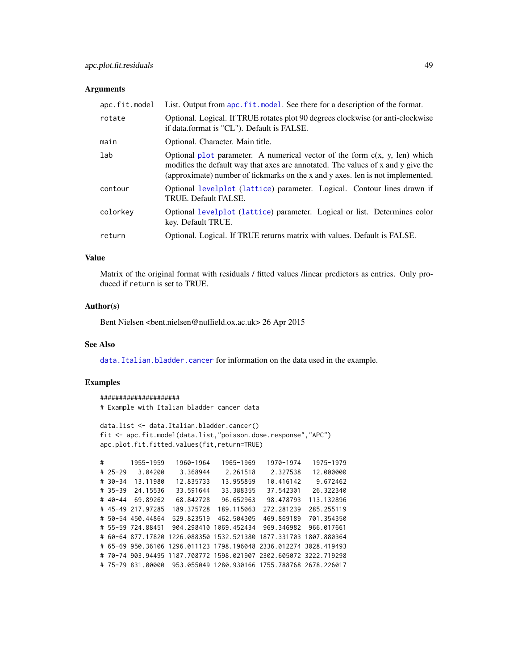#### <span id="page-48-0"></span>**Arguments**

| apc.fit.model | List. Output from apc. fit. model. See there for a description of the format.                                                                                                                                                                      |
|---------------|----------------------------------------------------------------------------------------------------------------------------------------------------------------------------------------------------------------------------------------------------|
| rotate        | Optional. Logical. If TRUE rotates plot 90 degrees clockwise (or anti-clockwise<br>if data.format is "CL"). Default is FALSE.                                                                                                                      |
| main          | Optional. Character. Main title.                                                                                                                                                                                                                   |
| lab           | Optional plot parameter. A numerical vector of the form $c(x, y, len)$ which<br>modifies the default way that axes are annotated. The values of x and y give the<br>(approximate) number of tickmarks on the x and y axes. len is not implemented. |
| contour       | Optional levelplot (lattice) parameter. Logical. Contour lines drawn if<br>TRUE. Default FALSE.                                                                                                                                                    |
| colorkey      | Optional levelplot (lattice) parameter. Logical or list. Determines color<br>key. Default TRUE.                                                                                                                                                    |
| return        | Optional. Logical. If TRUE returns matrix with values. Default is FALSE.                                                                                                                                                                           |

## Value

Matrix of the original format with residuals / fitted values /linear predictors as entries. Only produced if return is set to TRUE.

## Author(s)

Bent Nielsen <bent.nielsen@nuffield.ox.ac.uk> 26 Apr 2015

## See Also

data. Italian.bladder.cancer for information on the data used in the example.

## Examples

```
#####################
# Example with Italian bladder cancer data
```

```
data.list <- data.Italian.bladder.cancer()
fit <- apc.fit.model(data.list,"poisson.dose.response","APC")
apc.plot.fit.fitted.values(fit,return=TRUE)
```

```
# 1955-1959 1960-1964 1965-1969 1970-1974 1975-1979
# 25-29 3.04200 3.368944 2.261518 2.327538 12.000000
# 30-34 13.11980 12.835733 13.955859 10.416142 9.672462
# 35-39 24.15536 33.591644 33.388355 37.542301 26.322340
# 40-44 69.89262 68.842728 96.652963 98.478793 113.132896
# 45-49 217.97285 189.375728 189.115063 272.281239 285.255119
# 50-54 450.44864 529.823519 462.504305 469.869189 701.354350
# 55-59 724.88451 904.298410 1069.452434 969.346982 966.017661
# 60-64 877.17820 1226.088350 1532.521380 1877.331703 1807.880364
# 65-69 950.36106 1296.011123 1798.196048 2336.012274 3028.419493
# 70-74 903.94495 1187.708772 1598.021907 2302.605072 3222.719298
# 75-79 831.00000 953.055049 1280.930166 1755.788768 2678.226017
```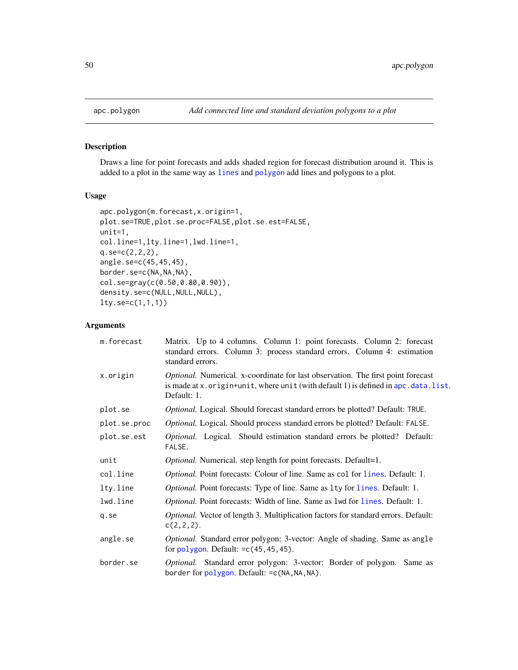<span id="page-49-0"></span>

## Description

Draws a line for point forecasts and adds shaded region for forecast distribution around it. This is added to a plot in the same way as [lines](#page-0-0) and [polygon](#page-0-0) add lines and polygons to a plot.

## Usage

```
apc.polygon(m.forecast,x.origin=1,
plot.se=TRUE,plot.se.proc=FALSE,plot.se.est=FALSE,
unit=1,
col.line=1,lty.line=1,lwd.line=1,
q.se=c(2,2,2),
angle.se=c(45,45,45),
border.se=c(NA,NA,NA),
col.se=gray(c(0.50,0.80,0.90)),
density.se=c(NULL,NULL,NULL),
lty.se=c(1,1,1))
```
## Arguments

| m.forecast   | Matrix. Up to 4 columns. Column 1: point forecasts. Column 2: forecast<br>standard errors. Column 3: process standard errors. Column 4: estimation<br>standard errors.                   |
|--------------|------------------------------------------------------------------------------------------------------------------------------------------------------------------------------------------|
| x.origin     | Optional. Numerical. x-coordinate for last observation. The first point forecast<br>is made at x. origin+unit, where unit (with default 1) is defined in apc. data. list.<br>Default: 1. |
| plot.se      | Optional. Logical. Should forecast standard errors be plotted? Default: TRUE.                                                                                                            |
| plot.se.proc | <i>Optional.</i> Logical. Should process standard errors be plotted? Default: FALSE.                                                                                                     |
| plot.se.est  | <i>Optional.</i> Logical. Should estimation standard errors be plotted? Default:<br>FALSE.                                                                                               |
| unit         | <i>Optional.</i> Numerical. step length for point forecasts. Default=1.                                                                                                                  |
| col.line     | <i>Optional.</i> Point forecasts: Colour of line. Same as col for lines. Default: 1.                                                                                                     |
| lty.line     | Optional. Point forecasts: Type of line. Same as 1ty for lines. Default: 1.                                                                                                              |
| lwd.line     | <i>Optional.</i> Point forecasts: Width of line. Same as 1wd for 1 ines. Default: 1.                                                                                                     |
| q.se         | Optional. Vector of length 3. Multiplication factors for standard errors. Default:<br>$c(2,2,2)$ .                                                                                       |
| angle.se     | Optional. Standard error polygon: 3-vector: Angle of shading. Same as angle<br>for polygon. Default: $=c(45, 45, 45)$ .                                                                  |
| border.se    | Optional. Standard error polygon: 3-vector: Border of polygon. Same as<br>border for polygon. Default: = c(NA, NA, NA).                                                                  |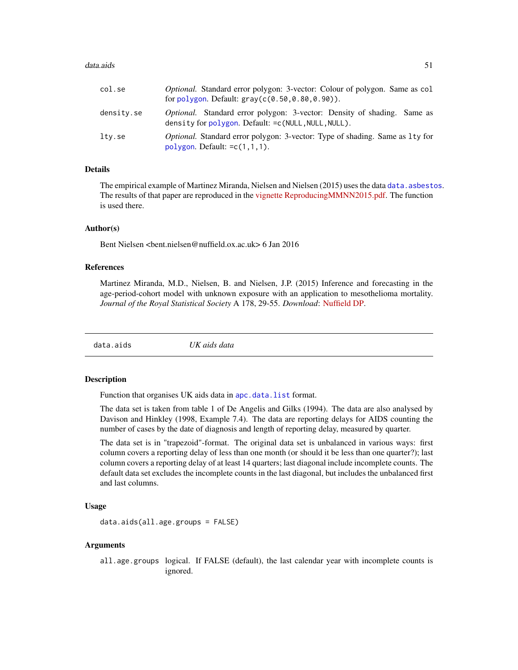#### <span id="page-50-0"></span>data.aids 51

| col.se     | <i>Optional.</i> Standard error polygon: 3-vector: Colour of polygon. Same as col<br>for polygon. Default: $gray(c(0.50, 0.80, 0.90))$ . |
|------------|------------------------------------------------------------------------------------------------------------------------------------------|
| density.se | <i>Optional.</i> Standard error polygon: 3-vector: Density of shading. Same as<br>density for polygon. Default: = c(NULL, NULL, NULL).   |
| lty.se     | <i>Optional.</i> Standard error polygon: 3-vector: Type of shading. Same as 1ty for<br>$polygon$ . Default: $=c(1,1,1)$ .                |

## Details

The empirical example of Martinez Miranda, Nielsen and Nielsen (2015) uses the data [data.asbestos](#page-52-1). The results of that paper are reproduced in the [vignette](http://users.ox.ac.uk/~nuff0078/apc/index.htm) [ReproducingMMNN2015.pdf.](http://users.ox.ac.uk/~nuff0078/apc/vignettes/ReproducingMMNN2015.pdf) The function is used there.

## Author(s)

Bent Nielsen <bent.nielsen@nuffield.ox.ac.uk> 6 Jan 2016

#### References

Martinez Miranda, M.D., Nielsen, B. and Nielsen, J.P. (2015) Inference and forecasting in the age-period-cohort model with unknown exposure with an application to mesothelioma mortality. *Journal of the Royal Statistical Society* A 178, 29-55. *Download*: [Nuffield DP.](http://www.nuffield.ox.ac.uk/economics/papers/2013/Asbestos8mar13.pdf)

data.aids *UK aids data*

#### Description

Function that organises UK aids data in [apc.data.list](#page-6-1) format.

The data set is taken from table 1 of De Angelis and Gilks (1994). The data are also analysed by Davison and Hinkley (1998, Example 7.4). The data are reporting delays for AIDS counting the number of cases by the date of diagnosis and length of reporting delay, measured by quarter.

The data set is in "trapezoid"-format. The original data set is unbalanced in various ways: first column covers a reporting delay of less than one month (or should it be less than one quarter?); last column covers a reporting delay of at least 14 quarters; last diagonal include incomplete counts. The default data set excludes the incomplete counts in the last diagonal, but includes the unbalanced first and last columns.

## Usage

```
data.aids(all.age.groups = FALSE)
```
## Arguments

all.age.groups logical. If FALSE (default), the last calendar year with incomplete counts is ignored.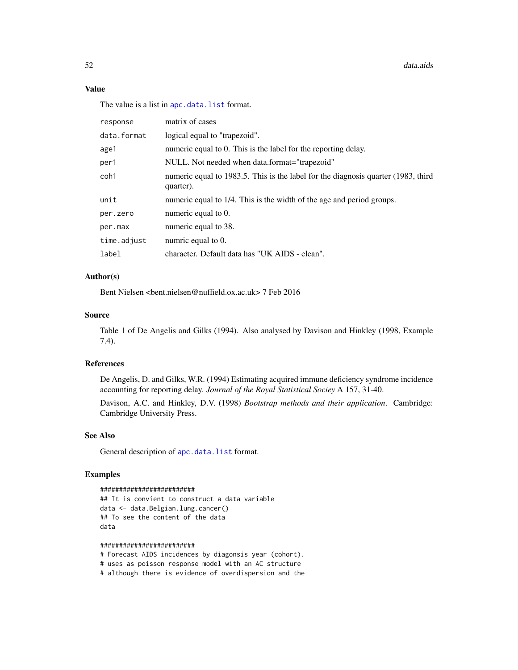## Value

The value is a list in [apc.data.list](#page-6-1) format.

| response    | matrix of cases                                                                                |
|-------------|------------------------------------------------------------------------------------------------|
| data.format | logical equal to "trapezoid".                                                                  |
| age1        | numeric equal to 0. This is the label for the reporting delay.                                 |
| per1        | NULL. Not needed when data.format="trapezoid"                                                  |
| coh1        | numeric equal to 1983.5. This is the label for the diagnosis quarter (1983, third<br>quarter). |
| unit        | numeric equal to 1/4. This is the width of the age and period groups.                          |
| per.zero    | numeric equal to 0.                                                                            |
| per.max     | numeric equal to 38.                                                                           |
| time.adjust | numric equal to 0.                                                                             |
| label       | character. Default data has "UK AIDS - clean".                                                 |

## Author(s)

Bent Nielsen <bent.nielsen@nuffield.ox.ac.uk> 7 Feb 2016

#### Source

Table 1 of De Angelis and Gilks (1994). Also analysed by Davison and Hinkley (1998, Example 7.4).

## References

De Angelis, D. and Gilks, W.R. (1994) Estimating acquired immune deficiency syndrome incidence accounting for reporting delay. *Journal of the Royal Statistical Sociey* A 157, 31-40.

Davison, A.C. and Hinkley, D.V. (1998) *Bootstrap methods and their application*. Cambridge: Cambridge University Press.

#### See Also

General description of [apc.data.list](#page-6-1) format.

## Examples

```
#########################
```

```
## It is convient to construct a data variable
data <- data.Belgian.lung.cancer()
## To see the content of the data
data
```
#### #########################

# Forecast AIDS incidences by diagonsis year (cohort). # uses as poisson response model with an AC structure # although there is evidence of overdispersion and the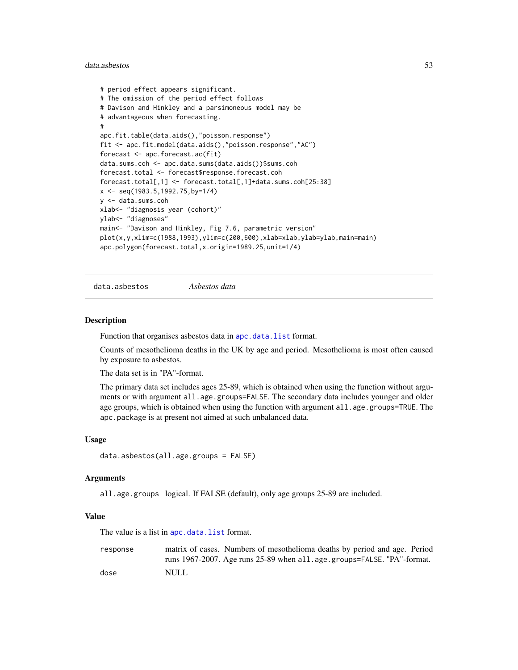#### <span id="page-52-0"></span>data.asbestos 53

```
# period effect appears significant.
# The omission of the period effect follows
# Davison and Hinkley and a parsimoneous model may be
# advantageous when forecasting.
#
apc.fit.table(data.aids(),"poisson.response")
fit <- apc.fit.model(data.aids(),"poisson.response","AC")
forecast <- apc.forecast.ac(fit)
data.sums.coh <- apc.data.sums(data.aids())$sums.coh
forecast.total <- forecast$response.forecast.coh
forecast.total[,1] <- forecast.total[,1]+data.sums.coh[25:38]
x <- seq(1983.5,1992.75,by=1/4)
y <- data.sums.coh
xlab<- "diagnosis year (cohort)"
ylab<- "diagnoses"
main<- "Davison and Hinkley, Fig 7.6, parametric version"
plot(x,y,xlim=c(1988,1993),ylim=c(200,600),xlab=xlab,ylab=ylab,main=main)
apc.polygon(forecast.total,x.origin=1989.25,unit=1/4)
```
<span id="page-52-1"></span>data.asbestos *Asbestos data*

#### Description

Function that organises asbestos data in [apc.data.list](#page-6-1) format.

Counts of mesothelioma deaths in the UK by age and period. Mesothelioma is most often caused by exposure to asbestos.

The data set is in "PA"-format.

The primary data set includes ages 25-89, which is obtained when using the function without arguments or with argument all.age.groups=FALSE. The secondary data includes younger and older age groups, which is obtained when using the function with argument all.age.groups=TRUE. The apc.package is at present not aimed at such unbalanced data.

#### Usage

```
data.asbestos(all.age.groups = FALSE)
```
#### Arguments

all.age.groups logical. If FALSE (default), only age groups 25-89 are included.

## Value

The value is a list in [apc.data.list](#page-6-1) format.

response matrix of cases. Numbers of mesothelioma deaths by period and age. Period runs 1967-2007. Age runs 25-89 when all.age.groups=FALSE. "PA"-format. dose NULL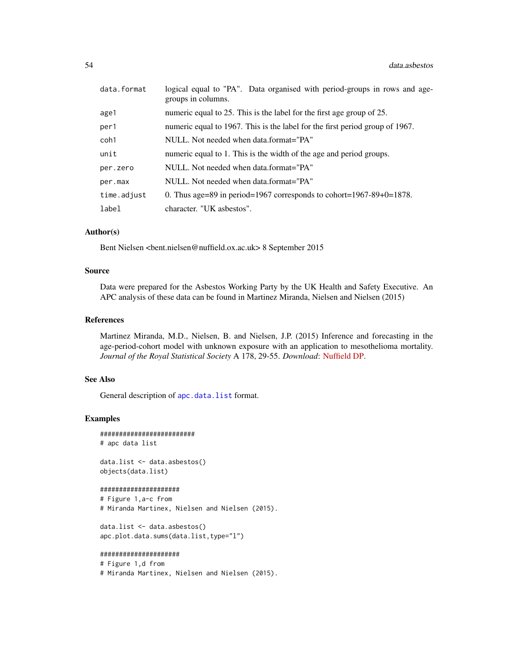| data.format | logical equal to "PA". Data organised with period-groups in rows and age-<br>groups in columns. |
|-------------|-------------------------------------------------------------------------------------------------|
| age1        | numeric equal to 25. This is the label for the first age group of 25.                           |
| per1        | numeric equal to 1967. This is the label for the first period group of 1967.                    |
| coh1        | NULL. Not needed when data.format="PA"                                                          |
| unit        | numeric equal to 1. This is the width of the age and period groups.                             |
| per.zero    | NULL. Not needed when data.format="PA"                                                          |
| per.max     | NULL. Not needed when data.format="PA"                                                          |
| time.adjust | 0. Thus age=89 in period=1967 corresponds to cohort=1967-89+0=1878.                             |
| label       | character. "UK asbestos".                                                                       |

#### Author(s)

Bent Nielsen <bent.nielsen@nuffield.ox.ac.uk> 8 September 2015

## Source

Data were prepared for the Asbestos Working Party by the UK Health and Safety Executive. An APC analysis of these data can be found in Martinez Miranda, Nielsen and Nielsen (2015)

## References

Martinez Miranda, M.D., Nielsen, B. and Nielsen, J.P. (2015) Inference and forecasting in the age-period-cohort model with unknown exposure with an application to mesothelioma mortality. *Journal of the Royal Statistical Society* A 178, 29-55. *Download*: [Nuffield DP.](http://www.nuffield.ox.ac.uk/economics/papers/2013/Asbestos8mar13.pdf)

#### See Also

General description of [apc.data.list](#page-6-1) format.

## Examples

```
#########################
# apc data list
```
data.list <- data.asbestos() objects(data.list)

## #####################

```
# Figure 1,a-c from
# Miranda Martinex, Nielsen and Nielsen (2015).
```

```
data.list <- data.asbestos()
apc.plot.data.sums(data.list,type="l")
```

```
#####################
```

```
# Figure 1,d from
```
# Miranda Martinex, Nielsen and Nielsen (2015).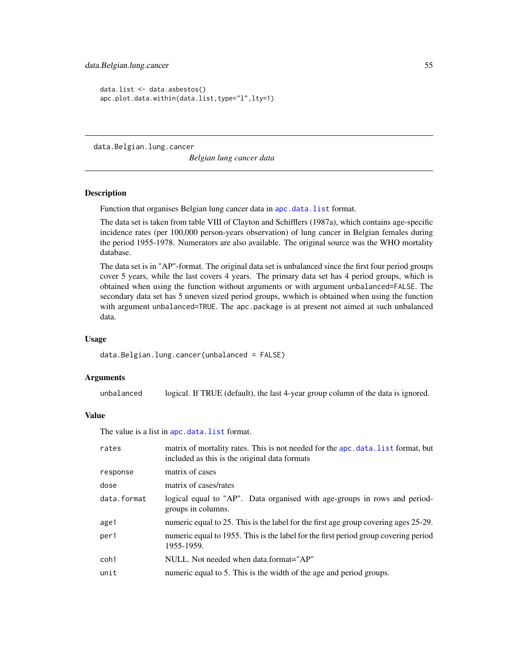<span id="page-54-0"></span>data.Belgian.lung.cancer 55

```
data.list <- data.asbestos()
apc.plot.data.within(data.list,type="l",lty=1)
```
<span id="page-54-1"></span>data.Belgian.lung.cancer

*Belgian lung cancer data*

## Description

Function that organises Belgian lung cancer data in [apc.data.list](#page-6-1) format.

The data set is taken from table VIII of Clayton and Schifflers (1987a), which contains age-specific incidence rates (per 100,000 person-years observation) of lung cancer in Belgian females during the period 1955-1978. Numerators are also available. The original source was the WHO mortality database.

The data set is in "AP"-format. The original data set is unbalanced since the first four period groups cover 5 years, while the last covers 4 years. The primary data set has 4 period groups, which is obtained when using the function without arguments or with argument unbalanced=FALSE. The secondary data set has 5 uneven sized period groups, wwhich is obtained when using the function with argument unbalanced=TRUE. The apc.package is at present not aimed at such unbalanced data.

#### Usage

data.Belgian.lung.cancer(unbalanced = FALSE)

## Arguments

unbalanced logical. If TRUE (default), the last 4-year group column of the data is ignored.

## Value

The value is a list in [apc.data.list](#page-6-1) format.

| rates       | matrix of mortality rates. This is not needed for the apc. data. list format, but<br>included as this is the original data formats |
|-------------|------------------------------------------------------------------------------------------------------------------------------------|
| response    | matrix of cases                                                                                                                    |
| dose        | matrix of cases/rates                                                                                                              |
| data.format | logical equal to "AP". Data organised with age-groups in rows and period-<br>groups in columns.                                    |
| age1        | numeric equal to 25. This is the label for the first age group covering ages 25-29.                                                |
| per1        | numeric equal to 1955. This is the label for the first period group covering period<br>1955-1959.                                  |
| coh1        | NULL. Not needed when data.format="AP"                                                                                             |
| unit        | numeric equal to 5. This is the width of the age and period groups.                                                                |
|             |                                                                                                                                    |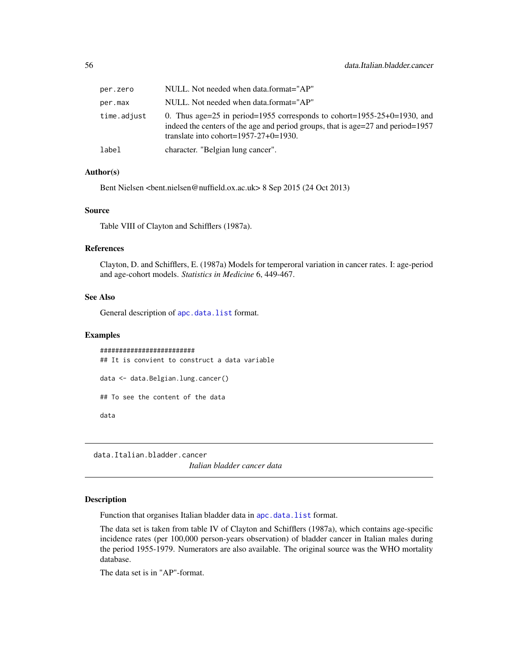<span id="page-55-0"></span>

| per.zero    | NULL. Not needed when data.format="AP"                                                                                                                                                                        |
|-------------|---------------------------------------------------------------------------------------------------------------------------------------------------------------------------------------------------------------|
| per.max     | NULL. Not needed when data.format="AP"                                                                                                                                                                        |
| time.adjust | 0. Thus age=25 in period=1955 corresponds to cohort=1955-25+0=1930, and<br>indeed the centers of the age and period groups, that is age= $27$ and period= $1957$<br>translate into cohort= $1957-27+0=1930$ . |
| label       | character. "Belgian lung cancer".                                                                                                                                                                             |

## Author(s)

Bent Nielsen <bent.nielsen@nuffield.ox.ac.uk> 8 Sep 2015 (24 Oct 2013)

## Source

Table VIII of Clayton and Schifflers (1987a).

## References

Clayton, D. and Schifflers, E. (1987a) Models for temperoral variation in cancer rates. I: age-period and age-cohort models. *Statistics in Medicine* 6, 449-467.

#### See Also

General description of [apc.data.list](#page-6-1) format.

## Examples

######################### ## It is convient to construct a data variable data <- data.Belgian.lung.cancer() ## To see the content of the data data

<span id="page-55-1"></span>data.Italian.bladder.cancer

*Italian bladder cancer data*

#### Description

Function that organises Italian bladder data in [apc.data.list](#page-6-1) format.

The data set is taken from table IV of Clayton and Schifflers (1987a), which contains age-specific incidence rates (per 100,000 person-years observation) of bladder cancer in Italian males during the period 1955-1979. Numerators are also available. The original source was the WHO mortality database.

The data set is in "AP"-format.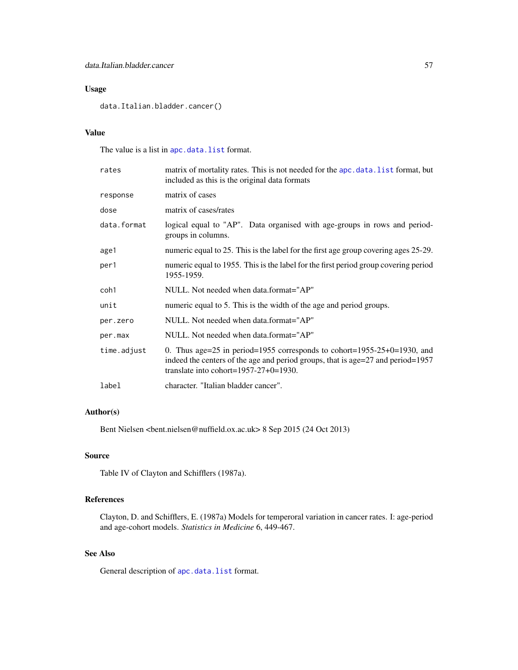## Usage

data.Italian.bladder.cancer()

## Value

The value is a list in [apc.data.list](#page-6-1) format.

| rates       | matrix of mortality rates. This is not needed for the apc. data. list format, but<br>included as this is the original data formats                                                                      |  |  |  |  |
|-------------|---------------------------------------------------------------------------------------------------------------------------------------------------------------------------------------------------------|--|--|--|--|
| response    | matrix of cases                                                                                                                                                                                         |  |  |  |  |
| dose        | matrix of cases/rates                                                                                                                                                                                   |  |  |  |  |
| data.format | logical equal to "AP". Data organised with age-groups in rows and period-<br>groups in columns.                                                                                                         |  |  |  |  |
| age1        | numeric equal to 25. This is the label for the first age group covering ages 25-29.                                                                                                                     |  |  |  |  |
| per1        | numeric equal to 1955. This is the label for the first period group covering period<br>1955-1959.                                                                                                       |  |  |  |  |
| coh1        | NULL. Not needed when data.format="AP"                                                                                                                                                                  |  |  |  |  |
| unit        | numeric equal to 5. This is the width of the age and period groups.                                                                                                                                     |  |  |  |  |
| per.zero    | NULL. Not needed when data.format="AP"                                                                                                                                                                  |  |  |  |  |
| per.max     | NULL. Not needed when data.format="AP"                                                                                                                                                                  |  |  |  |  |
| time.adjust | 0. Thus age=25 in period=1955 corresponds to cohort=1955-25+0=1930, and<br>indeed the centers of the age and period groups, that is age=27 and period=1957<br>translate into cohort= $1957-27+0=1930$ . |  |  |  |  |
| label       | character. "Italian bladder cancer".                                                                                                                                                                    |  |  |  |  |
|             |                                                                                                                                                                                                         |  |  |  |  |

## Author(s)

Bent Nielsen <bent.nielsen@nuffield.ox.ac.uk> 8 Sep 2015 (24 Oct 2013)

## Source

Table IV of Clayton and Schifflers (1987a).

## References

Clayton, D. and Schifflers, E. (1987a) Models for temperoral variation in cancer rates. I: age-period and age-cohort models. *Statistics in Medicine* 6, 449-467.

## See Also

General description of [apc.data.list](#page-6-1) format.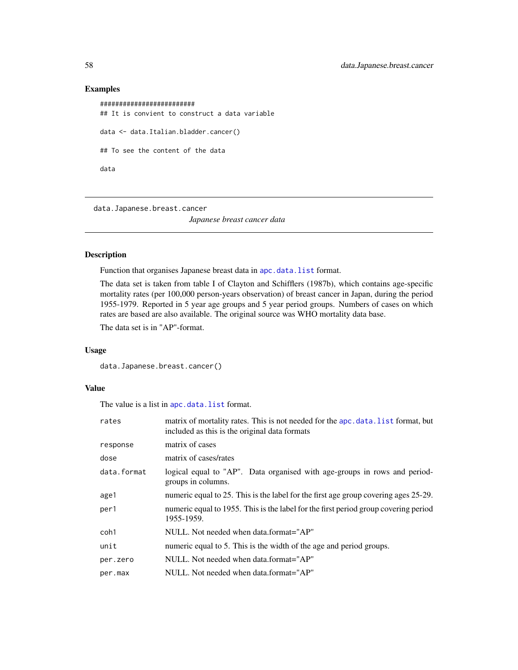## Examples

```
#########################
## It is convient to construct a data variable
data <- data.Italian.bladder.cancer()
## To see the content of the data
data
```
<span id="page-57-1"></span>data.Japanese.breast.cancer *Japanese breast cancer data*

#### Description

Function that organises Japanese breast data in [apc.data.list](#page-6-1) format.

The data set is taken from table I of Clayton and Schifflers (1987b), which contains age-specific mortality rates (per 100,000 person-years observation) of breast cancer in Japan, during the period 1955-1979. Reported in 5 year age groups and 5 year period groups. Numbers of cases on which rates are based are also available. The original source was WHO mortality data base.

The data set is in "AP"-format.

#### Usage

```
data.Japanese.breast.cancer()
```
#### Value

The value is a list in [apc.data.list](#page-6-1) format.

| rates       | matrix of mortality rates. This is not needed for the apc. data. list format, but<br>included as this is the original data formats |
|-------------|------------------------------------------------------------------------------------------------------------------------------------|
| response    | matrix of cases                                                                                                                    |
| dose        | matrix of cases/rates                                                                                                              |
| data.format | logical equal to "AP". Data organised with age-groups in rows and period-<br>groups in columns.                                    |
| age1        | numeric equal to 25. This is the label for the first age group covering ages 25-29.                                                |
| per1        | numeric equal to 1955. This is the label for the first period group covering period<br>1955-1959.                                  |
| coh1        | NULL. Not needed when data.format="AP"                                                                                             |
| unit        | numeric equal to 5. This is the width of the age and period groups.                                                                |
| per.zero    | NULL. Not needed when data.format="AP"                                                                                             |
| per.max     | NULL. Not needed when data.format="AP"                                                                                             |

<span id="page-57-0"></span>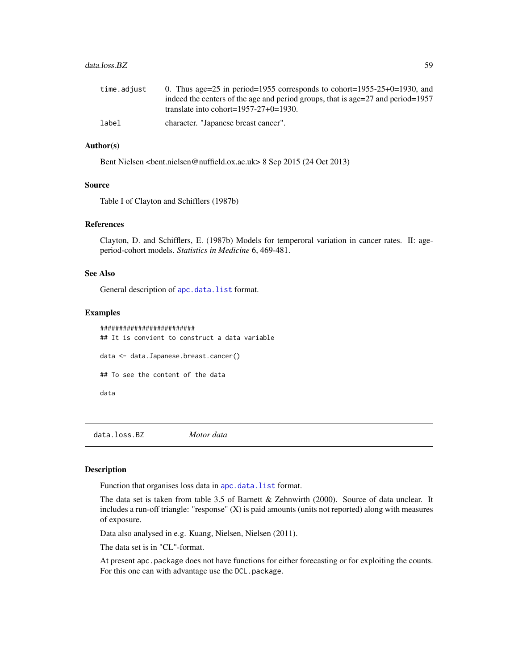#### <span id="page-58-0"></span>data.loss.BZ 59

| time.adiust | 0. Thus age=25 in period=1955 corresponds to cohort=1955-25+0=1930, and         |
|-------------|---------------------------------------------------------------------------------|
|             | indeed the centers of the age and period groups, that is age=27 and period=1957 |
|             | translate into cohort= $1957-27+0=1930$ .                                       |
| label       | character. "Japanese breast cancer".                                            |

## Author(s)

Bent Nielsen <bent.nielsen@nuffield.ox.ac.uk> 8 Sep 2015 (24 Oct 2013)

#### Source

Table I of Clayton and Schifflers (1987b)

## References

Clayton, D. and Schifflers, E. (1987b) Models for temperoral variation in cancer rates. II: ageperiod-cohort models. *Statistics in Medicine* 6, 469-481.

## See Also

General description of [apc.data.list](#page-6-1) format.

#### Examples

```
#########################
## It is convient to construct a data variable
data <- data.Japanese.breast.cancer()
## To see the content of the data
data
```
data.loss.BZ *Motor data*

## Description

Function that organises loss data in [apc.data.list](#page-6-1) format.

The data set is taken from table 3.5 of Barnett & Zehnwirth (2000). Source of data unclear. It includes a run-off triangle: "response" (X) is paid amounts (units not reported) along with measures of exposure.

Data also analysed in e.g. Kuang, Nielsen, Nielsen (2011).

The data set is in "CL"-format.

At present apc.package does not have functions for either forecasting or for exploiting the counts. For this one can with advantage use the DCL.package.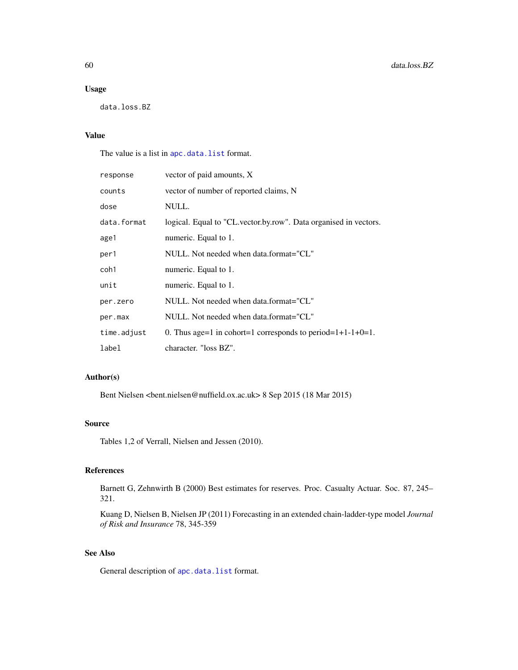## Usage

data.loss.BZ

## Value

The value is a list in [apc.data.list](#page-6-1) format.

| response    | vector of paid amounts, X                                        |
|-------------|------------------------------------------------------------------|
| counts      | vector of number of reported claims, N                           |
| dose        | NULL.                                                            |
| data.format | logical. Equal to "CL vector by row". Data organised in vectors. |
| age1        | numeric. Equal to 1.                                             |
| per1        | NULL. Not needed when data.format="CL"                           |
| coh1        | numeric. Equal to 1.                                             |
| unit        | numeric. Equal to 1.                                             |
| per.zero    | NULL. Not needed when data.format="CL"                           |
| per.max     | NULL. Not needed when data.format="CL"                           |
| time.adjust | 0. Thus age=1 in cohort=1 corresponds to period= $1+1-1+0=1$ .   |
| label       | character. "loss BZ".                                            |

## Author(s)

Bent Nielsen <bent.nielsen@nuffield.ox.ac.uk> 8 Sep 2015 (18 Mar 2015)

## Source

Tables 1,2 of Verrall, Nielsen and Jessen (2010).

## References

Barnett G, Zehnwirth B (2000) Best estimates for reserves. Proc. Casualty Actuar. Soc. 87, 245– 321.

Kuang D, Nielsen B, Nielsen JP (2011) Forecasting in an extended chain-ladder-type model *Journal of Risk and Insurance* 78, 345-359

## See Also

General description of [apc.data.list](#page-6-1) format.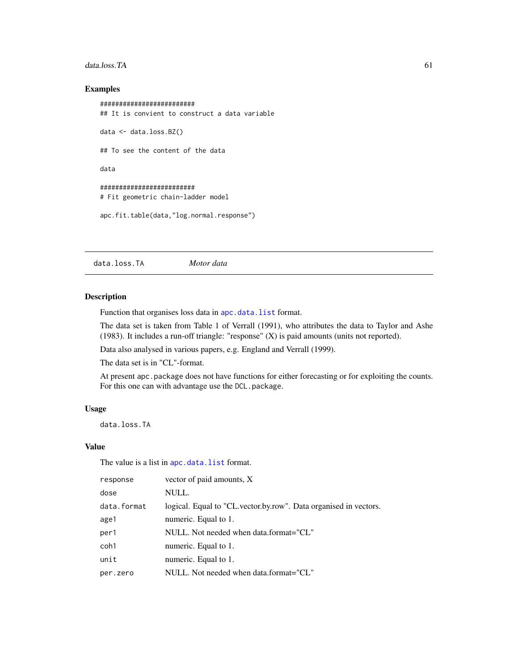#### <span id="page-60-0"></span>data.loss.TA 61

## Examples

```
#########################
## It is convient to construct a data variable
data <- data.loss.BZ()
## To see the content of the data
data
#########################
# Fit geometric chain-ladder model
apc.fit.table(data,"log.normal.response")
```
data.loss.TA *Motor data*

#### Description

Function that organises loss data in [apc.data.list](#page-6-1) format.

The data set is taken from Table 1 of Verrall (1991), who attributes the data to Taylor and Ashe (1983). It includes a run-off triangle: "response" (X) is paid amounts (units not reported).

Data also analysed in various papers, e.g. England and Verrall (1999).

The data set is in "CL"-format.

At present apc.package does not have functions for either forecasting or for exploiting the counts. For this one can with advantage use the DCL.package.

#### Usage

data.loss.TA

#### Value

The value is a list in [apc.data.list](#page-6-1) format.

| response    | vector of paid amounts, X                                        |
|-------------|------------------------------------------------------------------|
| dose        | NULL.                                                            |
| data.format | logical. Equal to "CL vector by row". Data organised in vectors. |
| age1        | numeric. Equal to 1.                                             |
| per1        | NULL. Not needed when data.format="CL"                           |
| coh1        | numeric. Equal to 1.                                             |
| unit        | numeric. Equal to 1.                                             |
| per.zero    | NULL. Not needed when data.format="CL"                           |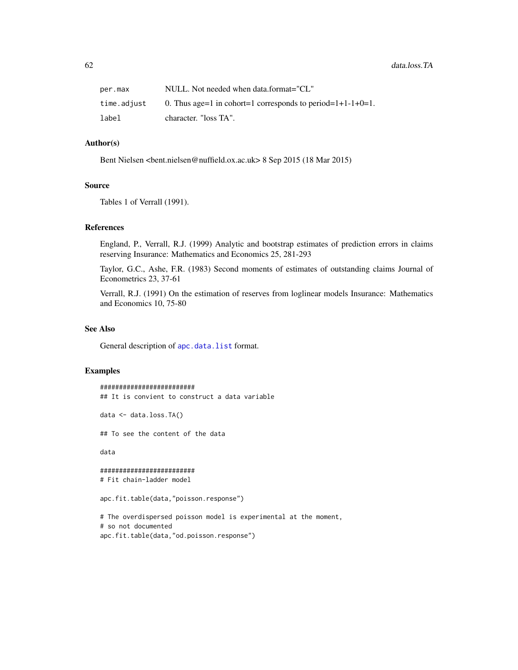| per.max     | NULL. Not needed when data.format="CL"                     |
|-------------|------------------------------------------------------------|
| time.adjust | 0. Thus age=1 in cohort=1 corresponds to period=1+1-1+0=1. |
| label       | character. "loss TA".                                      |

## Author(s)

Bent Nielsen <bent.nielsen@nuffield.ox.ac.uk> 8 Sep 2015 (18 Mar 2015)

#### Source

Tables 1 of Verrall (1991).

#### References

England, P., Verrall, R.J. (1999) Analytic and bootstrap estimates of prediction errors in claims reserving Insurance: Mathematics and Economics 25, 281-293

Taylor, G.C., Ashe, F.R. (1983) Second moments of estimates of outstanding claims Journal of Econometrics 23, 37-61

Verrall, R.J. (1991) On the estimation of reserves from loglinear models Insurance: Mathematics and Economics 10, 75-80

## See Also

General description of [apc.data.list](#page-6-1) format.

#### Examples

######################### ## It is convient to construct a data variable

data <- data.loss.TA()

## To see the content of the data

data

```
#########################
# Fit chain-ladder model
```
apc.fit.table(data,"poisson.response")

# The overdispersed poisson model is experimental at the moment, # so not documented apc.fit.table(data,"od.poisson.response")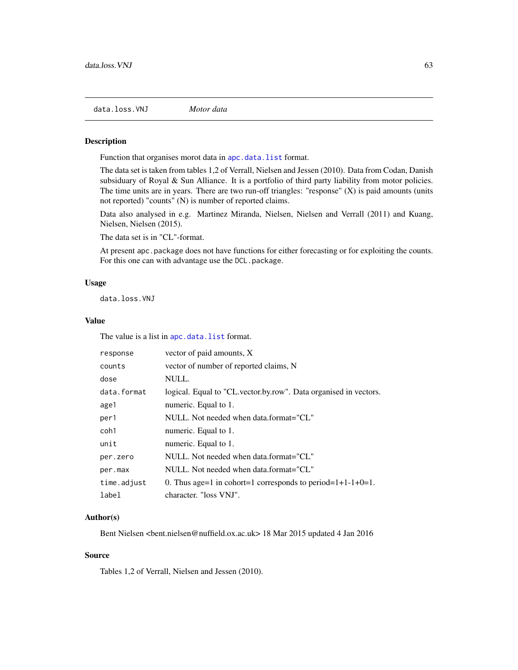<span id="page-62-1"></span><span id="page-62-0"></span>data.loss.VNJ *Motor data*

#### Description

Function that organises morot data in [apc.data.list](#page-6-1) format.

The data set is taken from tables 1,2 of Verrall, Nielsen and Jessen (2010). Data from Codan, Danish subsiduary of Royal & Sun Alliance. It is a portfolio of third party liability from motor policies. The time units are in years. There are two run-off triangles: "response"  $(X)$  is paid amounts (units not reported) "counts" (N) is number of reported claims.

Data also analysed in e.g. Martinez Miranda, Nielsen, Nielsen and Verrall (2011) and Kuang, Nielsen, Nielsen (2015).

The data set is in "CL"-format.

At present apc.package does not have functions for either forecasting or for exploiting the counts. For this one can with advantage use the DCL.package.

#### Usage

data.loss.VNJ

## Value

The value is a list in [apc.data.list](#page-6-1) format.

| response    | vector of paid amounts, X                                        |
|-------------|------------------------------------------------------------------|
| counts      | vector of number of reported claims, N                           |
| dose        | NULL.                                                            |
| data.format | logical. Equal to "CL vector by row". Data organised in vectors. |
| age1        | numeric. Equal to 1.                                             |
| per1        | NULL. Not needed when data.format="CL"                           |
| coh1        | numeric. Equal to 1.                                             |
| unit        | numeric. Equal to 1.                                             |
| per.zero    | NULL. Not needed when data.format="CL"                           |
| per.max     | NULL. Not needed when data.format="CL"                           |
| time.adjust | 0. Thus age=1 in cohort=1 corresponds to period= $1+1-1+0=1$ .   |
| label       | character. "loss VNJ".                                           |

#### Author(s)

Bent Nielsen <bent.nielsen@nuffield.ox.ac.uk> 18 Mar 2015 updated 4 Jan 2016

#### Source

Tables 1,2 of Verrall, Nielsen and Jessen (2010).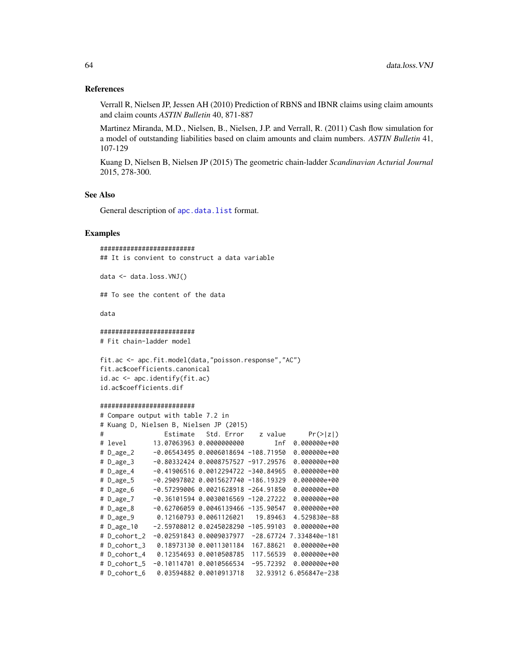## <span id="page-63-0"></span>References

Verrall R, Nielsen JP, Jessen AH (2010) Prediction of RBNS and IBNR claims using claim amounts and claim counts *ASTIN Bulletin* 40, 871-887

Martinez Miranda, M.D., Nielsen, B., Nielsen, J.P. and Verrall, R. (2011) Cash flow simulation for a model of outstanding liabilities based on claim amounts and claim numbers. *ASTIN Bulletin* 41, 107-129

Kuang D, Nielsen B, Nielsen JP (2015) The geometric chain-ladder *Scandinavian Acturial Journal* 2015, 278-300.

## See Also

General description of [apc.data.list](#page-6-1) format.

## Examples

######################### ## It is convient to construct a data variable

data <- data.loss.VNJ()

## To see the content of the data

data

#### #########################

# Fit chain-ladder model

```
fit.ac <- apc.fit.model(data,"poisson.response","AC")
fit.ac$coefficients.canonical
id.ac <- apc.identify(fit.ac)
id.ac$coefficients.dif
```
#### #########################

|   |                     | # Compare output with table 7.2 in |                                         |             |                        |
|---|---------------------|------------------------------------|-----------------------------------------|-------------|------------------------|
|   |                     |                                    | # Kuang D, Nielsen B, Nielsen JP (2015) |             |                        |
| # |                     | Estimate                           | Std. Error                              | z value     | Pr(> z )               |
|   | # level             |                                    | 13.07063963 0.0000000000                | Inf         | 0.000000e+00           |
|   | $# D_$ age_2        |                                    | $-0.0654349500.0006018694 -108.71950$   |             | 0.000000e+00           |
|   | $# D_ \text{age_3}$ |                                    | $-0.80332424 0.0008757527 - 917.29576$  |             | 0.000000e+00           |
|   | # D_age_4           |                                    | $-0.41906516 0.0012294722 -340.84965$   |             | $0.000000e + 00$       |
|   | # D_age_5           |                                    | $-0.29097802 0.0015627740 -186.19329$   |             | 0.000000e+00           |
|   | # D_age_6           |                                    | $-0.5729900600.0021628918 - 264.91850$  |             | 0.000000e+00           |
|   | $# D_$              |                                    | $-0.36101594 0.0030016569 -120.27222$   |             | $0.000000e + 00$       |
|   | $# D_$ age $_8$     |                                    | $-0.62706059$ 0.0046139466 $-135.90547$ |             | $0.000000e + 00$       |
|   | $# D_$ age $_9$     |                                    | 0.12160793 0.0061126021                 | 19.89463    | 4.529830e-88           |
|   | $# D_$              |                                    |                                         |             | $0.000000e + 00$       |
|   | # D_cohort_2        |                                    | $-0.025918430.0009037977$               | $-28.67724$ | 7.334840e-181          |
|   | # D_cohort_3        |                                    | 0.18973130 0.0011301184                 | 167.88621   | 0.000000e+00           |
|   | # D_cohort_4        |                                    | 0.12354693 0.0010508785                 | 117.56539   | 0.000000e+00           |
|   | # D_cohort_5        |                                    | $-0.1011470100.0010566534$              | $-95.72392$ | 0.000000e+00           |
|   | # D_cohort_6        |                                    | 0.03594882 0.0010913718                 |             | 32.93912 6.056847e-238 |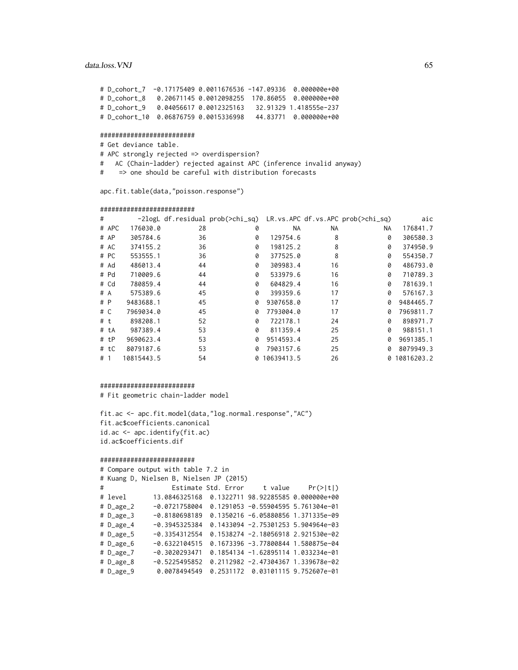#### data.loss. VNJ 65

# D\_cohort\_7 -0.17175409 0.0011676536 -147.09336 0.000000e+00 # D\_cohort\_8 0.20671145 0.0012098255 170.86055 0.000000e+00 # D\_cohort\_9 0.04056617 0.0012325163 32.91329 1.418555e-237 # D\_cohort\_10 0.06876759 0.0015336998 44.83771 0.000000e+00

#### #########################

# Get deviance table.

- # APC strongly rejected => overdispersion?
- # AC (Chain-ladder) rejected against APC (inference invalid anyway)
- # => one should be careful with distribution forecasts

apc.fit.table(data,"poisson.response")

#### #########################

| #   |       |            |    | -2logL df.residual prob(>chi_sq) LR.vs.APC df.vs.APC prob(>chi_sq) |            |     |     | aic        |
|-----|-------|------------|----|--------------------------------------------------------------------|------------|-----|-----|------------|
|     | # APC | 176030.0   | 28 | 0                                                                  | <b>NA</b>  | NA. | NA. | 176841.7   |
|     | # AP  | 305784.6   | 36 | 0                                                                  | 129754.6   | 8   | 0   | 306580.3   |
|     | # AC  | 374155.2   | 36 | 0                                                                  | 198125.2   | 8   | 0   | 374950.9   |
|     | # PC  | 553555.1   | 36 | 0                                                                  | 377525.0   | 8   | 0   | 554350.7   |
|     | # Ad  | 486013.4   | 44 | 0                                                                  | 309983.4   | 16  | 0   | 486793.0   |
|     | # Pd  | 710009.6   | 44 | 0                                                                  | 533979.6   | 16  | 0   | 710789.3   |
|     | # Cd  | 780859.4   | 44 | 0                                                                  | 604829.4   | 16  | 0   | 781639.1   |
| # A |       | 575389.6   | 45 | 0                                                                  | 399359.6   | 17  | 0   | 576167.3   |
| # P |       | 9483688.1  | 45 | 0                                                                  | 9307658.0  | 17  | 0   | 9484465.7  |
| # C |       | 7969034.0  | 45 | 0                                                                  | 7793004.0  | 17  | 0   | 7969811.7  |
| #t  |       | 898208.1   | 52 | 0                                                                  | 722178.1   | 24  | 0   | 898971.7   |
|     | # tA  | 987389.4   | 53 | Ø                                                                  | 811359.4   | 25  | 0   | 988151.1   |
|     | # tP  | 9690623.4  | 53 | 0                                                                  | 9514593.4  | 25  | 0   | 9691385.1  |
|     | # tC  | 8079187.6  | 53 | 0                                                                  | 7903157.6  | 25  | 0   | 8079949.3  |
| #1  |       | 10815443.5 | 54 | 0                                                                  | 10639413.5 | 26  | 0   | 10816203.2 |

#### #########################

# Fit geometric chain-ladder model

fit.ac <- apc.fit.model(data,"log.normal.response","AC") fit.ac\$coefficients.canonical id.ac <- apc.identify(fit.ac) id.ac\$coefficients.dif

#### #########################

# Compare output with table 7.2 in # Kuang D, Nielsen B, Nielsen JP (2015) # Estimate Std. Error t value Pr(>|t|) # level 13.0846325168 0.1322711 98.92285585 0.000000e+00 # D\_age\_2 -0.0721758004 0.1291053 -0.55904595 5.761304e-01 # D\_age\_3 -0.8180698189 0.1350216 -6.05880856 1.371335e-09 # D\_age\_4 -0.3945325384 0.1433094 -2.75301253 5.904964e-03 # D\_age\_5 -0.3354312554 0.1538274 -2.18056918 2.921530e-02  $-0.6322104515$  0.1673396  $-3.77800844$  1.580875e-04 # D\_age\_7 -0.3020293471 0.1854134 -1.62895114 1.033234e-01 # D\_age\_8 -0.5225495852 0.2112982 -2.47304367 1.339678e-02 # D\_age\_9 0.0078494549 0.2531172 0.03101115 9.752607e-01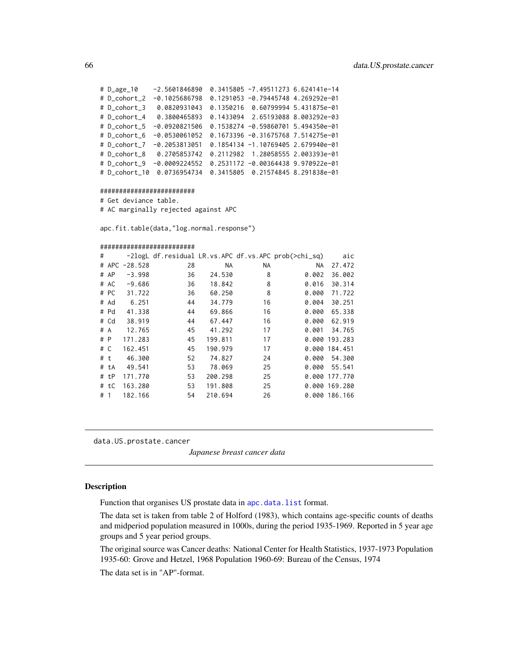<span id="page-65-0"></span># D\_age\_10 -2.5601846890 0.3415805 -7.49511273 6.624141e-14 # D\_cohort\_2 -0.1025686798 0.1291053 -0.79445748 4.269292e-01 # D\_cohort\_3 0.0820931043 0.1350216 0.60799994 5.431875e-01 # D\_cohort\_4 0.3800465893 0.1433094 2.65193088 8.003292e-03 # D\_cohort\_5 -0.0920821506 0.1538274 -0.59860701 5.494350e-01 # D\_cohort\_6 -0.0530061052 0.1673396 -0.31675768 7.514275e-01 # D\_cohort\_7 -0.2053813051 0.1854134 -1.10769405 2.679940e-01 # D\_cohort\_8 0.2705853742 0.2112982 1.28058555 2.003393e-01 # D\_cohort\_9 -0.0009224552 0.2531172 -0.00364438 9.970922e-01 # D\_cohort\_10 0.0736954734 0.3415805 0.21574845 8.291838e-01

#### #########################

# Get deviance table. # AC marginally rejected against APC

apc.fit.table(data,"log.normal.response")

#### #########################

| #   |      |               |    |           |    | -2logL df.residual LR.vs.APC df.vs.APC prob(>chi_sq) | aic           |
|-----|------|---------------|----|-----------|----|------------------------------------------------------|---------------|
|     |      | # APC -28.528 | 28 | <b>NA</b> | ΝA | NA.                                                  | 27.472        |
|     | # AP | $-3.998$      | 36 | 24.530    | 8  | 0.002                                                | 36.002        |
|     | # AC | $-9.686$      | 36 | 18.842    | 8  | 0.016                                                | 30.314        |
|     | # PC | 31.722        | 36 | 60.250    | 8  | 0.000                                                | 71.722        |
|     | # Ad | 6.251         | 44 | 34.779    | 16 | 0.004                                                | 30.251        |
|     | # Pd | 41.338        | 44 | 69.866    | 16 | 0.000                                                | 65.338        |
|     | # Cd | 38.919        | 44 | 67.447    | 16 | 0.000                                                | 62.919        |
|     | # A  | 12.765        | 45 | 41.292    | 17 | 0.001                                                | 34.765        |
| # P |      | 171.283       | 45 | 199.811   | 17 |                                                      | 0.000 193.283 |
|     | # C  | 162.451       | 45 | 190.979   | 17 |                                                      | 0.000 184.451 |
|     | #t   | 46.300        | 52 | 74.827    | 24 | 0.000                                                | 54.300        |
|     | # tA | 49.541        | 53 | 78.069    | 25 | 0.000                                                | 55.541        |
|     | # tP | 171.770       | 53 | 200.298   | 25 |                                                      | 0.000 177.770 |
|     | # tC | 163.280       | 53 | 191.808   | 25 |                                                      | 0.000 169.280 |
| # 1 |      | 182.166       | 54 | 210.694   | 26 |                                                      | 0.000 186.166 |
|     |      |               |    |           |    |                                                      |               |

data.US.prostate.cancer

*Japanese breast cancer data*

#### Description

Function that organises US prostate data in [apc.data.list](#page-6-1) format.

The data set is taken from table 2 of Holford (1983), which contains age-specific counts of deaths and midperiod population measured in 1000s, during the period 1935-1969. Reported in 5 year age groups and 5 year period groups.

The original source was Cancer deaths: National Center for Health Statistics, 1937-1973 Population 1935-60: Grove and Hetzel, 1968 Population 1960-69: Bureau of the Census, 1974

The data set is in "AP"-format.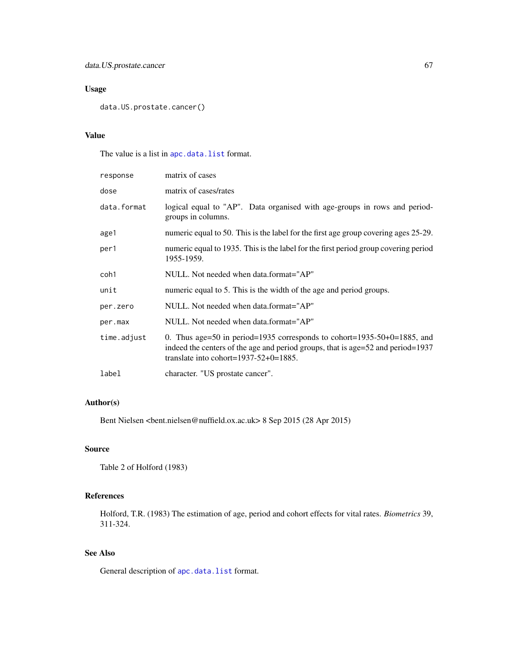## Usage

```
data.US.prostate.cancer()
```
## Value

The value is a list in [apc.data.list](#page-6-1) format.

| response    | matrix of cases                                                                                                                                                                                         |
|-------------|---------------------------------------------------------------------------------------------------------------------------------------------------------------------------------------------------------|
| dose        | matrix of cases/rates                                                                                                                                                                                   |
| data.format | logical equal to "AP". Data organised with age-groups in rows and period-<br>groups in columns.                                                                                                         |
| age1        | numeric equal to 50. This is the label for the first age group covering ages 25-29.                                                                                                                     |
| per1        | numeric equal to 1935. This is the label for the first period group covering period<br>1955-1959.                                                                                                       |
| coh1        | NULL. Not needed when data.format="AP"                                                                                                                                                                  |
| unit        | numeric equal to 5. This is the width of the age and period groups.                                                                                                                                     |
| per.zero    | NULL. Not needed when data.format="AP"                                                                                                                                                                  |
| per.max     | NULL. Not needed when data.format="AP"                                                                                                                                                                  |
| time.adjust | 0. Thus age=50 in period=1935 corresponds to cohort=1935-50+0=1885, and<br>indeed the centers of the age and period groups, that is age=52 and period=1937<br>translate into cohort= $1937-52+0=1885$ . |
| label       | character. "US prostate cancer".                                                                                                                                                                        |

## Author(s)

Bent Nielsen <bent.nielsen@nuffield.ox.ac.uk> 8 Sep 2015 (28 Apr 2015)

## Source

Table 2 of Holford (1983)

## References

Holford, T.R. (1983) The estimation of age, period and cohort effects for vital rates. *Biometrics* 39, 311-324.

## See Also

General description of [apc.data.list](#page-6-1) format.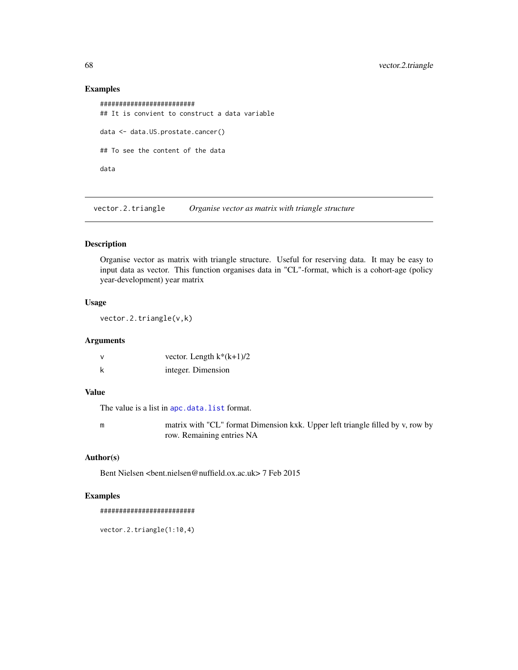## Examples

```
#########################
## It is convient to construct a data variable
data <- data.US.prostate.cancer()
## To see the content of the data
data
```
vector.2.triangle *Organise vector as matrix with triangle structure*

#### Description

Organise vector as matrix with triangle structure. Useful for reserving data. It may be easy to input data as vector. This function organises data in "CL"-format, which is a cohort-age (policy year-development) year matrix

## Usage

vector.2.triangle(v,k)

## Arguments

| vector. Length $k*(k+1)/2$ |
|----------------------------|
| integer. Dimension         |

## Value

The value is a list in [apc.data.list](#page-6-1) format.

m matrix with "CL" format Dimension kxk. Upper left triangle filled by v, row by row. Remaining entries NA

## Author(s)

Bent Nielsen <bent.nielsen@nuffield.ox.ac.uk> 7 Feb 2015

## Examples

#########################

vector.2.triangle(1:10,4)

<span id="page-67-0"></span>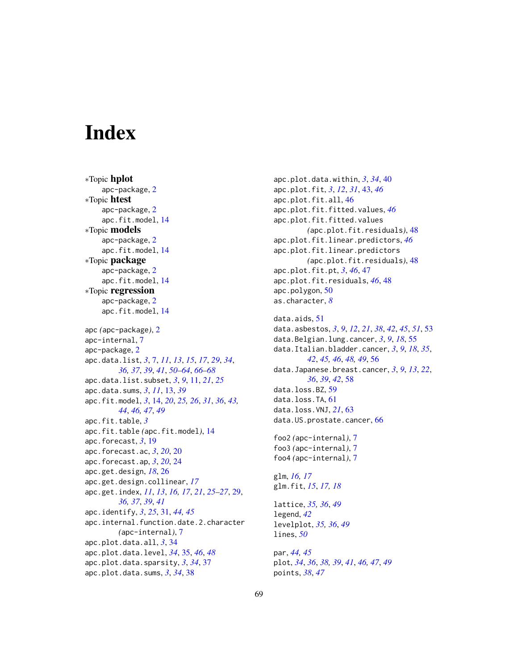# <span id="page-68-0"></span>**Index**

∗Topic hplot apc-package, [2](#page-1-0) ∗Topic htest apc-package, [2](#page-1-0) apc.fit.model, [14](#page-13-0) ∗Topic models apc-package, [2](#page-1-0) apc.fit.model, [14](#page-13-0) ∗Topic package apc-package, [2](#page-1-0) apc.fit.model, [14](#page-13-0) ∗Topic regression apc-package, [2](#page-1-0) apc.fit.model, [14](#page-13-0) apc *(*apc-package*)*, [2](#page-1-0) apc-internal, [7](#page-6-0) apc-package, [2](#page-1-0) apc.data.list, *[3](#page-2-0)*, [7,](#page-6-0) *[11](#page-10-0)*, *[13](#page-12-0)*, *[15](#page-14-0)*, *[17](#page-16-0)*, *[29](#page-28-0)*, *[34](#page-33-0)*, *[36,](#page-35-0) [37](#page-36-0)*, *[39](#page-38-0)*, *[41](#page-40-0)*, *[50–](#page-49-0)[64](#page-63-0)*, *[66–](#page-65-0)[68](#page-67-0)* apc.data.list.subset, *[3](#page-2-0)*, *[9](#page-8-0)*, [11,](#page-10-0) *[21](#page-20-0)*, *[25](#page-24-0)* apc.data.sums, *[3](#page-2-0)*, *[11](#page-10-0)*, [13,](#page-12-0) *[39](#page-38-0)* apc.fit.model, *[3](#page-2-0)*, [14,](#page-13-0) *[20](#page-19-0)*, *[25,](#page-24-0) [26](#page-25-0)*, *[31](#page-30-0)*, *[36](#page-35-0)*, *[43,](#page-42-0) [44](#page-43-0)*, *[46,](#page-45-0) [47](#page-46-0)*, *[49](#page-48-0)* apc.fit.table, *[3](#page-2-0)* apc.fit.table *(*apc.fit.model*)*, [14](#page-13-0) apc.forecast, *[3](#page-2-0)*, [19](#page-18-0) apc.forecast.ac, *[3](#page-2-0)*, *[20](#page-19-0)*, [20](#page-19-0) apc.forecast.ap, *[3](#page-2-0)*, *[20](#page-19-0)*, [24](#page-23-0) apc.get.design, *[18](#page-17-0)*, [26](#page-25-0) apc.get.design.collinear, *[17](#page-16-0)* apc.get.index, *[11](#page-10-0)*, *[13](#page-12-0)*, *[16,](#page-15-0) [17](#page-16-0)*, *[21](#page-20-0)*, *[25–](#page-24-0)[27](#page-26-0)*, [29,](#page-28-0) *[36,](#page-35-0) [37](#page-36-0)*, *[39](#page-38-0)*, *[41](#page-40-0)* apc.identify, *[3](#page-2-0)*, *[25](#page-24-0)*, [31,](#page-30-0) *[44,](#page-43-0) [45](#page-44-0)* apc.internal.function.date.2.character *(*apc-internal*)*, [7](#page-6-0) apc.plot.data.all, *[3](#page-2-0)*, [34](#page-33-0) apc.plot.data.level, *[34](#page-33-0)*, [35,](#page-34-0) *[46](#page-45-0)*, *[48](#page-47-0)* apc.plot.data.sparsity, *[3](#page-2-0)*, *[34](#page-33-0)*, [37](#page-36-0) apc.plot.data.sums, *[3](#page-2-0)*, *[34](#page-33-0)*, [38](#page-37-0)

apc.plot.data.within, *[3](#page-2-0)*, *[34](#page-33-0)*, [40](#page-39-0) apc.plot.fit, *[3](#page-2-0)*, *[12](#page-11-0)*, *[31](#page-30-0)*, [43,](#page-42-0) *[46](#page-45-0)* apc.plot.fit.all, [46](#page-45-0) apc.plot.fit.fitted.values, *[46](#page-45-0)* apc.plot.fit.fitted.values *(*apc.plot.fit.residuals*)*, [48](#page-47-0) apc.plot.fit.linear.predictors, *[46](#page-45-0)* apc.plot.fit.linear.predictors *(*apc.plot.fit.residuals*)*, [48](#page-47-0) apc.plot.fit.pt, *[3](#page-2-0)*, *[46](#page-45-0)*, [47](#page-46-0) apc.plot.fit.residuals, *[46](#page-45-0)*, [48](#page-47-0) apc.polygon, [50](#page-49-0) as.character, *[8](#page-7-0)*

data.aids, [51](#page-50-0) data.asbestos, *[3](#page-2-0)*, *[9](#page-8-0)*, *[12](#page-11-0)*, *[21](#page-20-0)*, *[38](#page-37-0)*, *[42](#page-41-0)*, *[45](#page-44-0)*, *[51](#page-50-0)*, [53](#page-52-0) data.Belgian.lung.cancer, *[3](#page-2-0)*, *[9](#page-8-0)*, *[18](#page-17-0)*, [55](#page-54-0) data.Italian.bladder.cancer, *[3](#page-2-0)*, *[9](#page-8-0)*, *[18](#page-17-0)*, *[35](#page-34-0)*, *[42](#page-41-0)*, *[45,](#page-44-0) [46](#page-45-0)*, *[48,](#page-47-0) [49](#page-48-0)*, [56](#page-55-0) data.Japanese.breast.cancer, *[3](#page-2-0)*, *[9](#page-8-0)*, *[13](#page-12-0)*, *[22](#page-21-0)*, *[36](#page-35-0)*, *[39](#page-38-0)*, *[42](#page-41-0)*, [58](#page-57-0) data.loss.BZ, [59](#page-58-0) data.loss.TA, [61](#page-60-0) data.loss.VNJ, *[21](#page-20-0)*, [63](#page-62-0) data.US.prostate.cancer, [66](#page-65-0)

foo2 *(*apc-internal*)*, [7](#page-6-0) foo3 *(*apc-internal*)*, [7](#page-6-0) foo4 *(*apc-internal*)*, [7](#page-6-0)

glm, *[16,](#page-15-0) [17](#page-16-0)* glm.fit, *[15](#page-14-0)*, *[17,](#page-16-0) [18](#page-17-0)*

lattice, *[35,](#page-34-0) [36](#page-35-0)*, *[49](#page-48-0)* legend, *[42](#page-41-0)* levelplot, *[35,](#page-34-0) [36](#page-35-0)*, *[49](#page-48-0)* lines, *[50](#page-49-0)*

par, *[44,](#page-43-0) [45](#page-44-0)* plot, *[34](#page-33-0)*, *[36](#page-35-0)*, *[38,](#page-37-0) [39](#page-38-0)*, *[41](#page-40-0)*, *[46,](#page-45-0) [47](#page-46-0)*, *[49](#page-48-0)* points, *[38](#page-37-0)*, *[47](#page-46-0)*